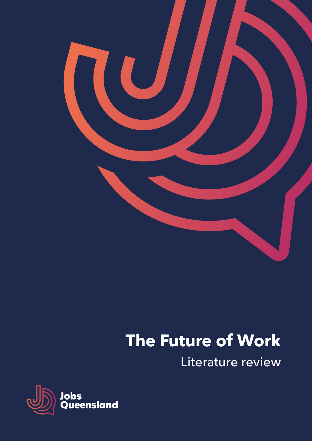

# **The Future of Work**

Literature review

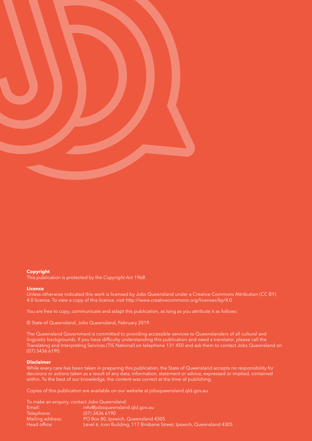

#### **Copyright**

This publication is protected by the *Copyright Act 1968*.

#### **Licence**

Unless otherwise indicated this work is licensed by Jobs Queensland under a Creative Commons Attribution (CC BY) 4.0 licence. To view a copy of this licence, visit http://www.creativecommons.org/licenses/by/4.0

You are free to copy, communicate and adapt this publication, as long as you attribute it as follows:

© State of Queensland, Jobs Queensland, February 2019.

The Queensland Government is committed to providing accessible services to Queenslanders of all cultural and linguistic backgrounds. If you have difficulty understanding this publication and need a translator, please call the Translating and Interpreting Services (TIS National) on telephone 131 450 and ask them to contact Jobs Queensland on (07) 3436 6190.

#### **Disclaimer**

While every care has been taken in preparing this publication, the State of Queensland accepts no responsibility for decisions or actions taken as a result of any data, information, statement or advice, expressed or implied, contained within. To the best of our knowledge, the content was correct at the time of publishing.

Copies of this publication are available on our website at jobsqueensland.qld.gov.au

|                  | To make an enguiry, contact Jobs Queensland:                          |
|------------------|-----------------------------------------------------------------------|
| Email:           | info@jobsqueensland.gld.gov.au                                        |
| Telephone:       | $(07)$ 3436 6190                                                      |
| Mailing address: | PO Box 80, Ipswich, Queensland 4305                                   |
| Head office:     | Level 6, Icon Building, 117 Brisbane Street, Ipswich, Queensland 4305 |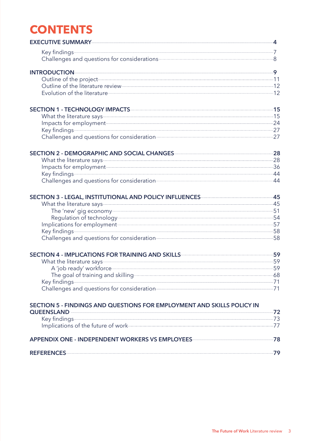# **CONTENTS**

| EXECUTIVE SUMMARY—————————————————————————————————4                                                                                                                                                                            |  |
|--------------------------------------------------------------------------------------------------------------------------------------------------------------------------------------------------------------------------------|--|
| Key findings 7<br>Challenges and questions for considerations <b>Challenges</b> and questions 8                                                                                                                                |  |
|                                                                                                                                                                                                                                |  |
| Outline of the project 11                                                                                                                                                                                                      |  |
|                                                                                                                                                                                                                                |  |
| Evolution of the literature 2000 12                                                                                                                                                                                            |  |
| SECTION 1 - TECHNOLOGY IMPACTS AND THE RESERVE TO A 15                                                                                                                                                                         |  |
| What the literature says-<br>15                                                                                                                                                                                                |  |
| Impacts for employment<br>Key findings 27                                                                                                                                                                                      |  |
|                                                                                                                                                                                                                                |  |
| Challenges and questions for consideration<br>27                                                                                                                                                                               |  |
| SECTION 2 - DEMOGRAPHIC AND SOCIAL CHANGES<br>28                                                                                                                                                                               |  |
| What the literature says 28                                                                                                                                                                                                    |  |
| Impacts for employment 36                                                                                                                                                                                                      |  |
| Key findings 44                                                                                                                                                                                                                |  |
| Challenges and questions for consideration<br>44                                                                                                                                                                               |  |
| SECTION 3 - LEGAL, INSTITUTIONAL AND POLICY INFLUENCES 45                                                                                                                                                                      |  |
| What the literature says 45                                                                                                                                                                                                    |  |
|                                                                                                                                                                                                                                |  |
| Regulation of technology-contract to the SA and SA and SA and SA and SA and SA and SA and SA and SA and SA and SA and SA and SA and SA and SA and SA and SA and SA and SA and SA and SA and SA and SA and SA and SA and SA and |  |
| Implications for employment<br>Key findings 58                                                                                                                                                                                 |  |
|                                                                                                                                                                                                                                |  |
| Challenges and questions for consideration 58                                                                                                                                                                                  |  |
| SECTION 4 - IMPLICATIONS FOR TRAINING AND SKILLS- <b>CONTRAINING THE SECTION</b> 4 - IMPLICATIONS                                                                                                                              |  |
| What the literature says 59                                                                                                                                                                                                    |  |
| A 'job ready' workforce 59                                                                                                                                                                                                     |  |
| The goal of training and skilling entitled and state of the state of the state of the state of the state of the                                                                                                                |  |
| Key findings 71                                                                                                                                                                                                                |  |
|                                                                                                                                                                                                                                |  |
| SECTION 5 - FINDINGS AND QUESTIONS FOR EMPLOYMENT AND SKILLS POLICY IN                                                                                                                                                         |  |
|                                                                                                                                                                                                                                |  |
| Key findings 73                                                                                                                                                                                                                |  |
| Implications of the future of work-<br>77                                                                                                                                                                                      |  |
| APPENDIX ONE - INDEPENDENT WORKERS VS EMPLOYEES MELLET AND THE MODEL TO A                                                                                                                                                      |  |
|                                                                                                                                                                                                                                |  |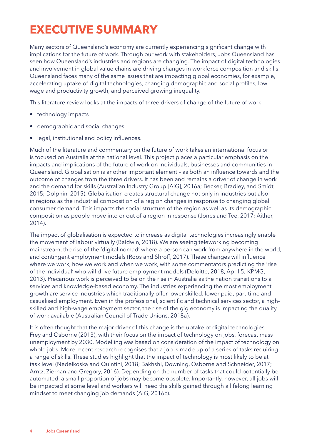# <span id="page-3-0"></span>**EXECUTIVE SUMMARY**

Many sectors of Queensland's economy are currently experiencing significant change with implications for the future of work. Through our work with stakeholders, Jobs Queensland has seen how Queensland's industries and regions are changing. The impact of digital technologies and involvement in global value chains are driving changes in workforce composition and skills. Queensland faces many of the same issues that are impacting global economies, for example, accelerating uptake of digital technologies, changing demographic and social profiles, low wage and productivity growth, and perceived growing inequality.

This literature review looks at the impacts of three drivers of change of the future of work:

- technology impacts
- demographic and social changes
- legal, institutional and policy influences.

Much of the literature and commentary on the future of work takes an international focus or is focused on Australia at the national level. This project places a particular emphasis on the impacts and implications of the future of work on individuals, businesses and communities in Queensland. Globalisation is another important element – as both an influence towards and the outcome of changes from the three drivers. It has been and remains a driver of change in work and the demand for skills (Australian Industry Group [AiG], 2016a; Becker, Bradley, and Smidt, 2015; Dolphin, 2015). Globalisation creates structural change not only in industries but also in regions as the industrial composition of a region changes in response to changing global consumer demand. This impacts the social structure of the region as well as its demographic composition as people move into or out of a region in response (Jones and Tee, 2017; Aither, 2014).

The impact of globalisation is expected to increase as digital technologies increasingly enable the movement of labour virtually (Baldwin, 2018). We are seeing teleworking becoming mainstream, the rise of the 'digital nomad' where a person can work from anywhere in the world, and contingent employment models (Roos and Shroff, 2017). These changes will influence where we work, how we work and when we work, with some commentators predicting the 'rise of the individual' who will drive future employment models (Deloitte, 2018, April 5; KPMG, 2013). Precarious work is perceived to be on the rise in Australia as the nation transitions to a services and knowledge-based economy. The industries experiencing the most employment growth are service industries which traditionally offer lower skilled, lower paid, part-time and casualised employment. Even in the professional, scientific and technical services sector, a highskilled and high-wage employment sector, the rise of the gig economy is impacting the quality of work available (Australian Council of Trade Unions, 2018a).

It is often thought that the major driver of this change is the uptake of digital technologies. Frey and Osborne (2013), with their focus on the impact of technology on jobs, forecast mass unemployment by 2030. Modelling was based on consideration of the impact of technology on whole jobs. More recent research recognises that a job is made up of a series of tasks requiring a range of skills. These studies highlight that the impact of technology is most likely to be at task level (Nedelkoska and Quintini, 2018; Bakhshi, Downing, Osborne and Schneider, 2017; Arntz, Zierhan and Gregory, 2016). Depending on the number of tasks that could potentially be automated, a small proportion of jobs may become obsolete. Importantly, however, all jobs will be impacted at some level and workers will need the skills gained through a lifelong learning mindset to meet changing job demands (AiG, 2016c).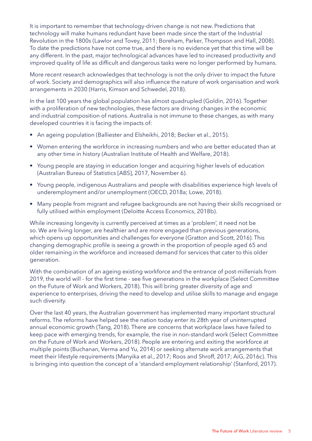It is important to remember that technology-driven change is not new. Predictions that technology will make humans redundant have been made since the start of the Industrial Revolution in the 1800s (Lawlor and Tovey, 2011; Boreham, Parker, Thompson and Hall, 2008). To date the predictions have not come true, and there is no evidence yet that this time will be any different. In the past, major technological advances have led to increased productivity and improved quality of life as difficult and dangerous tasks were no longer performed by humans.

More recent research acknowledges that technology is not the only driver to impact the future of work. Society and demographics will also influence the nature of work organisation and work arrangements in 2030 (Harris, Kimson and Schwedel, 2018).

In the last 100 years the global population has almost quadrupled (Goldin, 2016). Together with a proliferation of new technologies, these factors are driving changes in the economic and industrial composition of nations. Australia is not immune to these changes, as with many developed countries it is facing the impacts of:

- An ageing population (Balliester and Elsheikhi, 2018; Becker et al., 2015).
- Women entering the workforce in increasing numbers and who are better educated than at any other time in history (Australian Institute of Health and Welfare, 2018).
- Young people are staying in education longer and acquiring higher levels of education (Australian Bureau of Statistics [ABS], 2017, November 6).
- Young people, indigenous Australians and people with disabilities experience high levels of underemployment and/or unemployment (OECD, 2018a; Lowe, 2018).
- Many people from migrant and refugee backgrounds are not having their skills recognised or fully utilised within employment (Deloitte Access Economics, 2018b).

While increasing longevity is currently perceived at times as a 'problem', it need not be so. We are living longer, are healthier and are more engaged than previous generations, which opens up opportunities and challenges for everyone (Gratton and Scott, 2016). This changing demographic profile is seeing a growth in the proportion of people aged 65 and older remaining in the workforce and increased demand for services that cater to this older generation.

With the combination of an ageing existing workforce and the entrance of post-millenials from 2019, the world will - for the first time - see five generations in the workplace (Select Committee on the Future of Work and Workers, 2018). This will bring greater diversity of age and experience to enterprises, driving the need to develop and utilise skills to manage and engage such diversity.

Over the last 40 years, the Australian government has implemented many important structural reforms. The reforms have helped see the nation today enter its 28th year of uninterrupted annual economic growth (Tang, 2018). There are concerns that workplace laws have failed to keep pace with emerging trends, for example, the rise in non-standard work (Select Committee on the Future of Work and Workers, 2018). People are entering and exiting the workforce at multiple points (Buchanan, Verma and Yu, 2014) or seeking alternate work arrangements that meet their lifestyle requirements (Manyika et al., 2017; Roos and Shroff, 2017; AiG, 2016c). This is bringing into question the concept of a 'standard employment relationship' (Stanford, 2017).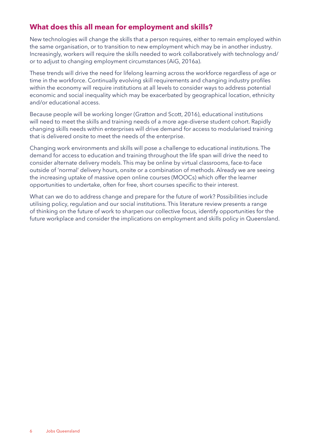# **What does this all mean for employment and skills?**

New technologies will change the skills that a person requires, either to remain employed within the same organisation, or to transition to new employment which may be in another industry. Increasingly, workers will require the skills needed to work collaboratively with technology and/ or to adjust to changing employment circumstances (AiG, 2016a).

These trends will drive the need for lifelong learning across the workforce regardless of age or time in the workforce. Continually evolving skill requirements and changing industry profiles within the economy will require institutions at all levels to consider ways to address potential economic and social inequality which may be exacerbated by geographical location, ethnicity and/or educational access.

Because people will be working longer (Gratton and Scott, 2016), educational institutions will need to meet the skills and training needs of a more age-diverse student cohort. Rapidly changing skills needs within enterprises will drive demand for access to modularised training that is delivered onsite to meet the needs of the enterprise.

Changing work environments and skills will pose a challenge to educational institutions. The demand for access to education and training throughout the life span will drive the need to consider alternate delivery models. This may be online by virtual classrooms, face-to-face outside of 'normal' delivery hours, onsite or a combination of methods. Already we are seeing the increasing uptake of massive open online courses (MOOCs) which offer the learner opportunities to undertake, often for free, short courses specific to their interest.

What can we do to address change and prepare for the future of work? Possibilities include utilising policy, regulation and our social institutions. This literature review presents a range of thinking on the future of work to sharpen our collective focus, identify opportunities for the future workplace and consider the implications on employment and skills policy in Queensland.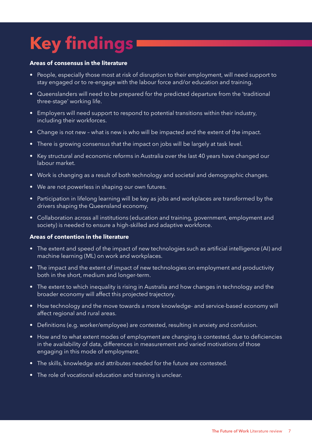# <span id="page-6-0"></span>**Key findings**

#### **Areas of consensus in the literature**

- People, especially those most at risk of disruption to their employment, will need support to stay engaged or to re-engage with the labour force and/or education and training.
- Queenslanders will need to be prepared for the predicted departure from the 'traditional three-stage' working life.
- Employers will need support to respond to potential transitions within their industry, including their workforces.
- Change is not new what is new is who will be impacted and the extent of the impact.
- There is growing consensus that the impact on jobs will be largely at task level.
- Key structural and economic reforms in Australia over the last 40 years have changed our labour market.
- Work is changing as a result of both technology and societal and demographic changes.
- We are not powerless in shaping our own futures.
- Participation in lifelong learning will be key as jobs and workplaces are transformed by the drivers shaping the Queensland economy.
- Collaboration across all institutions (education and training, government, employment and society) is needed to ensure a high-skilled and adaptive workforce.

#### **Areas of contention in the literature**

- The extent and speed of the impact of new technologies such as artificial intelligence (AI) and machine learning (ML) on work and workplaces.
- The impact and the extent of impact of new technologies on employment and productivity both in the short, medium and longer-term.
- The extent to which inequality is rising in Australia and how changes in technology and the broader economy will affect this projected trajectory.
- How technology and the move towards a more knowledge- and service-based economy will affect regional and rural areas.
- Definitions (e.g. worker/employee) are contested, resulting in anxiety and confusion.
- How and to what extent modes of employment are changing is contested, due to deficiencies in the availability of data, differences in measurement and varied motivations of those engaging in this mode of employment.
- The skills, knowledge and attributes needed for the future are contested.
- The role of vocational education and training is unclear.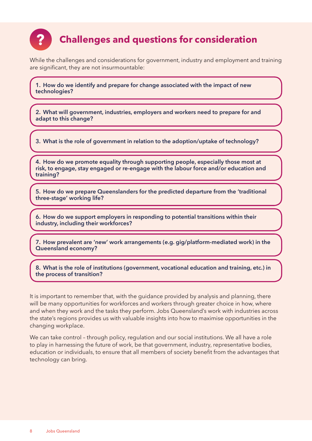<span id="page-7-0"></span>

# **Challenges and questions for consideration**

While the challenges and considerations for government, industry and employment and training are significant, they are not insurmountable:

**1. How do we identify and prepare for change associated with the impact of new technologies?**

**2. What will government, industries, employers and workers need to prepare for and adapt to this change?**

**3. What is the role of government in relation to the adoption/uptake of technology?**

**4. How do we promote equality through supporting people, especially those most at risk, to engage, stay engaged or re-engage with the labour force and/or education and training?**

**5. How do we prepare Queenslanders for the predicted departure from the 'traditional three-stage' working life?** 

**6. How do we support employers in responding to potential transitions within their industry, including their workforces?**

**7. How prevalent are 'new' work arrangements (e.g. gig/platform-mediated work) in the Queensland economy?** 

**8. What is the role of institutions (government, vocational education and training, etc.) in the process of transition?**

It is important to remember that, with the guidance provided by analysis and planning, there will be many opportunities for workforces and workers through greater choice in how, where and when they work and the tasks they perform. Jobs Queensland's work with industries across the state's regions provides us with valuable insights into how to maximise opportunities in the changing workplace.

We can take control - through policy, regulation and our social institutions. We all have a role to play in harnessing the future of work, be that government, industry, representative bodies, education or individuals, to ensure that all members of society benefit from the advantages that technology can bring.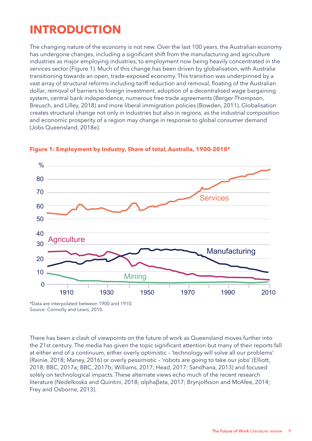# <span id="page-8-0"></span>**INTRODUCTION**

The changing nature of the economy is not new. Over the last 100 years, the Australian economy has undergone changes, including a significant shift from the manufacturing and agriculture industries as major employing industries, to employment now being heavily concentrated in the services sector (Figure 1). Much of this change has been driven by globalisation, with Australia transitioning towards an open, trade-exposed economy. This transition was underpinned by a vast array of structural reforms including tariff reduction and removal, floating of the Australian dollar, removal of barriers to foreign investment, adoption of a decentralised wage bargaining system, central bank independence, numerous free trade agreements (Berger-Thompson, Breusch, and Lilley, 2018) and more liberal immigration policies (Bowden, 2011). Globalisation creates structural change not only in industries but also in regions, as the industrial composition and economic prosperity of a region may change in response to global consumer demand (Jobs Queensland, 2018e).



#### **Figure 1: Employment by Industry, Share of total, Australia, 1900-2010\***

\*Data are interpolated between 1900 and 1910. Source: Connolly and Lewis, 2010.

There has been a clash of viewpoints on the future of work as Queensland moves further into the 21st century. The media has given the topic significant attention but many of their reports fall at either end of a continuum, either overly optimistic – 'technology will solve all our problems' (Rainie, 2018; Maney, 2016) or overly pessimistic – 'robots are going to take our jobs' (Elliott, 2018; BBC, 2017a; BBC, 2017b; Williams, 2017; Head, 2017; Sandhana, 2013) and focused solely on technological impacts. These alternate views echo much of the recent research literature (Nedelkoska and Quintini, 2018; αlphaβeta, 2017; Brynjolfsson and McAfee, 2014; Frey and Osborne, 2013).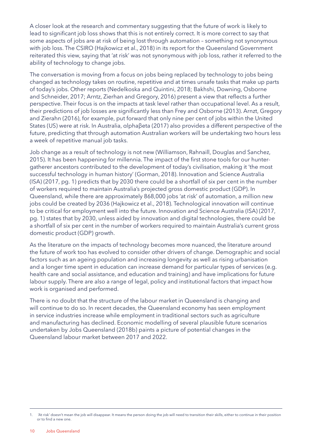A closer look at the research and commentary suggesting that the future of work is likely to lead to significant job loss shows that this is not entirely correct. It is more correct to say that some aspects of jobs are at risk of being lost through automation – something not synonymous with job loss. The CSIRO (Hajkowicz et al., 2018) in its report for the Queensland Government reiterated this view, saying that 'at risk' was not synonymous with job loss, rather it referred to the ability of technology to change jobs.

The conversation is moving from a focus on jobs being replaced by technology to jobs being changed as technology takes on routine, repetitive and at times unsafe tasks that make up parts of today's jobs. Other reports (Nedelkoska and Quintini, 2018; Bakhshi, Downing, Osborne and Schneider, 2017; Arntz, Zierhan and Gregory, 2016) present a view that reflects a further perspective. Their focus is on the impacts at task level rather than occupational level. As a result, their predictions of job losses are significantly less than Frey and Osborne (2013). Arnzt, Gregory and Zierahn (2016), for example, put forward that only nine per cent of jobs within the United States (US) were at risk. In Australia, αlphaβeta (2017) also provides a different perspective of the future, predicting that through automation Australian workers will be undertaking two hours less a week of repetitive manual job tasks.

Job change as a result of technology is not new (Williamson, Rahnaill, Douglas and Sanchez, 2015). It has been happening for millennia. The impact of the first stone tools for our huntergatherer ancestors contributed to the development of today's civilisation, making it 'the most successful technology in human history' (Gorman, 2018). Innovation and Science Australia (ISA) (2017, pg. 1) predicts that by 2030 there could be a shortfall of six per cent in the number of workers required to maintain Australia's projected gross domestic product (GDP). In Queensland, while there are approximately 868,000 jobs 'at risk' of automation, a million new jobs could be created by 2036 (Hajkowicz et al., 2018). Technological innovation will continue to be critical for employment well into the future. Innovation and Science Australia (ISA) (2017, pg. 1) states that by 2030, unless aided by innovation and digital technologies, there could be a shortfall of six per cent in the number of workers required to maintain Australia's current gross domestic product (GDP) growth.

As the literature on the impacts of technology becomes more nuanced, the literature around the future of work too has evolved to consider other drivers of change. Demographic and social factors such as an ageing population and increasing longevity as well as rising urbanisation and a longer time spent in education can increase demand for particular types of services (e.g. health care and social assistance, and education and training) and have implications for future labour supply. There are also a range of legal, policy and institutional factors that impact how work is organised and performed.

There is no doubt that the structure of the labour market in Queensland is changing and will continue to do so. In recent decades, the Queensland economy has seen employment in service industries increase while employment in traditional sectors such as agriculture and manufacturing has declined. Economic modelling of several plausible future scenarios undertaken by Jobs Queensland (2018b) paints a picture of potential changes in the Queensland labour market between 2017 and 2022.

<sup>1. &#</sup>x27;At risk' doesn't mean the job will disappear. It means the person doing the job will need to transition their skills, either to continue in their position or to find a new one.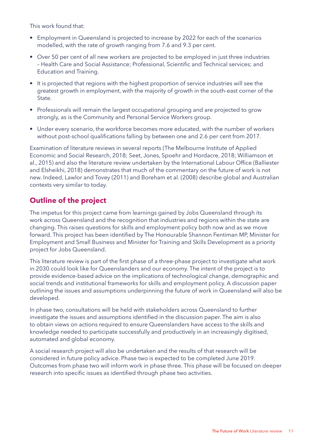<span id="page-10-0"></span>This work found that:

- Employment in Queensland is projected to increase by 2022 for each of the scenarios modelled, with the rate of growth ranging from 7.6 and 9.3 per cent.
- Over 50 per cent of all new workers are projected to be employed in just three industries – Health Care and Social Assistance; Professional, Scientific and Technical services; and Education and Training.
- It is projected that regions with the highest proportion of service industries will see the greatest growth in employment, with the majority of growth in the south-east corner of the State.
- Professionals will remain the largest occupational grouping and are projected to grow strongly, as is the Community and Personal Service Workers group.
- Under every scenario, the workforce becomes more educated, with the number of workers without post-school qualifications falling by between one and 2.6 per cent from 2017.

Examination of literature reviews in several reports (The Melbourne Institute of Applied Economic and Social Research, 2018; Seet, Jones, Spoehr and Hordacre, 2018; Williamson et al., 2015) and also the literature review undertaken by the International Labour Office (Balliester and Elsheikhi, 2018) demonstrates that much of the commentary on the future of work is not new. Indeed, Lawlor and Tovey (2011) and Boreham et al. (2008) describe global and Australian contexts very similar to today.

# **Outline of the project**

The impetus for this project came from learnings gained by Jobs Queensland through its work across Queensland and the recognition that industries and regions within the state are changing. This raises questions for skills and employment policy both now and as we move forward. This project has been identified by The Honourable Shannon Fentiman MP, Minister for Employment and Small Business and Minister for Training and Skills Development as a priority project for Jobs Queensland.

This literature review is part of the first phase of a three-phase project to investigate what work in 2030 could look like for Queenslanders and our economy. The intent of the project is to provide evidence-based advice on the implications of technological change, demographic and social trends and institutional frameworks for skills and employment policy. A discussion paper outlining the issues and assumptions underpinning the future of work in Queensland will also be developed.

In phase two, consultations will be held with stakeholders across Queensland to further investigate the issues and assumptions identified in the discussion paper. The aim is also to obtain views on actions required to ensure Queenslanders have access to the skills and knowledge needed to participate successfully and productively in an increasingly digitised, automated and global economy.

A social research project will also be undertaken and the results of that research will be considered in future policy advice. Phase two is expected to be completed June 2019. Outcomes from phase two will inform work in phase three. This phase will be focused on deeper research into specific issues as identified through phase two activities.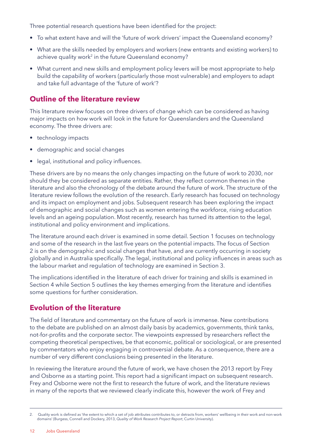<span id="page-11-0"></span>Three potential research questions have been identified for the project:

- To what extent have and will the 'future of work drivers' impact the Queensland economy?
- What are the skills needed by employers and workers (new entrants and existing workers) to achieve quality work<sup>2</sup> in the future Queensland economy?
- What current and new skills and employment policy levers will be most appropriate to help build the capability of workers (particularly those most vulnerable) and employers to adapt and take full advantage of the 'future of work'?

### **Outline of the literature review**

This literature review focuses on three drivers of change which can be considered as having major impacts on how work will look in the future for Queenslanders and the Queensland economy. The three drivers are:

- technology impacts
- demographic and social changes
- legal, institutional and policy influences.

These drivers are by no means the only changes impacting on the future of work to 2030, nor should they be considered as separate entities. Rather, they reflect common themes in the literature and also the chronology of the debate around the future of work. The structure of the literature review follows the evolution of the research. Early research has focused on technology and its impact on employment and jobs. Subsequent research has been exploring the impact of demographic and social changes such as women entering the workforce, rising education levels and an ageing population. Most recently, research has turned its attention to the legal, institutional and policy environment and implications.

The literature around each driver is examined in some detail. Section 1 focuses on technology and some of the research in the last five years on the potential impacts. The focus of Section 2 is on the demographic and social changes that have, and are currently occurring in society globally and in Australia specifically. The legal, institutional and policy influences in areas such as the labour market and regulation of technology are examined in Section 3.

The implications identified in the literature of each driver for training and skills is examined in Section 4 while Section 5 outlines the key themes emerging from the literature and identifies some questions for further consideration.

### **Evolution of the literature**

The field of literature and commentary on the future of work is immense. New contributions to the debate are published on an almost daily basis by academics, governments, think tanks, not-for-profits and the corporate sector. The viewpoints expressed by researchers reflect the competing theoretical perspectives, be that economic, political or sociological, or are presented by commentators who enjoy engaging in controversial debate. As a consequence, there are a number of very different conclusions being presented in the literature.

In reviewing the literature around the future of work, we have chosen the 2013 report by Frey and Osborne as a starting point. This report had a significant impact on subsequent research. Frey and Osborne were not the first to research the future of work, and the literature reviews in many of the reports that we reviewed clearly indicate this, however the work of Frey and

<sup>2.</sup> Quality work is defined as 'the extent to which a set of job attributes contributes to, or detracts from, workers' wellbeing in their work and non-work domains' (Burgess, Connell and Dockery, 2013, *Quality of Work Research Project Report*, Curtin University).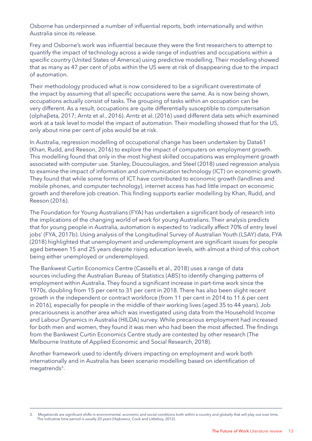Osborne has underpinned a number of influential reports, both internationally and within Australia since its release.

Frey and Osborne's work was influential because they were the first researchers to attempt to quantify the impact of technology across a wide range of industries and occupations within a specific country (United States of America) using predictive modelling. Their modelling showed that as many as 47 per cent of jobs within the US were at risk of disappearing due to the impact of automation.

Their methodology produced what is now considered to be a significant overestimate of the impact by assuming that all specific occupations were the same. As is now being shown, occupations actually consist of tasks. The grouping of tasks within an occupation can be very different. As a result, occupations are quite differentially susceptible to computerisation (αlphaβeta, 2017; Arntz et al., 2016). Arntz et al. (2016) used different data sets which examined work at a task level to model the impact of automation. Their modelling showed that for the US, only about nine per cent of jobs would be at risk.

In Australia, regression modelling of occupational change has been undertaken by Data61 (Khan, Rudd, and Reeson, 2016) to explore the impact of computers on employment growth. This modelling found that only in the most highest skilled occupations was employment growth associated with computer use. Stanley, Doucouliagos, and Steel (2018) used regression analysis to examine the impact of information and communication technology (ICT) on economic growth. They found that while some forms of ICT have contributed to economic growth (landlines and mobile phones, and computer technology), internet access has had little impact on economic growth and therefore job creation. This finding supports earlier modelling by Khan, Rudd, and Reeson (2016).

The Foundation for Young Australians (FYA) has undertaken a significant body of research into the implications of the changing world of work for young Australians. Their analysis predicts that for young people in Australia, automation is expected to 'radically affect 70% of entry level jobs' (FYA, 2017b). Using analysis of the Longitudinal Survey of Australian Youth (LSAY) data, FYA (2018) highlighted that unemployment and underemployment are significant issues for people aged between 15 and 25 years despite rising education levels, with almost a third of this cohort being either unemployed or underemployed.

The Bankwest Curtin Economics Centre (Cassells et al., 2018) uses a range of data sources including the Australian Bureau of Statistics (ABS) to identify changing patterns of employment within Australia. They found a significant increase in part-time work since the 1970s, doubling from 15 per cent to 31 per cent in 2018. There has also been slight recent growth in the independent or contract workforce (from 11 per cent in 2014 to 11.6 per cent in 2016), especially for people in the middle of their working lives (aged 35 to 44 years). Job precariousness is another area which was investigated using data from the Household Income and Labour Dynamics in Australia (HILDA) survey. While precarious employment had increased for both men and women, they found it was men who had been the most affected. The findings from the Bankwest Curtin Economics Centre study are contested by other research (The Melbourne Institute of Applied Economic and Social Research, 2018).

Another framework used to identify drivers impacting on employment and work both internationally and in Australia has been scenario modelling based on identification of megatrends<sup>3</sup>.

<sup>3.</sup> Megatrends are significant shifts in environmental, economic and social conditions both within a country and globally that will play out over time. The indicative time period is usually 20 years (Hajkowicz, Cook and Littleboy, 2012).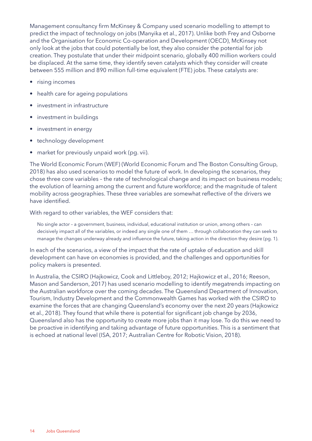Management consultancy firm McKinsey & Company used scenario modelling to attempt to predict the impact of technology on jobs (Manyika et al., 2017). Unlike both Frey and Osborne and the Organisation for Economic Co-operation and Development (OECD), McKinsey not only look at the jobs that could potentially be lost, they also consider the potential for job creation. They postulate that under their midpoint scenario, globally 400 million workers could be displaced. At the same time, they identify seven catalysts which they consider will create between 555 million and 890 million full-time equivalent (FTE) jobs. These catalysts are:

- rising incomes
- health care for ageing populations
- investment in infrastructure
- investment in buildings
- investment in energy
- technology development
- market for previously unpaid work (pg. vii).

The World Economic Forum (WEF) (World Economic Forum and The Boston Consulting Group, 2018) has also used scenarios to model the future of work. In developing the scenarios, they chose three core variables – the rate of technological change and its impact on business models; the evolution of learning among the current and future workforce; and the magnitude of talent mobility across geographies. These three variables are somewhat reflective of the drivers we have identified.

With regard to other variables, the WEF considers that:

 No single actor – a government, business, individual, educational institution or union, among others – can decisively impact all of the variables, or indeed any single one of them … through collaboration they can seek to manage the changes underway already and influence the future, taking action in the direction they desire (pg. 1).

In each of the scenarios, a view of the impact that the rate of uptake of education and skill development can have on economies is provided, and the challenges and opportunities for policy makers is presented.

In Australia, the CSIRO (Hajkowicz, Cook and Littleboy, 2012; Hajkowicz et al., 2016; Reeson, Mason and Sanderson, 2017) has used scenario modelling to identify megatrends impacting on the Australian workforce over the coming decades. The Queensland Department of Innovation, Tourism, Industry Development and the Commonwealth Games has worked with the CSIRO to examine the forces that are changing Queensland's economy over the next 20 years (Hajkowicz et al., 2018). They found that while there is potential for significant job change by 2036, Queensland also has the opportunity to create more jobs than it may lose. To do this we need to be proactive in identifying and taking advantage of future opportunities. This is a sentiment that is echoed at national level (ISA, 2017; Australian Centre for Robotic Vision, 2018).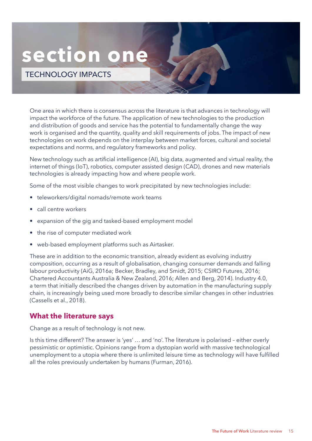# <span id="page-14-0"></span>**section one**

TECHNOLOGY IMPACTS

One area in which there is consensus across the literature is that advances in technology will impact the workforce of the future. The application of new technologies to the production and distribution of goods and service has the potential to fundamentally change the way work is organised and the quantity, quality and skill requirements of jobs. The impact of new technologies on work depends on the interplay between market forces, cultural and societal expectations and norms, and regulatory frameworks and policy.

New technology such as artificial intelligence (AI), big data, augmented and virtual reality, the internet of things (IoT), robotics, computer assisted design (CAD), drones and new materials technologies is already impacting how and where people work.

Some of the most visible changes to work precipitated by new technologies include:

- teleworkers/digital nomads/remote work teams
- call centre workers
- expansion of the gig and tasked-based employment model
- the rise of computer mediated work
- web-based employment platforms such as Airtasker.

These are in addition to the economic transition, already evident as evolving industry composition, occurring as a result of globalisation, changing consumer demands and falling labour productivity (AiG, 2016a; Becker, Bradley, and Smidt, 2015; CSIRO Futures, 2016; Chartered Accountants Australia & New Zealand, 2016; Allen and Berg, 2014). Industry 4.0, a term that initially described the changes driven by automation in the manufacturing supply chain, is increasingly being used more broadly to describe similar changes in other industries (Cassells et al., 2018).

### **What the literature says**

Change as a result of technology is not new.

Is this time different? The answer is 'yes' … and 'no'. The literature is polarised – either overly pessimistic or optimistic. Opinions range from a dystopian world with massive technological unemployment to a utopia where there is unlimited leisure time as technology will have fulfilled all the roles previously undertaken by humans (Furman, 2016).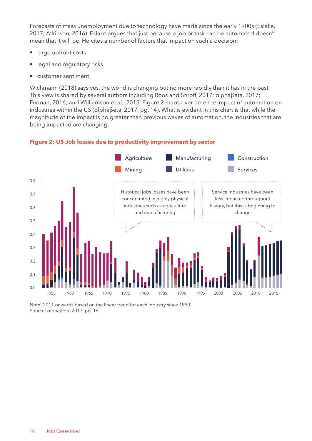Forecasts of mass unemployment due to technology have made since the early 1900s (Eslake, 2017; Atkinson, 2016). Eslake argues that just because a job or task can be automated doesn't mean that it will be. He cites a number of factors that impact on such a decision:

- large upfront costs
- legal and regulatory risks
- customer sentiment.

Wichmann (2018) says yes, the world is changing but no more rapidly than it has in the past. This view is shared by several authors including Roos and Shroff, 2017; αlphaβeta, 2017; Furman, 2016; and Williamson et al., 2015. Figure 2 maps over time the impact of automation on industries within the US (αlphaβeta, 2017, pg. 14). What is evident in this chart is that while the magnitude of the impact is no greater than previous waves of automation, the industries that are being impacted are changing.



#### **Figure 2: US Job losses due to productivity improvement by sector**

Note: 2011 onwards based on the linear trend for each industry since 1990 Source: αlphaβeta, 2017, pg. 16.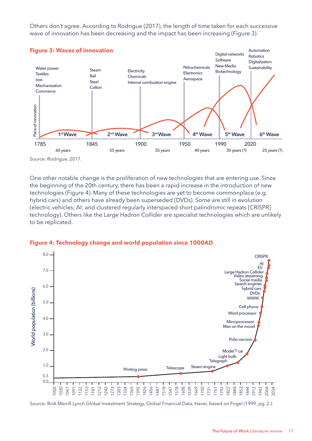Others don't agree. According to Rodrigue (2017), the length of time taken for each successive wave of innovation has been decreasing and the impact has been increasing (Figure 3).



One other notable change is the proliferation of new technologies that are entering use. Since the beginning of the 20th century, there has been a rapid increase in the introduction of new technologies (Figure 4). Many of these technologies are yet to become commonplace (e.g. hybrid cars) and others have already been superseded (DVDs). Some are still in evolution (electric vehicles; AI; and clustered regularly interspaced short palindromic repeats [CRISPR] technology). Others like the Large Hadron Collider are specialist technologies which are unlikely to be replicated.



#### **Figure 4: Technology change and world population since 1000AD**

Source: BoA Merrill Lynch Global Investment Strategy, Global Financial Data, Haver, based on Fogel (1999, pg. 2.).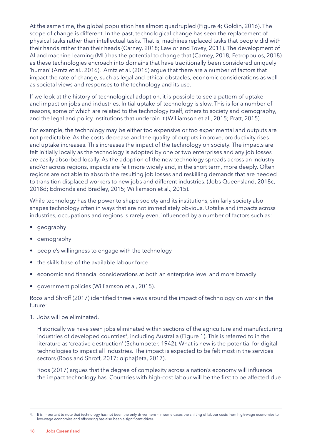At the same time, the global population has almost quadrupled (Figure 4; Goldin, 2016). The scope of change is different. In the past, technological change has seen the replacement of physical tasks rather than intellectual tasks. That is, machines replaced tasks that people did with their hands rather than their heads (Carney, 2018; Lawlor and Tovey, 2011). The development of AI and machine learning (ML) has the potential to change that (Carney, 2018; Petropoulos, 2018) as these technologies encroach into domains that have traditionally been considered uniquely 'human' (Arntz et al., 2016). Arntz et al. (2016) argue that there are a number of factors that impact the rate of change, such as legal and ethical obstacles, economic considerations as well as societal views and responses to the technology and its use.

If we look at the history of technological adoption, it is possible to see a pattern of uptake and impact on jobs and industries. Initial uptake of technology is slow. This is for a number of reasons, some of which are related to the technology itself, others to society and demography, and the legal and policy institutions that underpin it (Williamson et al., 2015; Pratt, 2015).

For example, the technology may be either too expensive or too experimental and outputs are not predictable. As the costs decrease and the quality of outputs improve, productivity rises and uptake increases. This increases the impact of the technology on society. The impacts are felt initially locally as the technology is adopted by one or two enterprises and any job losses are easily absorbed locally. As the adoption of the new technology spreads across an industry and/or across regions, impacts are felt more widely and, in the short term, more deeply. Often regions are not able to absorb the resulting job losses and reskilling demands that are needed to transition displaced workers to new jobs and different industries. (Jobs Queensland, 2018c, 2018d; Edmonds and Bradley, 2015; Williamson et al., 2015).

While technology has the power to shape society and its institutions, similarly society also shapes technology often in ways that are not immediately obvious. Uptake and impacts across industries, occupations and regions is rarely even, influenced by a number of factors such as:

- geography
- demography
- people's willingness to engage with the technology
- the skills base of the available labour force
- economic and financial considerations at both an enterprise level and more broadly
- government policies (Williamson et al, 2015).

Roos and Shroff (2017) identified three views around the impact of technology on work in the future:

1. Jobs will be eliminated.

 Historically we have seen jobs eliminated within sections of the agriculture and manufacturing industries of developed countries<sup>4</sup>, including Australia (Figure 1). This is referred to in the literature as 'creative destruction' (Schumpeter, 1942). What is new is the potential for digital technologies to impact all industries. The impact is expected to be felt most in the services sectors (Roos and Shroff, 2017; αlphaβeta, 2017).

Roos (2017) argues that the degree of complexity across a nation's economy will influence the impact technology has. Countries with high-cost labour will be the first to be affected due

<sup>4.</sup> It is important to note that technology has not been the only driver here – in some cases the shifting of labour costs from high-wage economies to low-wage economies and offshoring has also been a significant driver.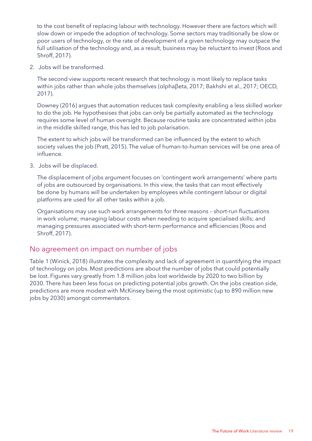to the cost benefit of replacing labour with technology. However there are factors which will slow down or impede the adoption of technology. Some sectors may traditionally be slow or poor users of technology, or the rate of development of a given technology may outpace the full utilisation of the technology and, as a result, business may be reluctant to invest (Roos and Shroff, 2017).

2. Jobs will be transformed.

 The second view supports recent research that technology is most likely to replace tasks within jobs rather than whole jobs themselves (αlphaβeta, 2017; Bakhshi et al., 2017; OECD, 2017).

 Downey (2016) argues that automation reduces task complexity enabling a less skilled worker to do the job. He hypothesises that jobs can only be partially automated as the technology requires some level of human oversight. Because routine tasks are concentrated within jobs in the middle skilled range, this has led to job polarisation.

The extent to which jobs will be transformed can be influenced by the extent to which society values the job (Pratt, 2015). The value of human-to-human services will be one area of influence.

3. Jobs will be displaced.

 The displacement of jobs argument focuses on 'contingent work arrangements' where parts of jobs are outsourced by organisations. In this view, the tasks that can most effectively be done by humans will be undertaken by employees while contingent labour or digital platforms are used for all other tasks within a job.

Organisations may use such work arrangements for three reasons – short-run fluctuations in work volume; managing labour costs when needing to acquire specialised skills; and managing pressures associated with short-term performance and efficiencies (Roos and Shroff, 2017).

## No agreement on impact on number of jobs

Table 1 (Winick, 2018) illustrates the complexity and lack of agreement in quantifying the impact of technology on jobs. Most predictions are about the number of jobs that could potentially be lost. Figures vary greatly from 1.8 million jobs lost worldwide by 2020 to two billion by 2030. There has been less focus on predicting potential jobs growth. On the jobs creation side, predictions are more modest with McKinsey being the most optimistic (up to 890 million new jobs by 2030) amongst commentators.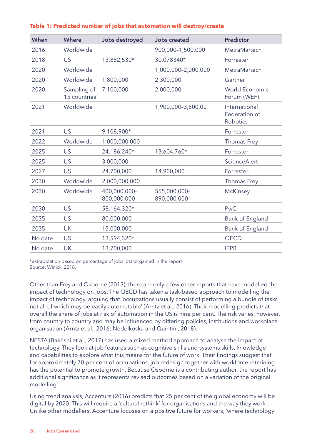| When    | <b>Where</b>                | Jobs destroyed              | <b>Jobs created</b>         | <b>Predictor</b>                           |
|---------|-----------------------------|-----------------------------|-----------------------------|--------------------------------------------|
| 2016    | Worldwide                   |                             | 900,000-1,500,000           | MetraMartech                               |
| 2018    | <b>US</b>                   | 13,852,530*                 | 30,078340*                  | Forrester                                  |
| 2020    | Worldwide                   |                             | 1,000,000-2,000,000         | MetraMartech                               |
| 2020    | Worldwide                   | 1,800,000                   | 2,300,000                   | Gartner                                    |
| 2020    | Sampling of<br>15 countries | 7,100,000                   | 2,000,000                   | World Economic<br>Forum (WEF)              |
| 2021    | Worldwide                   |                             | 1,900,000-3,500,00          | International<br>Federation of<br>Robotics |
| 2021    | US                          | 9,108,900*                  |                             | Forrester                                  |
| 2022    | Worldwide                   | 1,000,000,000               |                             | Thomas Frey                                |
| 2025    | <b>US</b>                   | 24,186,240*                 | 13,604,760*                 | Forrester                                  |
| 2025    | <b>US</b>                   | 3,000,000                   |                             | ScienceAlert                               |
| 2027    | <b>US</b>                   | 24,700,000                  | 14,900,000                  | Forrester                                  |
| 2030    | Worldwide                   | 2,000,000,000               |                             | Thomas Frey                                |
| 2030    | Worldwide                   | 400,000,000-<br>800,000,000 | 555,000,000-<br>890,000,000 | McKinsey                                   |
| 2030    | <b>US</b>                   | 58,164,320*                 |                             | PwC                                        |
| 2035    | US                          | 80,000,000                  |                             | Bank of England                            |
| 2035    | <b>UK</b>                   | 15,000,000                  |                             | Bank of England                            |
| No date | <b>US</b>                   | 13,594,320*                 |                             | <b>OECD</b>                                |
| No date | <b>UK</b>                   | 13,700,000                  |                             | <b>IPPR</b>                                |

#### **Table 1: Predicted number of jobs that automation will destroy/create**

\*extrapolation based on percentage of jobs lost or gained in the report Source: Winick, 2018.

Other than Frey and Osborne (2013), there are only a few other reports that have modelled the impact of technology on jobs. The OECD has taken a task-based approach to modelling the impact of technology, arguing that 'occupations usually consist of performing a bundle of tasks not all of which may be easily automatable' (Arntz et al., 2016). Their modelling predicts that overall the share of jobs at risk of automation in the US is nine per cent. The risk varies, however, from country to country and may be influenced by differing policies, institutions and workplace organisation (Arntz et al., 2016; Nedelkoska and Quintini, 2018).

NESTA (Bakhshi et al., 2017) has used a mixed method approach to analyse the impact of technology. They look at job features such as cognitive skills and systems skills, knowledge and capabilities to explore what this means for the future of work. Their findings suggest that for approximately 70 per cent of occupations, job redesign together with workforce retraining has the potential to promote growth. Because Osborne is a contributing author, the report has additional significance as it represents revised outcomes based on a variation of the original modelling.

Using trend analysis, Accenture (2016) predicts that 25 per cent of the global economy will be digital by 2020. This will require a 'cultural rethink' for organisations and the way they work. Unlike other modellers, Accenture focuses on a positive future for workers, 'where technology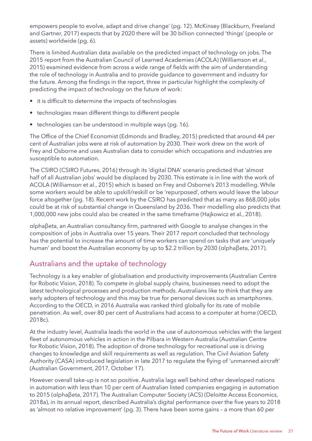empowers people to evolve, adapt and drive change' (pg. 12). McKinsey (Blackburn, Freeland and Gartner, 2017) expects that by 2020 there will be 30 billion connected 'things' (people or assets) worldwide (pg. 6).

There is limited Australian data available on the predicted impact of technology on jobs. The 2015 report from the Australian Council of Learned Academies (ACOLA) (Williamson et al., 2015) examined evidence from across a wide range of fields with the aim of understanding the role of technology in Australia and to provide guidance to government and industry for the future. Among the findings in the report, three in particular highlight the complexity of predicting the impact of technology on the future of work:

- it is difficult to determine the impacts of technologies
- technologies mean different things to different people
- technologies can be understood in multiple ways (pg. 16).

The Office of the Chief Economist (Edmonds and Bradley, 2015) predicted that around 44 per cent of Australian jobs were at risk of automation by 2030. Their work drew on the work of Frey and Osborne and uses Australian data to consider which occupations and industries are susceptible to automation.

The CSIRO (CSIRO Futures, 2016) through its 'digital DNA' scenario predicted that 'almost half of all Australian jobs' would be displaced by 2030. This estimate is in line with the work of ACOLA (Williamson et al., 2015) which is based on Frey and Osborne's 2013 modelling. While some workers would be able to upskill/reskill or be 'repurposed', others would leave the labour force altogether (pg. 18). Recent work by the CSIRO has predicted that as many as 868,000 jobs could be at risk of substantial change in Queensland by 2036. Their modelling also predicts that 1,000,000 new jobs could also be created in the same timeframe (Hajkowicz et al., 2018).

αlphaβeta, an Australian consultancy firm, partnered with Google to analyse changes in the composition of jobs in Australia over 15 years. Their 2017 report concluded that technology has the potential to increase the amount of time workers can spend on tasks that are 'uniquely human' and boost the Australian economy by up to \$2.2 trillion by 2030 (αlphaβeta, 2017).

# Australians and the uptake of technology

Technology is a key enabler of globalisation and productivity improvements (Australian Centre for Robotic Vision, 2018). To compete in global supply chains, businesses need to adopt the latest technological processes and production methods. Australians like to think that they are early adopters of technology and this may be true for personal devices such as smartphones. According to the OECD, in 2016 Australia was ranked third globally for its rate of mobile penetration. As well, over 80 per cent of Australians had access to a computer at home (OECD, 2018c).

At the industry level, Australia leads the world in the use of autonomous vehicles with the largest fleet of autonomous vehicles in action in the Pilbara in Western Australia (Australian Centre for Robotic Vision, 2018). The adoption of drone technology for recreational use is driving changes to knowledge and skill requirements as well as regulation. The Civil Aviation Safety Authority (CASA) introduced legislation in late 2017 to regulate the flying of 'unmanned aircraft' (Australian Government, 2017, October 17).

However overall take-up is not so positive. Australia lags well behind other developed nations in automation with less than 10 per cent of Australian listed companies engaging in automation to 2015 (αlphaβeta, 2017). The Australian Computer Society (ACS) (Deloitte Access Economics, 2018a), in its annual report, described Australia's digital performance over the five years to 2018 as 'almost no relative improvement' (pg. 3). There have been some gains – a more than 60 per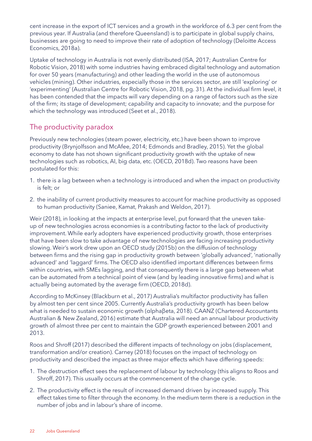cent increase in the export of ICT services and a growth in the workforce of 6.3 per cent from the previous year. If Australia (and therefore Queensland) is to participate in global supply chains, businesses are going to need to improve their rate of adoption of technology (Deloitte Access Economics, 2018a).

Uptake of technology in Australia is not evenly distributed (ISA, 2017; Australian Centre for Robotic Vision, 2018) with some industries having embraced digital technology and automation for over 50 years (manufacturing) and other leading the world in the use of autonomous vehicles (mining). Other industries, especially those in the services sector, are still 'exploring' or 'experimenting' (Australian Centre for Robotic Vision, 2018, pg. 31). At the individual firm level, it has been contended that the impacts will vary depending on a range of factors such as the size of the firm; its stage of development; capability and capacity to innovate; and the purpose for which the technology was introduced (Seet et al., 2018).

# The productivity paradox

Previously new technologies (steam power, electricity, etc.) have been shown to improve productivity (Brynjolfsson and McAfee, 2014; Edmonds and Bradley, 2015). Yet the global economy to date has not shown significant productivity growth with the uptake of new technologies such as robotics, AI, big data, etc. (OECD, 2018d). Two reasons have been postulated for this:

- 1. there is a lag between when a technology is introduced and when the impact on productivity is felt; or
- 2. the inability of current productivity measures to account for machine productivity as opposed to human productivity (Saniee, Kamat, Prakash and Weldon, 2017).

Weir (2018), in looking at the impacts at enterprise level, put forward that the uneven takeup of new technologies across economies is a contributing factor to the lack of productivity improvement. While early adopters have experienced productivity growth, those enterprises that have been slow to take advantage of new technologies are facing increasing productivity slowing. Weir's work drew upon an OECD study (2015b) on the diffusion of technology between firms and the rising gap in productivity growth between 'globally advanced', 'nationally advanced' and 'laggard' firms. The OECD also identified important differences between firms within countries, with SMEs lagging, and that consequently there is a large gap between what can be automated from a technical point of view (and by leading innovative firms) and what is actually being automated by the average firm (OECD, 2018d).

According to McKinsey (Blackburn et al., 2017) Australia's multifactor productivity has fallen by almost ten per cent since 2005. Currently Australia's productivity growth has been below what is needed to sustain economic growth (αlphaβeta, 2018). CAANZ (Chartered Accountants Australian & New Zealand, 2016) estimate that Australia will need an annual labour productivity growth of almost three per cent to maintain the GDP growth experienced between 2001 and 2013.

Roos and Shroff (2017) described the different impacts of technology on jobs (displacement, transformation and/or creation). Carney (2018) focuses on the impact of technology on productivity and described the impact as three major effects which have differing speeds:

- 1. The destruction effect sees the replacement of labour by technology (this aligns to Roos and Shroff, 2017). This usually occurs at the commencement of the change cycle.
- 2. The productivity effect is the result of increased demand driven by increased supply. This effect takes time to filter through the economy. In the medium term there is a reduction in the number of jobs and in labour's share of income.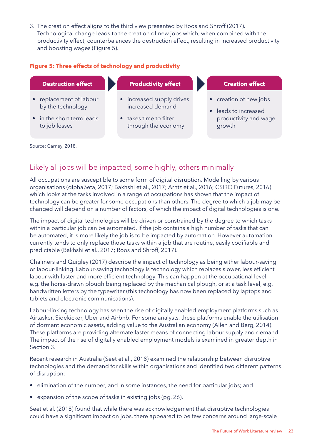3. The creation effect aligns to the third view presented by Roos and Shroff (2017). Technological change leads to the creation of new jobs which, when combined with the productivity effect, counterbalances the destruction effect, resulting in increased productivity and boosting wages (Figure 5).

#### **Figure 5: Three effects of technology and productivity**

| <b>Destruction effect</b>                    | <b>Productivity effect</b>                    | <b>Creation effect</b>                                    |
|----------------------------------------------|-----------------------------------------------|-----------------------------------------------------------|
| • replacement of labour<br>by the technology | • increased supply drives<br>increased demand | • creation of new jobs<br>leads to increased<br>$\bullet$ |
| • in the short term leads<br>to job losses   | • takes time to filter<br>through the economy | productivity and wage<br>growth                           |

Source: Carney, 2018.

# Likely all jobs will be impacted, some highly, others minimally

All occupations are susceptible to some form of digital disruption. Modelling by various organisations (αlphaβeta, 2017; Bakhshi et al., 2017; Arntz et al., 2016; CSIRO Futures, 2016) which looks at the tasks involved in a range of occupations has shown that the impact of technology can be greater for some occupations than others. The degree to which a job may be changed will depend on a number of factors, of which the impact of digital technologies is one.

The impact of digital technologies will be driven or constrained by the degree to which tasks within a particular job can be automated. If the job contains a high number of tasks that can be automated, it is more likely the job is to be impacted by automation. However automation currently tends to only replace those tasks within a job that are routine, easily codifiable and predictable (Bakhshi et al., 2017; Roos and Shroff, 2017).

Chalmers and Quigley (2017) describe the impact of technology as being either labour-saving or labour-linking. Labour-saving technology is technology which replaces slower, less efficient labour with faster and more efficient technology. This can happen at the occupational level, e.g. the horse-drawn plough being replaced by the mechanical plough, or at a task level, e.g. handwritten letters by the typewriter (this technology has now been replaced by laptops and tablets and electronic communications).

Labour-linking technology has seen the rise of digitally enabled employment platforms such as Airtasker, Sidekicker, Uber and Airbnb. For some analysts, these platforms enable the utilisation of dormant economic assets, adding value to the Australian economy (Allen and Berg, 2014). These platforms are providing alternate faster means of connecting labour supply and demand. The impact of the rise of digitally enabled employment models is examined in greater depth in Section 3.

Recent research in Australia (Seet et al., 2018) examined the relationship between disruptive technologies and the demand for skills within organisations and identified two different patterns of disruption:

- elimination of the number, and in some instances, the need for particular jobs; and
- expansion of the scope of tasks in existing jobs (pg. 26).

Seet et al. (2018) found that while there was acknowledgement that disruptive technologies could have a significant impact on jobs, there appeared to be few concerns around large-scale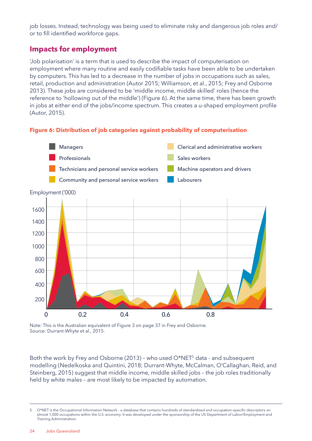<span id="page-23-0"></span>job losses. Instead, technology was being used to eliminate risky and dangerous job roles and/ or to fill identified workforce gaps.

# **Impacts for employment**

'Job polarisation' is a term that is used to describe the impact of computerisation on employment where many routine and easily codifiable tasks have been able to be undertaken by computers. This has led to a decrease in the number of jobs in occupations such as sales, retail, production and administration (Autor 2015; Williamson, et al., 2015; Frey and Osborne 2013). These jobs are considered to be 'middle income, middle skilled' roles (hence the reference to 'hollowing out of the middle') (Figure 6). At the same time, there has been growth in jobs at either end of the jobs/income spectrum. This creates a u-shaped employment profile (Autor, 2015).

#### **Figure 6: Distribution of job categories against probability of computerisation**



Note: This is the Australian equivalent of Figure 3 on page 37 in Frey and Osborne. Source: Durrant-Whyte et al., 2015.

Both the work by Frey and Osborne (2013) - who used O\*NET<sup>5</sup> data - and subsequent modelling (Nedelkoska and Quintini, 2018; Durrant-Whyte, McCalman, O'Callaghan, Reid, and Steinberg, 2015) suggest that middle income, middle skilled jobs – the job roles traditionally held by white males – are most likely to be impacted by automation.

<sup>5.</sup> O\*NET is the Occupational Information Network - a database that contains hundreds of standardised and occupation-specific descriptors on almost 1,000 occupations within the U.S. economy. It was developed under the sponsorship of the US Department of Labor/Employment and Training Administration.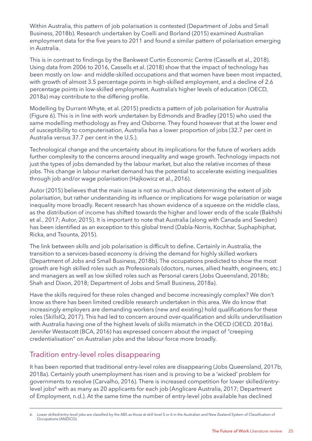Within Australia, this pattern of job polarisation is contested (Department of Jobs and Small Business, 2018b). Research undertaken by Coelli and Borland (2015) examined Australian employment data for the five years to 2011 and found a similar pattern of polarisation emerging in Australia.

This is in contrast to findings by the Bankwest Curtin Economic Centre (Cassells et al., 2018). Using data from 2006 to 2016, Cassells et al. (2018) show that the impact of technology has been mostly on low- and middle-skilled occupations and that women have been most impacted, with growth of almost 3.5 percentage points in high-skilled employment, and a decline of 2.6 percentage points in low-skilled employment. Australia's higher levels of education (OECD, 2018a) may contribute to the differing profile.

Modelling by Durrant-Whyte, et al. (2015) predicts a pattern of job polarisation for Australia (Figure 6). This is in line with work undertaken by Edmonds and Bradley (2015) who used the same modelling methodology as Frey and Osborne. They found however that at the lower end of susceptibility to computerisation, Australia has a lower proportion of jobs (32.7 per cent in Australia versus 37.7 per cent in the U.S.).

Technological change and the uncertainty about its implications for the future of workers adds further complexity to the concerns around inequality and wage growth. Technology impacts not just the types of jobs demanded by the labour market, but also the relative incomes of these jobs. This change in labour market demand has the potential to accelerate existing inequalities through job and/or wage polarisation (Hajkowicz et al., 2016).

Autor (2015) believes that the main issue is not so much about determining the extent of job polarisation, but rather understanding its influence or implications for wage polarisation or wage inequality more broadly. Recent research has shown evidence of a squeeze on the middle class, as the distribution of income has shifted towards the higher and lower ends of the scale (Bakhshi et al., 2017; Autor, 2015). It is important to note that Australia (along with Canada and Sweden) has been identified as an exception to this global trend (Dabla-Norris, Kochhar, Suphaphiphat, Ricka, and Tsounta, 2015).

The link between skills and job polarisation is difficult to define. Certainly in Australia, the transition to a services-based economy is driving the demand for highly skilled workers (Department of Jobs and Small Business, 2018b). The occupations predicted to show the most growth are high skilled roles such as Professionals (doctors, nurses, allied health, engineers, etc.) and managers as well as low skilled roles such as Personal carers (Jobs Queensland, 2018b; Shah and Dixon, 2018; Department of Jobs and Small Business, 2018a).

Have the skills required for these roles changed and become increasingly complex? We don't know as there has been limited credible research undertaken in this area. We do know that increasingly employers are demanding workers (new and existing) hold qualifications for these roles (SkillsIQ, 2017). This had led to concern around over-qualification and skills underutilisation with Australia having one of the highest levels of skills mismatch in the OECD (OECD. 2018a). Jennifer Westacott (BCA, 2016) has expressed concern about the impact of "creeping credentialisation" on Australian jobs and the labour force more broadly.

# Tradition entry-level roles disappearing

It has been reported that traditional entry-level roles are disappearing (Jobs Queensland, 2017b, 2018a). Certainly youth unemployment has risen and is proving to be a 'wicked' problem for governments to resolve (Carvalho, 2016). There is increased competition for lower skilled/entrylevel jobs<sup>6</sup> with as many as 20 applicants for each job (Anglicare Australia, 2017; Department of Employment, n.d.). At the same time the number of entry-level jobs available has declined

<sup>6.</sup> Lower skilled/entry-level jobs are classified by the ABS as those at skill level 5 or 6 in the Australian and New Zealand System of Classification of Occupations (ANZSCO).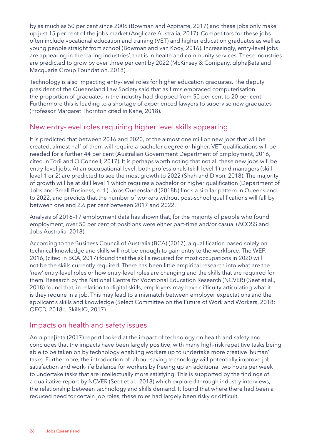by as much as 50 per cent since 2006 (Bowman and Azpitarte, 2017) and these jobs only make up just 15 per cent of the jobs market (Anglicare Australia, 2017). Competitors for these jobs often include vocational education and training (VET) and higher education graduates as well as young people straight from school (Bowman and van Kooy, 2016). Increasingly, entry-level jobs are appearing in the 'caring industries', that is in health and community services. These industries are predicted to grow by over three per cent by 2022 (McKinsey & Company, αlphaβeta and Macquarie Group Foundation, 2018).

Technology is also impacting entry-level roles for higher education graduates. The deputy president of the Queensland Law Society said that as firms embraced computerisation the proportion of graduates in the industry had dropped from 50 per cent to 20 per cent. Furthermore this is leading to a shortage of experienced lawyers to supervise new graduates (Professor Margaret Thornton cited in Kane, 2018).

# New entry-level roles requiring higher level skills appearing

It is predicted that between 2016 and 2020, of the almost one million new jobs that will be created, almost half of them will require a bachelor degree or higher. VET qualifications will be needed for a further 44 per cent (Australian Government Department of Employment, 2016, cited in Torii and O'Connell, 2017). It is perhaps worth noting that not all these new jobs will be entry-level jobs. At an occupational level, both professionals (skill level 1) and managers (skill level 1 or 2) are predicted to see the most growth to 2022 (Shah and Dixon, 2018). The majority of growth will be at skill level 1 which requires a bachelor or higher qualification (Department of Jobs and Small Business, n.d.). Jobs Queensland (2018b) finds a similar pattern in Queensland to 2022, and predicts that the number of workers without post-school qualifications will fall by between one and 2.6 per cent between 2017 and 2022.

Analysis of 2016–17 employment data has shown that, for the majority of people who found employment, over 50 per cent of positions were either part-time and/or casual (ACOSS and Jobs Australia, 2018).

According to the Business Council of Australia (BCA) (2017), a qualification based solely on technical knowledge and skills will not be enough to gain entry to the workforce. The WEF, 2016, (cited in BCA, 2017) found that the skills required for most occupations in 2020 will not be the skills currently required. There has been little empirical research into what are the 'new' entry-level roles or how entry-level roles are changing and the skills that are required for them. Research by the National Centre for Vocational Education Research (NCVER) (Seet et al., 2018) found that, in relation to digital skills, employers may have difficulty articulating what it is they require in a job. This may lead to a mismatch between employer expectations and the applicant's skills and knowledge (Select Committee on the Future of Work and Workers, 2018; OECD, 2018c; SkillsIQ, 2017).

## Impacts on health and safety issues

An αlphaβeta (2017) report looked at the impact of technology on health and safety and concludes that the impacts have been largely positive, with many high-risk repetitive tasks being able to be taken on by technology enabling workers up to undertake more creative 'human' tasks. Furthermore, the introduction of labour-saving technology will potentially improve job satisfaction and work-life balance for workers by freeing up an additional two hours per week to undertake tasks that are intellectually more satisfying. This is supported by the findings of a qualitative report by NCVER (Seet et al., 2018) which explored through industry interviews, the relationship between technology and skills demand. It found that where there had been a reduced need for certain job roles, these roles had largely been risky or difficult.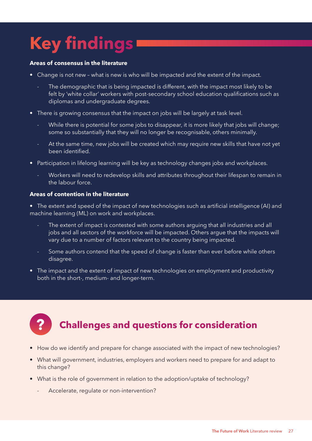# <span id="page-26-0"></span>**Key findings**

#### **Areas of consensus in the literature**

- Change is not new what is new is who will be impacted and the extent of the impact.
	- The demographic that is being impacted is different, with the impact most likely to be felt by 'white collar' workers with post-secondary school education qualifications such as diplomas and undergraduate degrees.
- There is growing consensus that the impact on jobs will be largely at task level.
	- While there is potential for some jobs to disappear, it is more likely that jobs will change; some so substantially that they will no longer be recognisable, others minimally.
	- At the same time, new jobs will be created which may require new skills that have not yet been identified.
- Participation in lifelong learning will be key as technology changes jobs and workplaces.
	- Workers will need to redevelop skills and attributes throughout their lifespan to remain in the labour force.

#### **Areas of contention in the literature**

• The extent and speed of the impact of new technologies such as artificial intelligence (AI) and machine learning (ML) on work and workplaces.

- The extent of impact is contested with some authors arguing that all industries and all jobs and all sectors of the workforce will be impacted. Others argue that the impacts will vary due to a number of factors relevant to the country being impacted.
- Some authors contend that the speed of change is faster than ever before while others disagree.
- The impact and the extent of impact of new technologies on employment and productivity both in the short-, medium- and longer-term.

# **? Challenges and questions for consideration**

- How do we identify and prepare for change associated with the impact of new technologies?
- What will government, industries, employers and workers need to prepare for and adapt to this change?
- What is the role of government in relation to the adoption/uptake of technology?
	- Accelerate, regulate or non-intervention?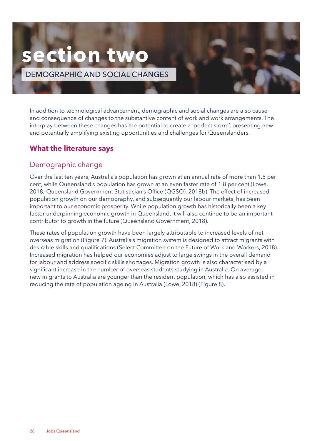# <span id="page-27-0"></span>**section two**

DEMOGRAPHIC AND SOCIAL CHANGES

In addition to technological advancement, demographic and social changes are also cause and consequence of changes to the substantive content of work and work arrangements. The interplay between these changes has the potential to create a 'perfect storm', presenting new and potentially amplifying existing opportunities and challenges for Queenslanders.

# **What the literature says**

# Demographic change

Over the last ten years, Australia's population has grown at an annual rate of more than 1.5 per cent, while Queensland's population has grown at an even faster rate of 1.8 per cent (Lowe, 2018; Queensland Government Statistician's Office (QGSO), 2018b). The effect of increased population growth on our demography, and subsequently our labour markets, has been important to our economic prosperity. While population growth has historically been a key factor underpinning economic growth in Queensland, it will also continue to be an important contributor to growth in the future (Queensland Government, 2018).

These rates of population growth have been largely attributable to increased levels of net overseas migration (Figure 7). Australia's migration system is designed to attract migrants with desirable skills and qualifications (Select Committee on the Future of Work and Workers, 2018). Increased migration has helped our economies adjust to large swings in the overall demand for labour and address specific skills shortages. Migration growth is also characterised by a significant increase in the number of overseas students studying in Australia. On average, new migrants to Australia are younger than the resident population, which has also assisted in reducing the rate of population ageing in Australia (Lowe, 2018) (Figure 8).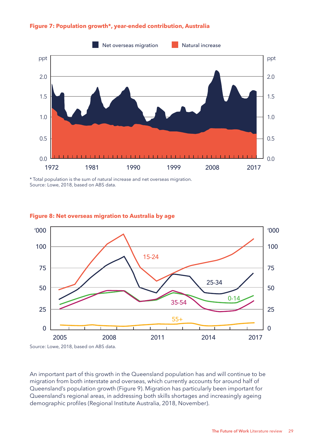

#### **Figure 7: Population growth\*, year-ended contribution, Australia**

\* Total population is the sum of natural increase and net overseas migration. Source: Lowe, 2018, based on ABS data.



#### **Figure 8: Net overseas migration to Australia by age**

Source: Lowe, 2018, based on ABS data.

An important part of this growth in the Queensland population has and will continue to be migration from both interstate and overseas, which currently accounts for around half of Queensland's population growth (Figure 9). Migration has particularly been important for Queensland's regional areas, in addressing both skills shortages and increasingly ageing demographic profiles (Regional Institute Australia, 2018, November).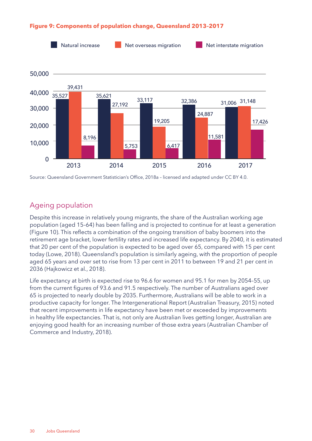

#### **Figure 9: Components of population change, Queensland 2013–2017**

Source: Queensland Government Statistician's Office, 2018a – licensed and adapted under CC BY 4.0.

# Ageing population

Despite this increase in relatively young migrants, the share of the Australian working age population (aged 15–64) has been falling and is projected to continue for at least a generation (Figure 10). This reflects a combination of the ongoing transition of baby boomers into the retirement age bracket, lower fertility rates and increased life expectancy. By 2040, it is estimated that 20 per cent of the population is expected to be aged over 65, compared with 15 per cent today (Lowe, 2018). Queensland's population is similarly ageing, with the proportion of people aged 65 years and over set to rise from 13 per cent in 2011 to between 19 and 21 per cent in 2036 (Hajkowicz et al., 2018).

Life expectancy at birth is expected rise to 96.6 for women and 95.1 for men by 2054–55, up from the current figures of 93.6 and 91.5 respectively. The number of Australians aged over 65 is projected to nearly double by 2035. Furthermore, Australians will be able to work in a productive capacity for longer. The Intergenerational Report (Australian Treasury, 2015) noted that recent improvements in life expectancy have been met or exceeded by improvements in healthy life expectancies. That is, not only are Australian lives getting longer, Australian are enjoying good health for an increasing number of those extra years (Australian Chamber of Commerce and Industry, 2018).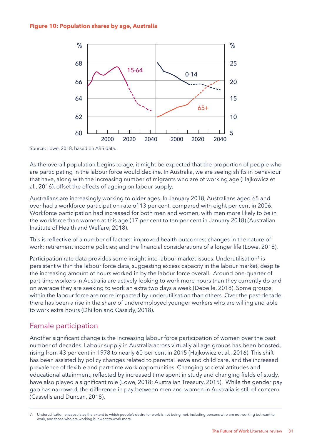#### **Figure 10: Population shares by age, Australia**



Source: Lowe, 2018, based on ABS data.

As the overall population begins to age, it might be expected that the proportion of people who are participating in the labour force would decline. In Australia, we are seeing shifts in behaviour that have, along with the increasing number of migrants who are of working age (Hajkowicz et al., 2016), offset the effects of ageing on labour supply.

Australians are increasingly working to older ages. In January 2018, Australians aged 65 and over had a workforce participation rate of 13 per cent, compared with eight per cent in 2006. Workforce participation had increased for both men and women, with men more likely to be in the workforce than women at this age (17 per cent to ten per cent in January 2018) (Australian Institute of Health and Welfare, 2018).

This is reflective of a number of factors: improved health outcomes; changes in the nature of work; retirement income policies; and the financial considerations of a longer life (Lowe, 2018).

Participation rate data provides some insight into labour market issues. Underutilisation<sup>7</sup> is persistent within the labour force data, suggesting excess capacity in the labour market, despite the increasing amount of hours worked in by the labour force overall. Around one-quarter of part-time workers in Australia are actively looking to work more hours than they currently do and on average they are seeking to work an extra two days a week (Debelle, 2018). Some groups within the labour force are more impacted by underutilisation than others. Over the past decade, there has been a rise in the share of underemployed younger workers who are willing and able to work extra hours (Dhillon and Cassidy, 2018).

## Female participation

Another significant change is the increasing labour force participation of women over the past number of decades. Labour supply in Australia across virtually all age groups has been boosted, rising from 43 per cent in 1978 to nearly 60 per cent in 2015 (Hajkowicz et al., 2016). This shift has been assisted by policy changes related to parental leave and child care, and the increased prevalence of flexible and part-time work opportunities. Changing societal attitudes and educational attainment, reflected by increased time spent in study and changing fields of study, have also played a significant role (Lowe, 2018; Australian Treasury, 2015). While the gender pay gap has narrowed, the difference in pay between men and women in Australia is still of concern (Cassells and Duncan, 2018).

<sup>7.</sup> Underutilisation encapsulates the extent to which people's desire for work is not being met, including persons who are not working but want to work, and those who are working but want to work more.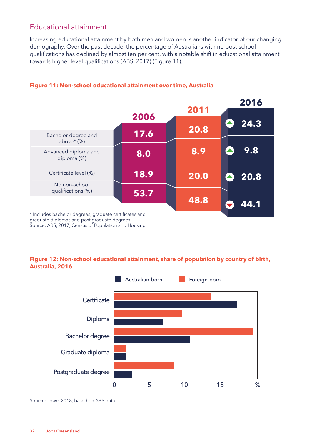# Educational attainment

Increasing educational attainment by both men and women is another indicator of our changing demography. Over the past decade, the percentage of Australians with no post-school qualifications has declined by almost ten per cent, with a notable shift in educational attainment towards higher level qualifications (ABS, 2017) (Figure 11).

|                                                                                                                                                               |      | 2011 | 2016 |
|---------------------------------------------------------------------------------------------------------------------------------------------------------------|------|------|------|
|                                                                                                                                                               | 2006 |      | 24.3 |
| Bachelor degree and                                                                                                                                           | 17.6 | 20.8 |      |
| above $*(\%)$<br>Advanced diploma and                                                                                                                         |      | 8.9  | 9.8  |
| diploma (%)                                                                                                                                                   | 8.0  |      |      |
| Certificate level (%)                                                                                                                                         | 18.9 | 20.0 | 20.8 |
| No non-school<br>qualifications (%)                                                                                                                           | 53.7 |      |      |
|                                                                                                                                                               |      | 48.8 | 44.1 |
| * Includes bachelor degrees, graduate certificates and<br>graduate diplomas and post graduate degrees.<br>Source: ABS, 2017, Census of Population and Housing |      |      |      |

#### **Figure 11: Non-school educational attainment over time, Australia**

#### **Figure 12: Non-school educational attainment, share of population by country of birth, Australia, 2016**



Source: Lowe, 2018, based on ABS data.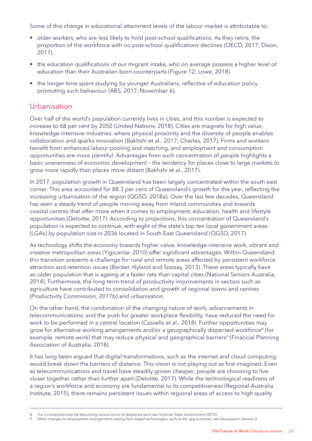Some of this change in educational attainment levels of the labour market is attributable to:

- older workers, who are less likely to hold post-school qualifications. As they retire, the proportion of the workforce with no post-school qualifications declines (OECD, 2017; Dixon, 2017).
- the education qualifications of our migrant intake, who on average possess a higher level of education than their Australian-born counterparts (Figure 12; Lowe, 2018).
- the longer time spent studying by younger Australians, reflective of education policy promoting such behaviour (ABS, 2017, November 6).

### Urbanisation

Over half of the world's population currently lives in cities, and this number is expected to increase to 68 per cent by 2050 (United Nations, 2018). Cities are magnets for high value, knowledge-intensive industries, where physical proximity and the diversity of people enables collaboration and sparks innovation (Bakhshi et al., 2017; Charles, 2017). Firms and workers benefit from enhanced labour pooling and matching, and employment and consumption opportunities are more plentiful. Advantages from such concentration of people highlights a basic unevenness of economic development – the tendency for places close to large markets to grow more rapidly than places more distant (Bakhshi et al., 2017).

In 2017, population growth in Queensland has been largely concentrated within the south east corner. This area accounted for 88.3 per cent of Queensland's growth for the year, reflecting the increasing urbanisation of the region (QGSO, 2018a). Over the last few decades, Queensland has seen a steady trend of people moving away from inland communities and towards coastal centres that offer more when it comes to employment, education, health and lifestyle opportunities (Deloitte, 2017). According to projections, this concentration of Queensland's population is expected to continue, with eight of the state's top ten local government areas (LGAs) by population size in 2036 located in South East Queensland (QGSO, 2017).

As technology shifts the economy towards higher value, knowledge-intensive work, vibrant and creative metropolitan areas (Yigicanlar, 2010) offer significant advantages. Within Queensland this transition presents a challenge for rural and remote areas affected by persistent workforce attraction and retention issues (Becker, Hyland and Soosay, 2013). These areas typically have an older population that is ageing at a faster rate than capital cities (National Seniors Australia, 2014). Furthermore, the long-term trend of productivity improvements in sectors such as agriculture have contributed to consolidation and growth of regional towns and centres (Productivity Commission, 2017b) and urbanisation.

On the other hand, the combination of the changing nature of work, advancements in telecommunications, and the push for greater workplace flexibility, have reduced the need for work to be performed in a central location (Cassells et al., 2018). Further opportunities may grow for alternative working arrangements and/or a geographically dispersed workforce<sup>8</sup> (for example, remote work) that may reduce physical and geographical barriers<sup>9</sup> (Financial Planning Association of Australia, 2018).

It has long been argued that digital transformations, such as the internet and cloud computing, would break down the barriers of distance. This vision is not playing out as first imagined. Even as telecommunications and travel have steadily grown cheaper, people are choosing to live closer together rather than further apart (Deloitte, 2017). While the technological readiness of a region's workforce and economy are fundamental to its competitiveness (Regional Australia Institute, 2015), there remains persistent issues within regional areas of access to high quality

<sup>8.</sup> For a comprehensive list describing various forms of displaced work see Victorian State Government (2013).

<sup>9.</sup> Other changes to employment arrangements arising from digital technologies, such as the 'gig economy', are discussed in Section 3.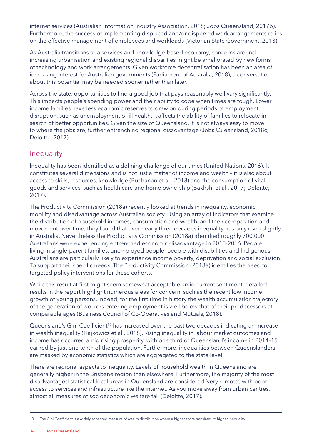internet services (Australian Information Industry Association, 2018; Jobs Queensland, 2017b). Furthermore, the success of implementing displaced and/or dispersed work arrangements relies on the effective management of employees and workloads (Victorian State Government, 2013).

As Australia transitions to a services and knowledge-based economy, concerns around increasing urbanisation and existing regional disparities might be ameliorated by new forms of technology and work arrangements. Given workforce decentralisation has been an area of increasing interest for Australian governments (Parliament of Australia, 2018), a conversation about this potential may be needed sooner rather than later.

Across the state, opportunities to find a good job that pays reasonably well vary significantly. This impacts people's spending power and their ability to cope when times are tough. Lower income families have less economic reserves to draw on during periods of employment disruption, such as unemployment or ill health. It affects the ability of families to relocate in search of better opportunities. Given the size of Queensland, it is not always easy to move to where the jobs are, further entrenching regional disadvantage (Jobs Queensland, 2018c; Deloitte, 2017).

## Inequality

Inequality has been identified as a defining challenge of our times (United Nations, 2016). It constitutes several dimensions and is not just a matter of income and wealth – it is also about access to skills, resources, knowledge (Buchanan et al., 2018) and the consumption of vital goods and services, such as health care and home ownership (Bakhshi et al., 2017; Deloitte, 2017).

The Productivity Commission (2018a) recently looked at trends in inequality, economic mobility and disadvantage across Australian society. Using an array of indicators that examine the distribution of household incomes, consumption and wealth, and their composition and movement over time, they found that over nearly three decades inequality has only risen slightly in Australia. Nevertheless the Productivity Commission (2018a) identified roughly 700,000 Australians were experiencing entrenched economic disadvantage in 2015-2016. People living in single-parent families, unemployed people, people with disabilities and Indigenous Australians are particularly likely to experience income poverty, deprivation and social exclusion. To support their specific needs, The Productivity Commission (2018a) identifies the need for targeted policy interventions for these cohorts.

While this result at first might seem somewhat acceptable amid current sentiment, detailed results in the report highlight numerous areas for concern, such as the recent low income growth of young persons. Indeed, for the first time in history the wealth accumulation trajectory of the generation of workers entering employment is well below that of their predecessors at comparable ages (Business Council of Co-Operatives and Mutuals, 2018).

Queensland's Gini Coefficient<sup>10</sup> has increased over the past two decades indicating an increase in wealth inequality (Hajkowicz et al., 2018). Rising inequality in labour market outcomes and income has occurred amid rising prosperity, with one third of Queensland's income in 2014–15 earned by just one tenth of the population. Furthermore, inequalities between Queenslanders are masked by economic statistics which are aggregated to the state level.

There are regional aspects to inequality. Levels of household wealth in Queensland are generally higher in the Brisbane region than elsewhere. Furthermore, the majority of the most disadvantaged statistical local areas in Queensland are considered 'very remote', with poor access to services and infrastructure like the internet. As you move away from urban centres, almost all measures of socioeconomic welfare fall (Deloitte, 2017).

<sup>10.</sup> The Gini Coefficient is a widely accepted measure of wealth distribution where a higher score translates to higher inequality.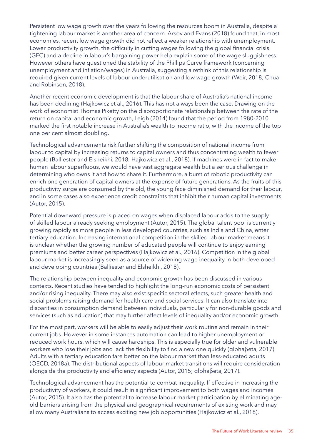Persistent low wage growth over the years following the resources boom in Australia, despite a tightening labour market is another area of concern. Arsov and Evans (2018) found that, in most economies, recent low wage growth did not reflect a weaker relationship with unemployment. Lower productivity growth, the difficulty in cutting wages following the global financial crisis (GFC) and a decline in labour's bargaining power help explain some of the wage sluggishness. However others have questioned the stability of the Phillips Curve framework (concerning unemployment and inflation/wages) in Australia, suggesting a rethink of this relationship is required given current levels of labour underutilisation and low wage growth (Weir, 2018; Chua and Robinson, 2018).

Another recent economic development is that the labour share of Australia's national income has been declining (Hajkowicz et al., 2016). This has not always been the case. Drawing on the work of economist Thomas Piketty on the disproportionate relationship between the rate of the return on capital and economic growth, Leigh (2014) found that the period from 1980-2010 marked the first notable increase in Australia's wealth to income ratio, with the income of the top one per cent almost doubling.

Technological advancements risk further shifting the composition of national income from labour to capital by increasing returns to capital owners and thus concentrating wealth to fewer people (Balliester and Elsheikhi, 2018; Hajkowicz et al., 2018). If machines were in fact to make human labour superfluous, we would have vast aggregate wealth but a serious challenge in determining who owns it and how to share it. Furthermore, a burst of robotic productivity can enrich one generation of capital owners at the expense of future generations. As the fruits of this productivity surge are consumed by the old, the young face diminished demand for their labour, and in some cases also experience credit constraints that inhibit their human capital investments (Autor, 2015).

Potential downward pressure is placed on wages when displaced labour adds to the supply of skilled labour already seeking employment (Autor, 2015). The global talent pool is currently growing rapidly as more people in less developed countries, such as India and China, enter tertiary education. Increasing international competition in the skilled labour market means it is unclear whether the growing number of educated people will continue to enjoy earning premiums and better career perspectives (Hajkowicz et al., 2016). Competition in the global labour market is increasingly seen as a source of widening wage inequality in both developed and developing countries (Balliester and Elsheikhi, 2018).

The relationship between inequality and economic growth has been discussed in various contexts. Recent studies have tended to highlight the long-run economic costs of persistent and/or rising inequality. There may also exist specific sectoral effects, such greater health and social problems raising demand for health care and social services. It can also translate into disparities in consumption demand between individuals, particularly for non-durable goods and services (such as education) that may further affect levels of inequality and/or economic growth.

For the most part, workers will be able to easily adjust their work routine and remain in their current jobs. However in some instances automation can lead to higher unemployment or reduced work hours, which will cause hardships. This is especially true for older and vulnerable workers who lose their jobs and lack the flexibility to find a new one quickly (αlphaβeta, 2017). Adults with a tertiary education fare better on the labour market than less-educated adults (OECD, 2018a). The distributional aspects of labour market transitions will require consideration alongside the productivity and efficiency aspects (Autor, 2015; αlphaβeta, 2017).

Technological advancement has the potential to combat inequality. If effective in increasing the productivity of workers, it could result in significant improvement to both wages and incomes (Autor, 2015). It also has the potential to increase labour market participation by eliminating ageold barriers arising from the physical and geographical requirements of existing work and may allow many Australians to access exciting new job opportunities (Hajkowicz et al., 2018).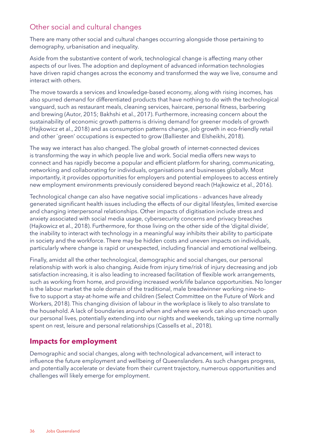# <span id="page-35-0"></span>Other social and cultural changes

There are many other social and cultural changes occurring alongside those pertaining to demography, urbanisation and inequality.

Aside from the substantive content of work, technological change is affecting many other aspects of our lives. The adoption and deployment of advanced information technologies have driven rapid changes across the economy and transformed the way we live, consume and interact with others.

The move towards a services and knowledge-based economy, along with rising incomes, has also spurred demand for differentiated products that have nothing to do with the technological vanguard, such as restaurant meals, cleaning services, haircare, personal fitness, barbering and brewing (Autor, 2015; Bakhshi et al., 2017). Furthermore, increasing concern about the sustainability of economic growth patterns is driving demand for greener models of growth (Hajkowicz et al., 2018) and as consumption patterns change, job growth in eco-friendly retail and other `green' occupations is expected to grow (Balliester and Elsheikhi, 2018).

The way we interact has also changed. The global growth of internet-connected devices is transforming the way in which people live and work. Social media offers new ways to connect and has rapidly become a popular and efficient platform for sharing, communicating, networking and collaborating for individuals, organisations and businesses globally. Most importantly, it provides opportunities for employers and potential employees to access entirely new employment environments previously considered beyond reach (Hajkowicz et al., 2016).

Technological change can also have negative social implications – advances have already generated significant health issues including the effects of our digital lifestyles, limited exercise and changing interpersonal relationships. Other impacts of digitisation include stress and anxiety associated with social media usage, cybersecurity concerns and privacy breaches (Hajkowicz et al., 2018). Furthermore, for those living on the other side of the 'digital divide', the inability to interact with technology in a meaningful way inhibits their ability to participate in society and the workforce. There may be hidden costs and uneven impacts on individuals, particularly where change is rapid or unexpected, including financial and emotional wellbeing.

Finally, amidst all the other technological, demographic and social changes, our personal relationship with work is also changing. Aside from injury time/risk of injury decreasing and job satisfaction increasing, it is also leading to increased facilitation of flexible work arrangements, such as working from home, and providing increased work/life balance opportunities. No longer is the labour market the sole domain of the traditional, male breadwinner working nine-tofive to support a stay-at-home wife and children (Select Committee on the Future of Work and Workers, 2018). This changing division of labour in the workplace is likely to also translate to the household. A lack of boundaries around when and where we work can also encroach upon our personal lives, potentially extending into our nights and weekends, taking up time normally spent on rest, leisure and personal relationships (Cassells et al., 2018).

# **Impacts for employment**

Demographic and social changes, along with technological advancement, will interact to influence the future employment and wellbeing of Queenslanders. As such changes progress, and potentially accelerate or deviate from their current trajectory, numerous opportunities and challenges will likely emerge for employment.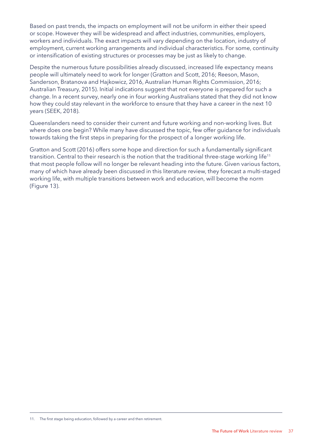Based on past trends, the impacts on employment will not be uniform in either their speed or scope. However they will be widespread and affect industries, communities, employers, workers and individuals. The exact impacts will vary depending on the location, industry of employment, current working arrangements and individual characteristics. For some, continuity or intensification of existing structures or processes may be just as likely to change.

Despite the numerous future possibilities already discussed, increased life expectancy means people will ultimately need to work for longer (Gratton and Scott, 2016; Reeson, Mason, Sanderson, Bratanova and Hajkowicz, 2016, Australian Human Rights Commission, 2016; Australian Treasury, 2015). Initial indications suggest that not everyone is prepared for such a change. In a recent survey, nearly one in four working Australians stated that they did not know how they could stay relevant in the workforce to ensure that they have a career in the next 10 years (SEEK, 2018).

Queenslanders need to consider their current and future working and non-working lives. But where does one begin? While many have discussed the topic, few offer guidance for individuals towards taking the first steps in preparing for the prospect of a longer working life.

Gratton and Scott (2016) offers some hope and direction for such a fundamentally significant transition. Central to their research is the notion that the traditional three-stage working life<sup>11</sup> that most people follow will no longer be relevant heading into the future. Given various factors, many of which have already been discussed in this literature review, they forecast a multi-staged working life, with multiple transitions between work and education, will become the norm (Figure 13).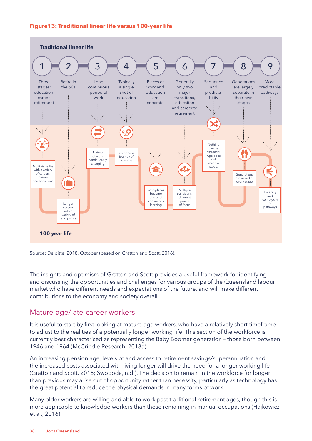### **Figure13: Traditional linear life versus 100-year life**



Source: Deloitte, 2018, October (based on Gratton and Scott, 2016).

The insights and optimism of Gratton and Scott provides a useful framework for identifying and discussing the opportunities and challenges for various groups of the Queensland labour market who have different needs and expectations of the future, and will make different contributions to the economy and society overall.

### Mature-age/late-career workers

It is useful to start by first looking at mature-age workers, who have a relatively short timeframe to adjust to the realities of a potentially longer working life. This section of the workforce is currently best characterised as representing the Baby Boomer generation – those born between 1946 and 1964 (McCrindle Research, 2018a).

An increasing pension age, levels of and access to retirement savings/superannuation and the increased costs associated with living longer will drive the need for a longer working life (Gratton and Scott, 2016; Swoboda, n.d.). The decision to remain in the workforce for longer than previous may arise out of opportunity rather than necessity, particularly as technology has the great potential to reduce the physical demands in many forms of work.

Many older workers are willing and able to work past traditional retirement ages, though this is more applicable to knowledge workers than those remaining in manual occupations (Hajkowicz et al., 2016).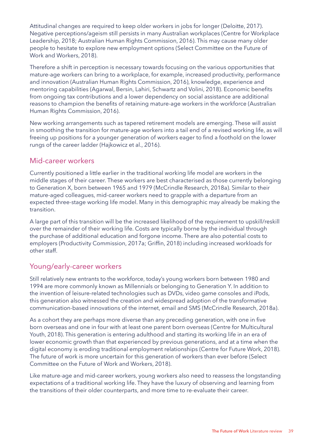Attitudinal changes are required to keep older workers in jobs for longer (Deloitte, 2017). Negative perceptions/ageism still persists in many Australian workplaces (Centre for Workplace Leadership, 2018; Australian Human Rights Commission, 2016). This may cause many older people to hesitate to explore new employment options (Select Committee on the Future of Work and Workers, 2018).

Therefore a shift in perception is necessary towards focusing on the various opportunities that mature-age workers can bring to a workplace, for example, increased productivity, performance and innovation (Australian Human Rights Commission, 2016), knowledge, experience and mentoring capabilities (Agarwal, Bersin, Lahiri, Schwartz and Volini, 2018). Economic benefits from ongoing tax contributions and a lower dependency on social assistance are additional reasons to champion the benefits of retaining mature-age workers in the workforce (Australian Human Rights Commission, 2016).

New working arrangements such as tapered retirement models are emerging. These will assist in smoothing the transition for mature-age workers into a tail end of a revised working life, as will freeing up positions for a younger generation of workers eager to find a foothold on the lower rungs of the career ladder (Hajkowicz et al., 2016).

### Mid-career workers

Currently positioned a little earlier in the traditional working life model are workers in the middle stages of their career. These workers are best characterised as those currently belonging to Generation X, born between 1965 and 1979 (McCrindle Research, 2018a). Similar to their mature-aged colleagues, mid-career workers need to grapple with a departure from an expected three-stage working life model. Many in this demographic may already be making the transition.

A large part of this transition will be the increased likelihood of the requirement to upskill/reskill over the remainder of their working life. Costs are typically borne by the individual through the purchase of additional education and forgone income. There are also potential costs to employers (Productivity Commission, 2017a; Griffin, 2018) including increased workloads for other staff.

### Young/early-career workers

Still relatively new entrants to the workforce, today's young workers born between 1980 and 1994 are more commonly known as Millennials or belonging to Generation Y. In addition to the invention of leisure-related technologies such as DVDs, video game consoles and iPods, this generation also witnessed the creation and widespread adoption of the transformative communication-based innovations of the internet, email and SMS (McCrindle Research, 2018a).

As a cohort they are perhaps more diverse than any preceding generation, with one in five born overseas and one in four with at least one parent born overseas (Centre for Multicultural Youth, 2018). This generation is entering adulthood and starting its working life in an era of lower economic growth than that experienced by previous generations, and at a time when the digital economy is eroding traditional employment relationships (Centre for Future Work, 2018). The future of work is more uncertain for this generation of workers than ever before (Select Committee on the Future of Work and Workers, 2018).

Like mature-age and mid-career workers, young workers also need to reassess the longstanding expectations of a traditional working life. They have the luxury of observing and learning from the transitions of their older counterparts, and more time to re-evaluate their career.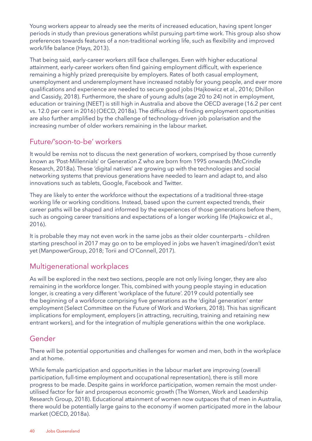Young workers appear to already see the merits of increased education, having spent longer periods in study than previous generations whilst pursuing part-time work. This group also show preferences towards features of a non-traditional working life, such as flexibility and improved work/life balance (Hays, 2013).

That being said, early-career workers still face challenges. Even with higher educational attainment, early-career workers often find gaining employment difficult, with experience remaining a highly prized prerequisite by employers. Rates of both casual employment, unemployment and underemployment have increased notably for young people, and ever more qualifications and experience are needed to secure good jobs (Hajkowicz et al., 2016; Dhillon and Cassidy, 2018). Furthermore, the share of young adults (age 20 to 24) not in employment, education or training (NEET) is still high in Australia and above the OECD average (16.2 per cent vs. 12.0 per cent in 2016) (OECD, 2018a). The difficulties of finding employment opportunities are also further amplified by the challenge of technology-driven job polarisation and the increasing number of older workers remaining in the labour market.

### Future/'soon-to-be' workers

It would be remiss not to discuss the next generation of workers, comprised by those currently known as 'Post-Millennials' or Generation Z who are born from 1995 onwards (McCrindle Research, 2018a). These 'digital natives' are growing up with the technologies and social networking systems that previous generations have needed to learn and adapt to, and also innovations such as tablets, Google, Facebook and Twitter.

They are likely to enter the workforce without the expectations of a traditional three-stage working life or working conditions. Instead, based upon the current expected trends, their career paths will be shaped and informed by the experiences of those generations before them, such as ongoing career transitions and expectations of a longer working life (Hajkowicz et al., 2016).

It is probable they may not even work in the same jobs as their older counterparts – children starting preschool in 2017 may go on to be employed in jobs we haven't imagined/don't exist yet (ManpowerGroup, 2018; Torii and O'Connell, 2017).

### Multigenerational workplaces

As will be explored in the next two sections, people are not only living longer, they are also remaining in the workforce longer. This, combined with young people staying in education longer, is creating a very different 'workplace of the future'. 2019 could potentially see the beginning of a workforce comprising five generations as the 'digital generation' enter employment (Select Committee on the Future of Work and Workers, 2018). This has significant implications for employment, employers (in attracting, recruiting, training and retaining new entrant workers), and for the integration of multiple generations within the one workplace.

### Gender

There will be potential opportunities and challenges for women and men, both in the workplace and at home.

While female participation and opportunities in the labour market are improving (overall participation, full-time employment and occupational representation), there is still more progress to be made. Despite gains in workforce participation, women remain the most underutilised factor for fair and prosperous economic growth (The Women, Work and Leadership Research Group, 2018). Educational attainment of women now outpaces that of men in Australia, there would be potentially large gains to the economy if women participated more in the labour market (OECD, 2018a).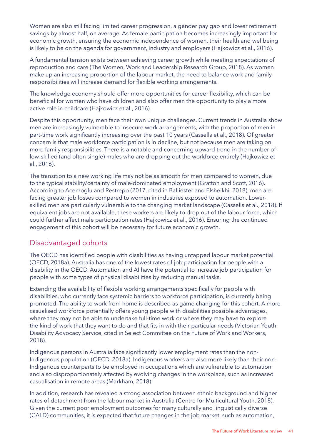Women are also still facing limited career progression, a gender pay gap and lower retirement savings by almost half, on average. As female participation becomes increasingly important for economic growth, ensuring the economic independence of women, their health and wellbeing is likely to be on the agenda for government, industry and employers (Hajkowicz et al., 2016).

A fundamental tension exists between achieving career growth while meeting expectations of reproduction and care (The Women, Work and Leadership Research Group, 2018). As women make up an increasing proportion of the labour market, the need to balance work and family responsibilities will increase demand for flexible working arrangements.

The knowledge economy should offer more opportunities for career flexibility, which can be beneficial for women who have children and also offer men the opportunity to play a more active role in childcare (Hajkowicz et al., 2016).

Despite this opportunity, men face their own unique challenges. Current trends in Australia show men are increasingly vulnerable to insecure work arrangements, with the proportion of men in part-time work significantly increasing over the past 10 years (Cassells et al., 2018). Of greater concern is that male workforce participation is in decline, but not because men are taking on more family responsibilities. There is a notable and concerning upward trend in the number of low-skilled (and often single) males who are dropping out the workforce entirely (Hajkowicz et al., 2016).

The transition to a new working life may not be as smooth for men compared to women, due to the typical stability/certainty of male-dominated employment (Gratton and Scott, 2016). According to Acemoglu and Restrepo (2017, cited in Balliester and Elsheikhi, 2018), men are facing greater job losses compared to women in industries exposed to automation. Lowerskilled men are particularly vulnerable to the changing market landscape (Cassells et al., 2018). If equivalent jobs are not available, these workers are likely to drop out of the labour force, which could further affect male participation rates (Hajkowicz et al., 2016). Ensuring the continued engagement of this cohort will be necessary for future economic growth.

### Disadvantaged cohorts

The OECD has identified people with disabilities as having untapped labour market potential (OECD, 2018a). Australia has one of the lowest rates of job participation for people with a disability in the OECD. Automation and AI have the potential to increase job participation for people with some types of physical disabilities by reducing manual tasks.

Extending the availability of flexible working arrangements specifically for people with disabilities, who currently face systemic barriers to workforce participation, is currently being promoted. The ability to work from home is described as game changing for this cohort. A more casualised workforce potentially offers young people with disabilities possible advantages, where they may not be able to undertake full-time work or where they may have to explore the kind of work that they want to do and that fits in with their particular needs (Victorian Youth Disability Advocacy Service, cited in Select Committee on the Future of Work and Workers, 2018).

Indigenous persons in Australia face significantly lower employment rates than the non-Indigenous population (OECD, 2018a). Indigenous workers are also more likely than their non-Indigenous counterparts to be employed in occupations which are vulnerable to automation and also disproportionately affected by evolving changes in the workplace, such as increased casualisation in remote areas (Markham, 2018).

In addition, research has revealed a strong association between ethnic background and higher rates of detachment from the labour market in Australia (Centre for Multicultural Youth, 2018). Given the current poor employment outcomes for many culturally and linguistically diverse (CALD) communities, it is expected that future changes in the job market, such as automation,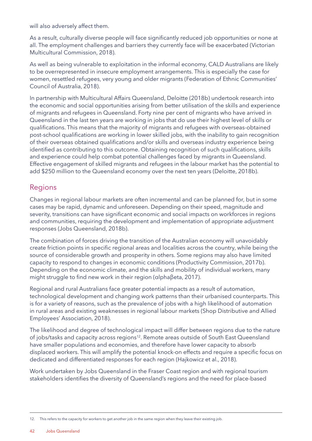will also adversely affect them.

As a result, culturally diverse people will face significantly reduced job opportunities or none at all. The employment challenges and barriers they currently face will be exacerbated (Victorian Multicultural Commission, 2018).

As well as being vulnerable to exploitation in the informal economy, CALD Australians are likely to be overrepresented in insecure employment arrangements. This is especially the case for women, resettled refugees, very young and older migrants (Federation of Ethnic Communities' Council of Australia, 2018).

In partnership with Multicultural Affairs Queensland, Deloitte (2018b) undertook research into the economic and social opportunities arising from better utilisation of the skills and experience of migrants and refugees in Queensland. Forty nine per cent of migrants who have arrived in Queensland in the last ten years are working in jobs that do use their highest level of skills or qualifications. This means that the majority of migrants and refugees with overseas-obtained post-school qualifications are working in lower skilled jobs, with the inability to gain recognition of their overseas obtained qualifications and/or skills and overseas industry experience being identified as contributing to this outcome. Obtaining recognition of such qualifications, skills and experience could help combat potential challenges faced by migrants in Queensland. Effective engagement of skilled migrants and refugees in the labour market has the potential to add \$250 million to the Queensland economy over the next ten years (Deloitte, 2018b).

### Regions

Changes in regional labour markets are often incremental and can be planned for, but in some cases may be rapid, dynamic and unforeseen. Depending on their speed, magnitude and severity, transitions can have significant economic and social impacts on workforces in regions and communities, requiring the development and implementation of appropriate adjustment responses (Jobs Queensland, 2018b).

The combination of forces driving the transition of the Australian economy will unavoidably create friction points in specific regional areas and localities across the country, while being the source of considerable growth and prosperity in others. Some regions may also have limited capacity to respond to changes in economic conditions (Productivity Commission, 2017b). Depending on the economic climate, and the skills and mobility of individual workers, many might struggle to find new work in their region (αlphaβeta, 2017).

Regional and rural Australians face greater potential impacts as a result of automation, technological development and changing work patterns than their urbanised counterparts. This is for a variety of reasons, such as the prevalence of jobs with a high likelihood of automation in rural areas and existing weaknesses in regional labour markets (Shop Distributive and Allied Employees' Association, 2018).

The likelihood and degree of technological impact will differ between regions due to the nature of jobs/tasks and capacity across regions<sup>12</sup>. Remote areas outside of South East Queensland have smaller populations and economies, and therefore have lower capacity to absorb displaced workers. This will amplify the potential knock-on effects and require a specific focus on dedicated and differentiated responses for each region (Hajkowicz et al., 2018).

Work undertaken by Jobs Queensland in the Fraser Coast region and with regional tourism stakeholders identifies the diversity of Queensland's regions and the need for place-based

<sup>12.</sup> This refers to the capacity for workers to get another job in the same region when they leave their existing job.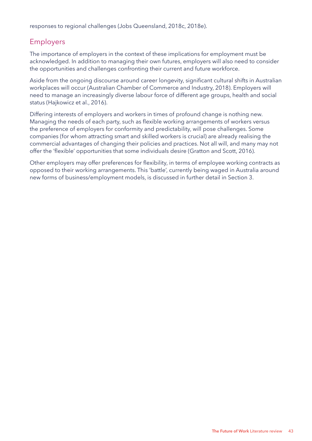responses to regional challenges (Jobs Queensland, 2018c, 2018e).

# Employers

The importance of employers in the context of these implications for employment must be acknowledged. In addition to managing their own futures, employers will also need to consider the opportunities and challenges confronting their current and future workforce.

Aside from the ongoing discourse around career longevity, significant cultural shifts in Australian workplaces will occur (Australian Chamber of Commerce and Industry, 2018). Employers will need to manage an increasingly diverse labour force of different age groups, health and social status (Hajkowicz et al., 2016).

Differing interests of employers and workers in times of profound change is nothing new. Managing the needs of each party, such as flexible working arrangements of workers versus the preference of employers for conformity and predictability, will pose challenges. Some companies (for whom attracting smart and skilled workers is crucial) are already realising the commercial advantages of changing their policies and practices. Not all will, and many may not offer the 'flexible' opportunities that some individuals desire (Gratton and Scott, 2016).

Other employers may offer preferences for flexibility, in terms of employee working contracts as opposed to their working arrangements. This 'battle', currently being waged in Australia around new forms of business/employment models, is discussed in further detail in Section 3.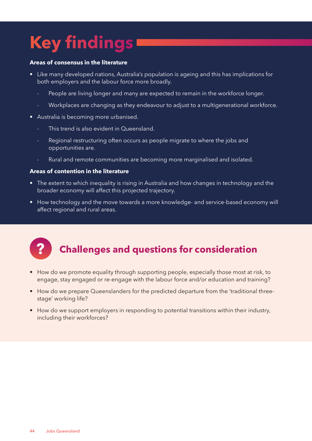# **Key findings**

### **Areas of consensus in the literature**

- Like many developed nations, Australia's population is ageing and this has implications for both employers and the labour force more broadly.
	- People are living longer and many are expected to remain in the workforce longer.
	- Workplaces are changing as they endeavour to adjust to a multigenerational workforce.
- Australia is becoming more urbanised.
	- This trend is also evident in Queensland.
	- Regional restructuring often occurs as people migrate to where the jobs and opportunities are.
	- Rural and remote communities are becoming more marginalised and isolated.

#### **Areas of contention in the literature**

- The extent to which inequality is rising in Australia and how changes in technology and the broader economy will affect this projected trajectory.
- How technology and the move towards a more knowledge- and service-based economy will affect regional and rural areas.



# **? Challenges and questions for consideration**

- How do we promote equality through supporting people, especially those most at risk, to engage, stay engaged or re-engage with the labour force and/or education and training?
- How do we prepare Queenslanders for the predicted departure from the 'traditional threestage' working life?
- How do we support employers in responding to potential transitions within their industry, including their workforces?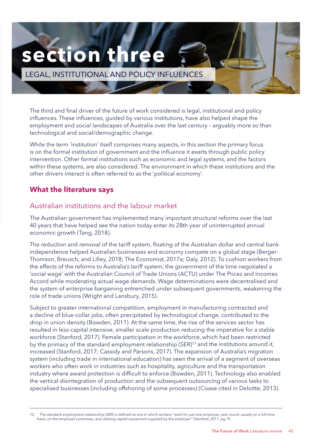# **section thr**

LEGAL, INSTITUTIONAL AND POLICY INFLUENCES

The third and final driver of the future of work considered is legal, institutional and policy influences. These influences, guided by various institutions, have also helped shape the employment and social landscapes of Australia over the last century – arguably more so than technological and social/demographic change.

While the term 'institution' itself comprises many aspects, in this section the primary focus is on the formal institution of government and the influence it exerts through public policy intervention. Other formal institutions such as economic and legal systems, and the factors within these systems, are also considered. The environment in which these institutions and the other drivers interact is often referred to as the 'political economy'.

### **What the literature says**

### Australian institutions and the labour market

The Australian government has implemented many important structural reforms over the last 40 years that have helped see the nation today enter its 28th year of uninterrupted annual economic growth (Tang, 2018).

The reduction and removal of the tariff system, floating of the Australian dollar and central bank independence helped Australian businesses and economy compete on a global stage (Berger-Thomson, Breusch, and Lilley, 2018; The Economist, 2017a; Daly, 2012). To cushion workers from the effects of the reforms to Australia's tariff system, the government of the time negotiated a 'social wage' with the Australian Council of Trade Unions (ACTU) under The Prices and Incomes Accord while moderating actual wage demands. Wage determinations were decentralised and the system of enterprise bargaining entrenched under subsequent governments, weakening the role of trade unions (Wright and Lansbury, 2015).

Subject to greater international competition, employment in manufacturing contracted and a decline of blue-collar jobs, often precipitated by technological change, contributed to the drop in union density (Bowden, 2011). At the same time, the rise of the services sector has resulted in less-capital intensive, smaller scale production reducing the imperative for a stable workforce (Stanford, 2017). Female participation in the workforce, which had been restricted by the primacy of the standard employment relationship (SER)<sup>13</sup> and the institutions around it, increased (Stanford, 2017; Cassidy and Parsons, 2017). The expansion of Australia's migration system (including trade in international education) has seen the arrival of a segment of overseas workers who often work in industries such as hospitality, agriculture and the transportation industry where award protection is difficult to enforce (Bowden, 2011). Technology also enabled the vertical disintegration of production and the subsequent outsourcing of various tasks to specialised businesses (including offshoring of some processes) (Coase cited in Deloitte, 2013).

13. The standard employment relationship (SER) is defined as one in which workers "work for just one employer, year-round, usually on a full-time basis, on the employer's premises, and utilising capital equipment supplied by the employer" (Stanford, 2017, pg. 9).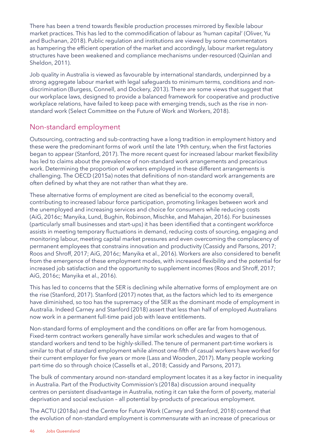There has been a trend towards flexible production processes mirrored by flexible labour market practices. This has led to the commodification of labour as 'human capital' (Oliver, Yu and Buchanan, 2018). Public regulation and institutions are viewed by some commentators as hampering the efficient operation of the market and accordingly, labour market regulatory structures have been weakened and compliance mechanisms under-resourced (Quinlan and Sheldon, 2011).

Job quality in Australia is viewed as favourable by international standards, underpinned by a strong aggregate labour market with legal safeguards to minimum terms, conditions and nondiscrimination (Burgess, Connell, and Dockery, 2013). There are some views that suggest that our workplace laws, designed to provide a balanced framework for cooperative and productive workplace relations, have failed to keep pace with emerging trends, such as the rise in nonstandard work (Select Committee on the Future of Work and Workers, 2018).

### Non-standard employment

Outsourcing, contracting and sub-contracting have a long tradition in employment history and these were the predominant forms of work until the late 19th century, when the first factories began to appear (Stanford, 2017). The more recent quest for increased labour market flexibility has led to claims about the prevalence of non-standard work arrangements and precarious work. Determining the proportion of workers employed in these different arrangements is challenging. The OECD (2015a) notes that definitions of non-standard work arrangements are often defined by what they are not rather than what they are.

These alternative forms of employment are cited as beneficial to the economy overall, contributing to increased labour force participation, promoting linkages between work and the unemployed and increasing services and choice for consumers while reducing costs (AiG, 2016c; Manyika, Lund, Bughin, Robinson, Mischke, and Mahajan, 2016). For businesses (particularly small businesses and start-ups) it has been identified that a contingent workforce assists in meeting temporary fluctuations in demand, reducing costs of sourcing, engaging and monitoring labour, meeting capital market pressures and even overcoming the complacency of permanent employees that constrains innovation and productivity (Cassidy and Parsons, 2017; Roos and Shroff, 2017; AiG, 2016c; Manyika et al., 2016). Workers are also considered to benefit from the emergence of these employment modes, with increased flexibility and the potential for increased job satisfaction and the opportunity to supplement incomes (Roos and Shroff, 2017; AiG, 2016c; Manyika et al., 2016).

This has led to concerns that the SER is declining while alternative forms of employment are on the rise (Stanford, 2017). Stanford (2017) notes that, as the factors which led to its emergence have diminished, so too has the supremacy of the SER as the dominant mode of employment in Australia. Indeed Carney and Stanford (2018) assert that less than half of employed Australians now work in a permanent full-time paid job with leave entitlements.

Non-standard forms of employment and the conditions on offer are far from homogenous. Fixed-term contract workers generally have similar work schedules and wages to that of standard workers and tend to be highly-skilled. The tenure of permanent part-time workers is similar to that of standard employment while almost one-fifth of casual workers have worked for their current employer for five years or more (Lass and Wooden, 2017). Many people working part-time do so through choice (Cassells et al., 2018; Cassidy and Parsons, 2017).

The bulk of commentary around non-standard employment locates it as a key factor in inequality in Australia. Part of the Productivity Commission's (2018a) discussion around inequality centres on persistent disadvantage in Australia, noting it can take the form of poverty, material deprivation and social exclusion – all potential by-products of precarious employment.

The ACTU (2018a) and the Centre for Future Work (Carney and Stanford, 2018) contend that the evolution of non-standard employment is commensurate with an increase of precarious or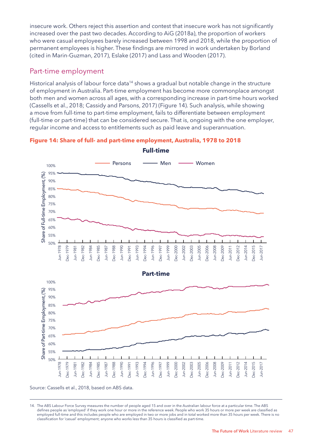insecure work. Others reject this assertion and contest that insecure work has not significantly increased over the past two decades. According to AiG (2018a), the proportion of workers who were casual employees barely increased between 1998 and 2018, while the proportion of permanent employees is higher. These findings are mirrored in work undertaken by Borland (cited in Marin-Guzman, 2017), Eslake (2017) and Lass and Wooden (2017).

### Part-time employment

Historical analysis of labour force data<sup>14</sup> shows a gradual but notable change in the structure of employment in Australia. Part-time employment has become more commonplace amongst both men and women across all ages, with a corresponding increase in part-time hours worked (Cassells et al., 2018; Cassidy and Parsons, 2017) (Figure 14). Such analysis, while showing a move from full-time to part-time employment, fails to differentiate between employment (full-time or part-time) that can be considered secure. That is, ongoing with the one employer, regular income and access to entitlements such as paid leave and superannuation.





Source: Cassells et al., 2018, based on ABS data.

<sup>14.</sup> The ABS Labour Force Survey measures the number of people aged 15 and over in the Australian labour force at a particular time. The ABS defines people as 'employed' if they work one hour or more in the reference week. People who work 35 hours or more per week are classified as employed full-time and this includes people who are employed in two or more jobs and in total worked more than 35 hours per week. There is no classification for 'casual' employment; anyone who works less than 35 hours is classified as part-time.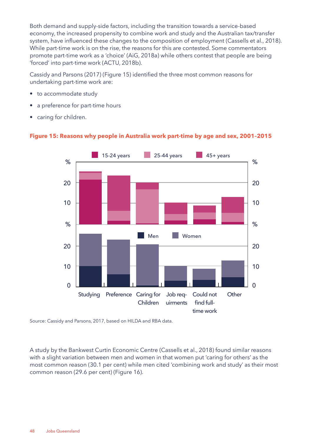Both demand and supply-side factors, including the transition towards a service-based economy, the increased propensity to combine work and study and the Australian tax/transfer system, have influenced these changes to the composition of employment (Cassells et al., 2018). While part-time work is on the rise, the reasons for this are contested. Some commentators promote part-time work as a 'choice' (AiG, 2018a) while others contest that people are being 'forced' into part-time work (ACTU, 2018b).

Cassidy and Parsons (2017) (Figure 15) identified the three most common reasons for undertaking part-time work are:

- to accommodate study
- a preference for part-time hours
- caring for children.



### **Figure 15: Reasons why people in Australia work part-time by age and sex, 2001–2015**

Source: Cassidy and Parsons, 2017, based on HILDA and RBA data.

A study by the Bankwest Curtin Economic Centre (Cassells et al., 2018) found similar reasons with a slight variation between men and women in that women put 'caring for others' as the most common reason (30.1 per cent) while men cited 'combining work and study' as their most common reason (29.6 per cent) (Figure 16).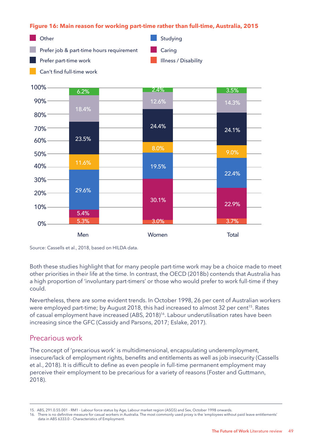**Figure 16: Main reason for working part-time rather than full-time, Australia, 2015**



Men Women Total 0% 5.3% 3.0% 30.1% 19.5% 8.0% 24.4% 12.6% 2.4% 3.7% 22.9% 22.4% 9.0% 24.1% 14.3% 3.5% 5.4% 29.6% 11.6% 23.5% 18.4% 6.2% 10% 30% 50% 70% 90% 20% 40% 60% 80% 100%

Both these studies highlight that for many people part-time work may be a choice made to meet other priorities in their life at the time. In contrast, the OECD (2018b) contends that Australia has a high proportion of 'involuntary part-timers' or those who would prefer to work full-time if they could.

Nevertheless, there are some evident trends. In October 1998, 26 per cent of Australian workers were employed part-time; by August 2018, this had increased to almost 32 per cent<sup>15</sup>. Rates of casual employment have increased (ABS, 2018)<sup>16</sup>. Labour underutilisation rates have been increasing since the GFC (Cassidy and Parsons, 2017; Eslake, 2017).

### Precarious work

The concept of 'precarious work' is multidimensional, encapsulating underemployment, insecure/lack of employment rights, benefits and entitlements as well as job insecurity (Cassells et al., 2018). It is difficult to define as even people in full-time permanent employment may perceive their employment to be precarious for a variety of reasons (Foster and Guttmann, 2018).

Source: Cassells et al., 2018, based on HILDA data.

<sup>15.</sup> ABS, 291.0.55.001 - RM1 - Labour force status by Age, Labour market region (ASGS) and Sex, October 1998 onwards.

<sup>16.</sup> There is no definitive measure for casual workers in Australia. The most commonly used proxy is the 'employees without paid leave entitlements' data in ABS 6333.0 – Characteristics of Employment.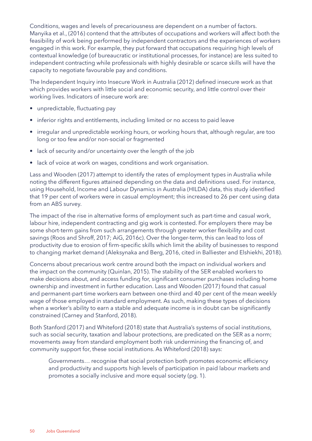Conditions, wages and levels of precariousness are dependent on a number of factors. Manyika et al., (2016) contend that the attributes of occupations and workers will affect both the feasibility of work being performed by independent contractors and the experiences of workers engaged in this work. For example, they put forward that occupations requiring high levels of contextual knowledge (of bureaucratic or institutional processes, for instance) are less suited to independent contracting while professionals with highly desirable or scarce skills will have the capacity to negotiate favourable pay and conditions.

The Independent Inquiry into Insecure Work in Australia (2012) defined insecure work as that which provides workers with little social and economic security, and little control over their working lives. Indicators of insecure work are:

- unpredictable, fluctuating pay
- inferior rights and entitlements, including limited or no access to paid leave
- irregular and unpredictable working hours, or working hours that, although regular, are too long or too few and/or non-social or fragmented
- lack of security and/or uncertainty over the length of the job
- lack of voice at work on wages, conditions and work organisation.

Lass and Wooden (2017) attempt to identify the rates of employment types in Australia while noting the different figures attained depending on the data and definitions used. For instance, using Household, Income and Labour Dynamics in Australia (HILDA) data, this study identified that 19 per cent of workers were in casual employment; this increased to 26 per cent using data from an ABS survey.

The impact of the rise in alternative forms of employment such as part-time and casual work, labour hire, independent contracting and gig work is contested. For employers there may be some short-term gains from such arrangements through greater worker flexibility and cost savings (Roos and Shroff, 2017; AiG, 2016c). Over the longer-term, this can lead to loss of productivity due to erosion of firm-specific skills which limit the ability of businesses to respond to changing market demand (Aleksynaka and Berg, 2016, cited in Balliester and Elshiekhi, 2018).

Concerns about precarious work centre around both the impact on individual workers and the impact on the community (Quinlan, 2015). The stability of the SER enabled workers to make decisions about, and access funding for, significant consumer purchases including home ownership and investment in further education. Lass and Wooden (2017) found that casual and permanent-part time workers earn between one-third and 40 per cent of the mean weekly wage of those employed in standard employment. As such, making these types of decisions when a worker's ability to earn a stable and adequate income is in doubt can be significantly constrained (Carney and Stanford, 2018).

Both Stanford (2017) and Whiteford (2018) state that Australia's systems of social institutions, such as social security, taxation and labour protections, are predicated on the SER as a norm; movements away from standard employment both risk undermining the financing of, and community support for, these social institutions. As Whiteford (2018) says:

Governments… recognise that social protection both promotes economic efficiency and productivity and supports high levels of participation in paid labour markets and promotes a socially inclusive and more equal society (pg. 1).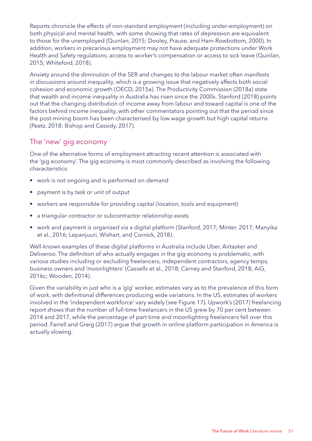Reports chronicle the effects of non-standard employment (including under-employment) on both physical and mental health, with some showing that rates of depression are equivalent to those for the unemployed (Quinlan, 2015; Dooley, Prause, and Ham-Rowbottom, 2000). In addition, workers in precarious employment may not have adequate protections under Work Health and Safety regulations, access to worker's compensation or access to sick leave (Quinlan, 2015; Whiteford, 2018).

Anxiety around the diminution of the SER and changes to the labour market often manifests in discussions around inequality, which is a growing issue that negatively affects both social cohesion and economic growth (OECD, 2015a). The Productivity Commission (2018a) state that wealth and income inequality in Australia has risen since the 2000s. Stanford (2018) points out that the changing distribution of income away from labour and toward capital is one of the factors behind income inequality, with other commentators pointing out that the period since the post-mining boom has been characterised by low wage growth but high capital returns (Peetz, 2018; Bishop and Cassidy, 2017).

### The 'new' gig economy

One of the alternative forms of employment attracting recent attention is associated with the 'gig economy'. The gig economy is most commonly described as involving the following characteristics:

- work is not ongoing and is performed on-demand
- payment is by task or unit of output
- workers are responsible for providing capital (location, tools and equipment)
- a triangular contractor or subcontractor relationship exists
- work and payment is organised via a digital platform (Stanford, 2017; Minter, 2017; Manyika et al., 2016; Lepanjuuri, Wishart, and Cornick, 2018).

Well-known examples of these digital platforms in Australia include Uber, Airtasker and Deliveroo. The definition of who actually engages in the gig economy is problematic, with various studies including or excluding freelancers, independent contractors, agency temps, business owners and 'moonlighters' (Cassells et al., 2018; Carney and Stanford, 2018; AiG, 2016c; Wooden, 2014).

Given the variability in just who is a 'gig' worker, estimates vary as to the prevalence of this form of work, with definitional differences producing wide variations. In the US, estimates of workers involved in the 'independent workforce' vary widely (see Figure 17). Upwork's (2017) freelancing report shows that the number of full-time freelancers in the US grew by 70 per cent between 2014 and 2017, while the percentage of part-time and moonlighting freelancers fell over this period. Farrell and Greig (2017) argue that growth in online platform participation in America is actually slowing.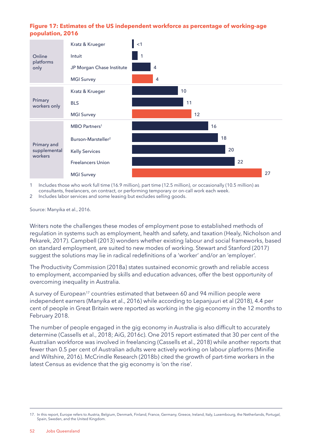### **Figure 17: Estimates of the US independent workforce as percentage of working-age population, 2016**



1 Includes those who work full time (16.9 million), part time (12.5 million), or occasionally (10.5 million) as consultants, freelancers, on contract, or performing temporary or on-call work each week.

2 Includes labor services and some leasing but excludes selling goods.

Source: Manyika et al., 2016.

Writers note the challenges these modes of employment pose to established methods of regulation in systems such as employment, health and safety, and taxation (Healy, Nicholson and Pekarek, 2017). Campbell (2013) wonders whether existing labour and social frameworks, based on standard employment, are suited to new modes of working. Stewart and Stanford (2017) suggest the solutions may lie in radical redefinitions of a 'worker' and/or an 'employer'.

The Productivity Commission (2018a) states sustained economic growth and reliable access to employment, accompanied by skills and education advances, offer the best opportunity of overcoming inequality in Australia.

A survey of European<sup>17</sup> countries estimated that between 60 and 94 million people were independent earners (Manyika et al., 2016) while according to Lepanjuuri et al (2018), 4.4 per cent of people in Great Britain were reported as working in the gig economy in the 12 months to February 2018.

The number of people engaged in the gig economy in Australia is also difficult to accurately determine (Cassells et al., 2018; AiG, 2016c). One 2015 report estimated that 30 per cent of the Australian workforce was involved in freelancing (Cassells et al., 2018) while another reports that fewer than 0.5 per cent of Australian adults were actively working on labour platforms (Minifie and Wiltshire, 2016). McCrindle Research (2018b) cited the growth of part-time workers in the latest Census as evidence that the gig economy is 'on the rise'.

<sup>17.</sup> In this report, Europe refers to Austria, Belgium, Denmark, Finland, France, Germany, Greece, Ireland, Italy, Luxembourg, the Netherlands, Portugal, Spain, Sweden, and the United Kingdom.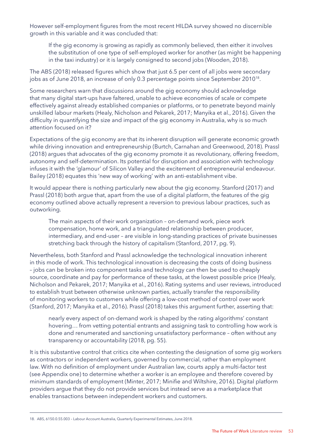However self-employment figures from the most recent HILDA survey showed no discernible growth in this variable and it was concluded that:

 If the gig economy is growing as rapidly as commonly believed, then either it involves the substitution of one type of self-employed worker for another (as might be happening in the taxi industry) or it is largely consigned to second jobs (Wooden, 2018).

The ABS (2018) released figures which show that just 6.5 per cent of all jobs were secondary jobs as of June 2018, an increase of only 0.3 percentage points since September 2010<sup>18</sup>.

Some researchers warn that discussions around the gig economy should acknowledge that many digital start-ups have faltered, unable to achieve economies of scale or compete effectively against already established companies or platforms, or to penetrate beyond mainly unskilled labour markets (Healy, Nicholson and Pekarek, 2017; Manyika et al., 2016). Given the difficulty in quantifying the size and impact of the gig economy in Australia, why is so much attention focused on it?

Expectations of the gig economy are that its inherent disruption will generate economic growth while driving innovation and entrepreneurship (Burtch, Carnahan and Greenwood, 2018). Prassl (2018) argues that advocates of the gig economy promote it as revolutionary, offering freedom, autonomy and self-determination. Its potential for disruption and association with technology infuses it with the 'glamour' of Silicon Valley and the excitement of entrepreneurial endeavour. Bailey (2018) equates this 'new way of working' with an anti-establishment vibe.

It would appear there is nothing particularly new about the gig economy. Stanford (2017) and Prassl (2018) both argue that, apart from the use of a digital platform, the features of the gig economy outlined above actually represent a reversion to previous labour practices, such as outworking.

 The main aspects of their work organization – on-demand work, piece work compensation, home work, and a triangulated relationship between producer, intermediary, and end-user – are visible in long-standing practices of private businesses stretching back through the history of capitalism (Stanford, 2017, pg. 9).

Nevertheless, both Stanford and Prassl acknowledge the technological innovation inherent in this mode of work. This technological innovation is decreasing the costs of doing business – jobs can be broken into component tasks and technology can then be used to cheaply source, coordinate and pay for performance of these tasks, at the lowest possible price (Healy, Nicholson and Pekarek, 2017; Manyika et al., 2016). Rating systems and user reviews, introduced to establish trust between otherwise unknown parties, actually transfer the responsibility of monitoring workers to customers while offering a low-cost method of control over work (Stanford, 2017; Manyika et al., 2016). Prassl (2018) takes this argument further, asserting that:

 nearly every aspect of on-demand work is shaped by the rating algorithms' constant hovering… from vetting potential entrants and assigning task to controlling how work is done and renumerated and sanctioning unsatisfactory performance – often without any transparency or accountability (2018, pg. 55).

It is this substantive control that critics cite when contesting the designation of some gig workers as contractors or independent workers, governed by commercial, rather than employment law. With no definition of employment under Australian law, courts apply a multi-factor test (see Appendix one) to determine whether a worker is an employee and therefore covered by minimum standards of employment (Minter, 2017; Minifie and Wiltshire, 2016). Digital platform providers argue that they do not provide services but instead serve as a marketplace that enables transactions between independent workers and customers.

<sup>18.</sup> ABS, 6150.0.55.003 – Labour Account Australia, Quarterly Experimental Estimates, June 2018.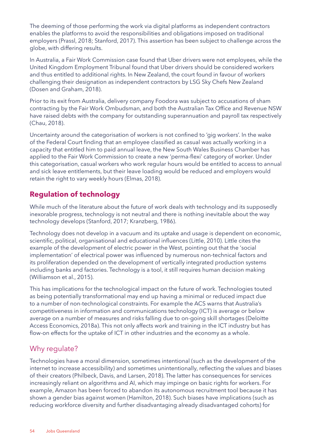The deeming of those performing the work via digital platforms as independent contractors enables the platforms to avoid the responsibilities and obligations imposed on traditional employers (Prassl, 2018; Stanford, 2017). This assertion has been subject to challenge across the globe, with differing results.

In Australia, a Fair Work Commission case found that Uber drivers were not employees, while the United Kingdom Employment Tribunal found that Uber drivers should be considered workers and thus entitled to additional rights. In New Zealand, the court found in favour of workers challenging their designation as independent contractors by LSG Sky Chefs New Zealand (Dosen and Graham, 2018).

Prior to its exit from Australia, delivery company Foodora was subject to accusations of sham contracting by the Fair Work Ombudsman, and both the Australian Tax Office and Revenue NSW have raised debts with the company for outstanding superannuation and payroll tax respectively (Chau, 2018).

Uncertainty around the categorisation of workers is not confined to 'gig workers'. In the wake of the Federal Court finding that an employee classified as casual was actually working in a capacity that entitled him to paid annual leave, the New South Wales Business Chamber has applied to the Fair Work Commission to create a new 'perma-flexi' category of worker. Under this categorisation, casual workers who work regular hours would be entitled to access to annual and sick leave entitlements, but their leave loading would be reduced and employers would retain the right to vary weekly hours (Elmas, 2018).

### **Regulation of technology**

While much of the literature about the future of work deals with technology and its supposedly inexorable progress, technology is not neutral and there is nothing inevitable about the way technology develops (Stanford, 2017; Kranzberg, 1986).

Technology does not develop in a vacuum and its uptake and usage is dependent on economic, scientific, political, organisational and educational influences (Little, 2010). Little cites the example of the development of electric power in the West, pointing out that the 'social implementation' of electrical power was influenced by numerous non-technical factors and its proliferation depended on the development of vertically integrated production systems including banks and factories. Technology is a tool, it still requires human decision making (Williamson et al., 2015).

This has implications for the technological impact on the future of work. Technologies touted as being potentially transformational may end up having a minimal or reduced impact due to a number of non-technological constraints. For example the ACS warns that Australia's competitiveness in information and communications technology (ICT) is average or below average on a number of measures and risks falling due to on-going skill shortages (Deloitte Access Economics, 2018a). This not only affects work and training in the ICT industry but has flow-on effects for the uptake of ICT in other industries and the economy as a whole.

# Why regulate?

Technologies have a moral dimension, sometimes intentional (such as the development of the internet to increase accessibility) and sometimes unintentionally, reflecting the values and biases of their creators (Philbeck, Davis, and Larsen, 2018). The latter has consequences for services increasingly reliant on algorithms and AI, which may impinge on basic rights for workers. For example, Amazon has been forced to abandon its autonomous recruitment tool because it has shown a gender bias against women (Hamilton, 2018). Such biases have implications (such as reducing workforce diversity and further disadvantaging already disadvantaged cohorts) for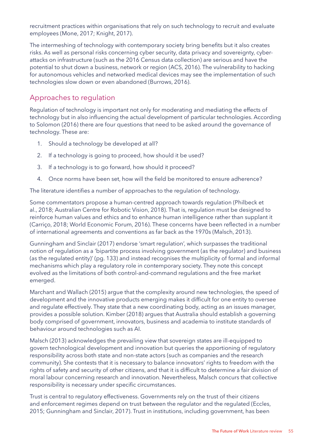recruitment practices within organisations that rely on such technology to recruit and evaluate employees (Mone, 2017; Knight, 2017).

The intermeshing of technology with contemporary society bring benefits but it also creates risks. As well as personal risks concerning cyber security, data privacy and sovereignty, cyberattacks on infrastructure (such as the 2016 Census data collection) are serious and have the potential to shut down a business, network or region (ACS, 2016). The vulnerability to hacking for autonomous vehicles and networked medical devices may see the implementation of such technologies slow down or even abandoned (Burrows, 2016).

### Approaches to regulation

Regulation of technology is important not only for moderating and mediating the effects of technology but in also influencing the actual development of particular technologies. According to Solomon (2016) there are four questions that need to be asked around the governance of technology. These are:

- 1. Should a technology be developed at all?
- 2. If a technology is going to proceed, how should it be used?
- 3. If a technology is to go forward, how should it proceed?
- 4. Once norms have been set, how will the field be monitored to ensure adherence?

The literature identifies a number of approaches to the regulation of technology.

Some commentators propose a human-centred approach towards regulation (Philbeck et al., 2018; Australian Centre for Robotic Vision, 2018). That is, regulation must be designed to reinforce human values and ethics and to enhance human intelligence rather than supplant it (Carriço, 2018; World Economic Forum, 2016). These concerns have been reflected in a number of international agreements and conventions as far back as the 1970s (Malsch, 2013).

Gunningham and Sinclair (2017) endorse 'smart regulation', which surpasses the traditional notion of regulation as a 'bipartite process involving government (as the regulator) and business (as the regulated entity)' (pg. 133) and instead recognises the multiplicity of formal and informal mechanisms which play a regulatory role in contemporary society. They note this concept evolved as the limitations of both control-and-command regulations and the free market emerged.

Marchant and Wallach (2015) argue that the complexity around new technologies, the speed of development and the innovative products emerging makes it difficult for one entity to oversee and regulate effectively. They state that a new coordinating body, acting as an issues manager, provides a possible solution. Kimber (2018) argues that Australia should establish a governing body comprised of government, innovators, business and academia to institute standards of behaviour around technologies such as AI.

Malsch (2013) acknowledges the prevailing view that sovereign states are ill-equipped to govern technological development and innovation but queries the apportioning of regulatory responsibility across both state and non-state actors (such as companies and the research community). She contests that it is necessary to balance innovators' rights to freedom with the rights of safety and security of other citizens, and that it is difficult to determine a fair division of moral labour concerning research and innovation. Nevertheless, Malsch concurs that collective responsibility is necessary under specific circumstances.

Trust is central to regulatory effectiveness. Governments rely on the trust of their citizens and enforcement regimes depend on trust between the regulator and the regulated (Eccles, 2015; Gunningham and Sinclair, 2017). Trust in institutions, including government, has been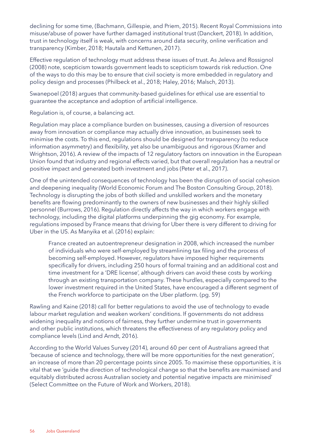declining for some time, (Bachmann, Gillespie, and Priem, 2015). Recent Royal Commissions into misuse/abuse of power have further damaged institutional trust (Danckert, 2018). In addition, trust in technology itself is weak, with concerns around data security, online verification and transparency (Kimber, 2018; Hautala and Kettunen, 2017).

Effective regulation of technology must address these issues of trust. As Jeleva and Rossignol (2008) note, scepticism towards government leads to scepticism towards risk reduction. One of the ways to do this may be to ensure that civil society is more embedded in regulatory and policy design and processes (Philbeck et al., 2018; Haley, 2016; Malsch, 2013).

Swanepoel (2018) argues that community-based guidelines for ethical use are essential to guarantee the acceptance and adoption of artificial intelligence.

Regulation is, of course, a balancing act.

Regulation may place a compliance burden on businesses, causing a diversion of resources away from innovation or compliance may actually drive innovation, as businesses seek to minimise the costs. To this end, regulations should be designed for transparency (to reduce information asymmetry) and flexibility, yet also be unambiguous and rigorous (Kramer and Wrightson, 2016). A review of the impacts of 12 regulatory factors on innovation in the European Union found that industry and regional effects varied, but that overall regulation has a neutral or positive impact and generated both investment and jobs (Peter et al., 2017).

One of the unintended consequences of technology has been the disruption of social cohesion and deepening inequality (World Economic Forum and The Boston Consulting Group, 2018). Technology is disrupting the jobs of both skilled and unskilled workers and the monetary benefits are flowing predominantly to the owners of new businesses and their highly skilled personnel (Burrows, 2016). Regulation directly affects the way in which workers engage with technology, including the digital platforms underpinning the gig economy. For example, regulations imposed by France means that driving for Uber there is very different to driving for Uber in the US. As Manyika et al. (2016) explain:

 France created an autoentrepreneur designation in 2008, which increased the number of individuals who were self-employed by streamlining tax filing and the process of becoming self-employed. However, regulators have imposed higher requirements specifically for drivers, including 250 hours of formal training and an additional cost and time investment for a 'DRE license', although drivers can avoid these costs by working through an existing transportation company. These hurdles, especially compared to the lower investment required in the United States, have encouraged a different segment of the French workforce to participate on the Uber platform. (pg. 59)

Rawling and Kaine (2018) call for better regulations to avoid the use of technology to evade labour market regulation and weaken workers' conditions. If governments do not address widening inequality and notions of fairness, they further undermine trust in governments and other public institutions, which threatens the effectiveness of any regulatory policy and compliance levels (Lind and Arndt, 2016).

According to the World Values Survey (2014), around 60 per cent of Australians agreed that 'because of science and technology, there will be more opportunities for the next generation', an increase of more than 20 percentage points since 2005. To maximise these opportunities, it is vital that we 'guide the direction of technological change so that the benefits are maximised and equitably distributed across Australian society and potential negative impacts are minimised' (Select Committee on the Future of Work and Workers, 2018).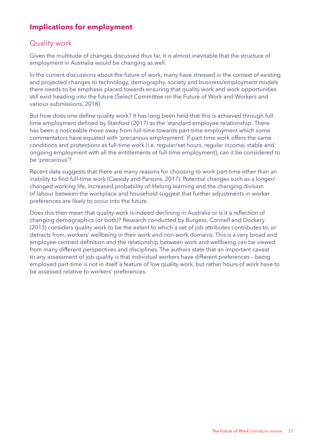# **Implications for employment**

# Quality work

Given the multitude of changes discussed thus far, it is almost inevitable that the structure of employment in Australia would be changing as well.

In the current discussions about the future of work, many have stressed in the context of existing and projected changes to technology, demography, society and business/employment models there needs to be emphasis placed towards ensuring that quality work and work opportunities still exist heading into the future (Select Committee on the Future of Work and Workers and various submissions, 2018).

But how does one define quality work? It has long been held that this is achieved through fulltime employment defined by Stanford (2017) as the 'standard employee relationship'. There has been a noticeable move away from full-time towards part-time employment which some commentators have equated with 'precarious employment'. If part-time work offers the same conditions and protections as full-time work (i.e. regular/set hours, regular income, stable and ongoing employment with all the entitlements of full-time employment), can it be considered to be 'precarious'?

Recent data suggests that there are many reasons for choosing to work part-time other than an inability to find full-time work (Cassidy and Parsons, 2017). Potential changes such as a longer/ changed working life, increased probability of lifelong learning and the changing division of labour between the workplace and household suggest that further adjustments in worker preferences are likely to occur into the future.

Does this then mean that quality work is indeed declining in Australia or is it a reflection of changing demographics (or both)? Research conducted by Burgess, Connell and Dockery (2013) considers quality work to be the extent to which a set of job attributes contributes to, or detracts from, workers' wellbeing in their work and non-work domains. This is a very broad and employee-centred definition and the relationship between work and wellbeing can be viewed from many different perspectives and disciplines. The authors state that an important caveat to any assessment of job quality is that individual workers have different preferences – being employed part-time is not in itself a feature of low quality work, but rather hours of work have to be assessed relative to workers' preferences.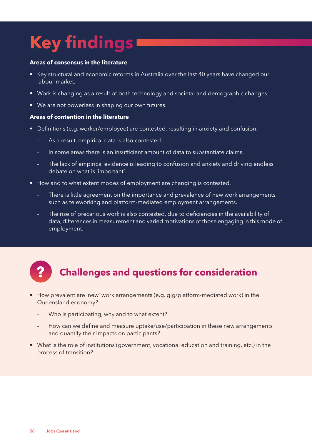# **Key findings**

#### **Areas of consensus in the literature**

- Key structural and economic reforms in Australia over the last 40 years have changed our labour market.
- Work is changing as a result of both technology and societal and demographic changes.
- We are not powerless in shaping our own futures.

### **Areas of contention in the literature**

- Definitions (e.g. worker/employee) are contested, resulting in anxiety and confusion.
	- As a result, empirical data is also contested.
	- In some areas there is an insufficient amount of data to substantiate claims.
	- The lack of empirical evidence is leading to confusion and anxiety and driving endless debate on what is 'important'.
- How and to what extent modes of employment are changing is contested.
	- There is little agreement on the importance and prevalence of new work arrangements such as teleworking and platform-mediated employment arrangements.
	- The rise of precarious work is also contested, due to deficiencies in the availability of data, differences in measurement and varied motivations of those engaging in this mode of employment.



# **? Challenges and questions for consideration**

- How prevalent are 'new' work arrangements (e.g. gig/platform-mediated work) in the Queensland economy?
	- Who is participating, why and to what extent?
	- How can we define and measure uptake/use/participation in these new arrangements and quantify their impacts on participants?
- What is the role of institutions (government, vocational education and training, etc.) in the process of transition?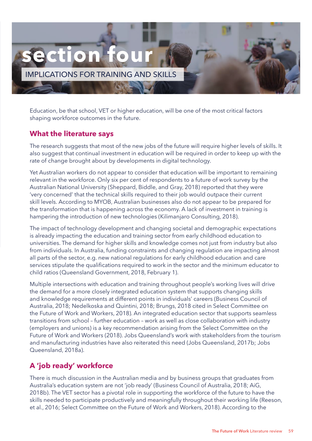

Education, be that school, VET or higher education, will be one of the most critical factors shaping workforce outcomes in the future.

### **What the literature says**

The research suggests that most of the new jobs of the future will require higher levels of skills. It also suggest that continual investment in education will be required in order to keep up with the rate of change brought about by developments in digital technology.

Yet Australian workers do not appear to consider that education will be important to remaining relevant in the workforce. Only six per cent of respondents to a future of work survey by the Australian National University (Sheppard, Biddle, and Gray, 2018) reported that they were 'very concerned' that the technical skills required to their job would outpace their current skill levels. According to MYOB, Australian businesses also do not appear to be prepared for the transformation that is happening across the economy. A lack of investment in training is hampering the introduction of new technologies (Kilimanjaro Consulting, 2018).

The impact of technology development and changing societal and demographic expectations is already impacting the education and training sector from early childhood education to universities. The demand for higher skills and knowledge comes not just from industry but also from individuals. In Australia, funding constraints and changing regulation are impacting almost all parts of the sector, e.g. new national regulations for early childhood education and care services stipulate the qualifications required to work in the sector and the minimum educator to child ratios (Queensland Government, 2018, February 1).

Multiple intersections with education and training throughout people's working lives will drive the demand for a more closely integrated education system that supports changing skills and knowledge requirements at different points in individuals' careers (Business Council of Australia, 2018; Nedelkoska and Quintini, 2018; Brungs, 2018 cited in Select Committee on the Future of Work and Workers, 2018). An integrated education sector that supports seamless transitions from school – further education – work as well as close collaboration with industry (employers and unions) is a key recommendation arising from the Select Committee on the Future of Work and Workers (2018). Jobs Queensland's work with stakeholders from the tourism and manufacturing industries have also reiterated this need (Jobs Queensland, 2017b; Jobs Queensland, 2018a).

# **A 'job ready' workforce**

There is much discussion in the Australian media and by business groups that graduates from Australia's education system are not 'job ready' (Business Council of Australia, 2018; AiG, 2018b). The VET sector has a pivotal role in supporting the workforce of the future to have the skills needed to participate productively and meaningfully throughout their working life (Reeson, et al., 2016; Select Committee on the Future of Work and Workers, 2018). According to the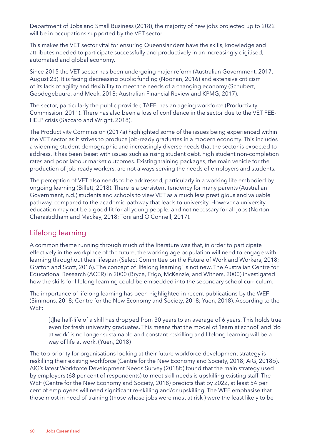Department of Jobs and Small Business (2018), the majority of new jobs projected up to 2022 will be in occupations supported by the VET sector.

This makes the VET sector vital for ensuring Queenslanders have the skills, knowledge and attributes needed to participate successfully and productively in an increasingly digitised, automated and global economy.

Since 2015 the VET sector has been undergoing major reform (Australian Government, 2017, August 23). It is facing decreasing public funding (Noonan, 2016) and extensive criticism of its lack of agility and flexibility to meet the needs of a changing economy (Schubert, Geodegebuure, and Meek, 2018; Australian Financial Review and KPMG, 2017).

The sector, particularly the public provider, TAFE, has an ageing workforce (Productivity Commission, 2011). There has also been a loss of confidence in the sector due to the VET FEE-HELP crisis (Saccaro and Wright, 2018).

The Productivity Commission (2017a) highlighted some of the issues being experienced within the VET sector as it strives to produce job-ready graduates in a modern economy. This includes a widening student demographic and increasingly diverse needs that the sector is expected to address. It has been beset with issues such as rising student debt, high student non-completion rates and poor labour market outcomes. Existing training packages, the main vehicle for the production of job-ready workers, are not always serving the needs of employers and students.

The perception of VET also needs to be addressed, particularly in a working life embodied by ongoing learning (Billett, 2018). There is a persistent tendency for many parents (Australian Government, n.d.) students and schools to view VET as a much less prestigious and valuable pathway, compared to the academic pathway that leads to university. However a university education may not be a good fit for all young people, and not necessary for all jobs (Norton, Cherastidtham and Mackey, 2018; Torii and O'Connell, 2017).

# Lifelong learning

A common theme running through much of the literature was that, in order to participate effectively in the workplace of the future, the working age population will need to engage with learning throughout their lifespan (Select Committee on the Future of Work and Workers, 2018; Gratton and Scott, 2016). The concept of 'lifelong learning' is not new. The Australian Centre for Educational Research (ACER) in 2000 (Bryce, Frigo, McKenzie, and Withers, 2000) investigated how the skills for lifelong learning could be embedded into the secondary school curriculum.

The importance of lifelong learning has been highlighted in recent publications by the WEF (Simmons, 2018; Centre for the New Economy and Society, 2018; Yuen, 2018). According to the WEF:

 [t]he half-life of a skill has dropped from 30 years to an average of 6 years. This holds true even for fresh university graduates. This means that the model of 'learn at school' and 'do at work' is no longer sustainable and constant reskilling and lifelong learning will be a way of life at work. (Yuen, 2018)

The top priority for organisations looking at their future workforce development strategy is reskilling their existing workforce (Centre for the New Economy and Society, 2018; AiG, 2018b). AiG's latest Workforce Development Needs Survey (2018b) found that the main strategy used by employers (68 per cent of respondents) to meet skill needs is upskilling existing staff. The WEF (Centre for the New Economy and Society, 2018) predicts that by 2022, at least 54 per cent of employees will need significant re-skilling and/or upskilling. The WEF emphasise that those most in need of training (those whose jobs were most at risk ) were the least likely to be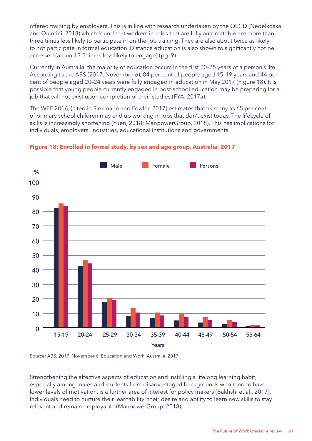offered training by employers. This is in line with research undertaken by the OECD (Nedelkoska and Quintini, 2018) which found that workers in roles that are fully automatable are more than three times less likely to participate in on-the-job training. They are also about twice as likely to not participate in formal education. Distance education is also shown to significantly not be accessed (around 3.5 times less likely to engage) (pg. 9).

Currently in Australia, the majority of education occurs in the first 20–25 years of a person's life. According to the ABS (2017, November 6), 84 per cent of people aged 15–19 years and 44 per cent of people aged 20–24 years were fully engaged in education in May 2017 (Figure 18). It is possible that young people currently engaged in post-school education may be preparing for a job that will not exist upon completion of their studies (FYA, 2017a).

The WEF 2016, (cited in Siekmann and Fowler, 2017) estimates that as many as 65 per cent of primary school children may end up working in jobs that don't exist today. The lifecycle of skills is increasingly shortening (Yuen, 2018; ManpowerGroup, 2018). This has implications for individuals, employers, industries, educational institutions and governments.



### **Figure 18: Enrolled in formal study, by sex and age group, Australia, 2017**

Source: ABS, 2017, November 6, Education and Work, Australia, 2017.

Strengthening the affective aspects of education and instilling a lifelong learning habit, especially among males and students from disadvantaged backgrounds who tend to have lower levels of motivation, is a further area of interest for policy makers (Bakhshi et al., 2017). Individuals need to nurture their learnability: their desire and ability to learn new skills to stay relevant and remain employable (ManpowerGroup, 2018).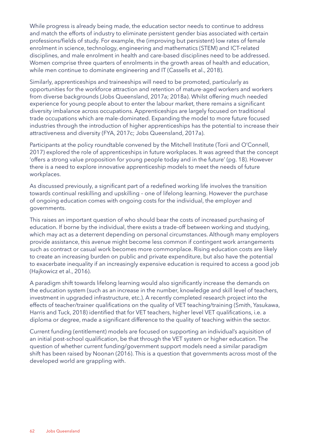While progress is already being made, the education sector needs to continue to address and match the efforts of industry to eliminate persistent gender bias associated with certain professions/fields of study. For example, the (improving but persistent) low rates of female enrolment in science, technology, engineering and mathematics (STEM) and ICT-related disciplines, and male enrolment in health and care-based disciplines need to be addressed. Women comprise three quarters of enrolments in the growth areas of health and education, while men continue to dominate engineering and IT (Cassells et al., 2018).

Similarly, apprenticeships and traineeships will need to be promoted, particularly as opportunities for the workforce attraction and retention of mature-aged workers and workers from diverse backgrounds (Jobs Queensland, 2017a; 2018a). Whilst offering much needed experience for young people about to enter the labour market, there remains a significant diversity imbalance across occupations. Apprenticeships are largely focused on traditional trade occupations which are male-dominated. Expanding the model to more future focused industries through the introduction of higher apprenticeships has the potential to increase their attractiveness and diversity (FYA, 2017c; Jobs Queensland, 2017a).

Participants at the policy roundtable convened by the Mitchell Institute (Torii and O'Connell, 2017) explored the role of apprenticeships in future workplaces. It was agreed that the concept 'offers a strong value proposition for young people today and in the future' (pg. 18). However there is a need to explore innovative apprenticeship models to meet the needs of future workplaces.

As discussed previously, a significant part of a redefined working life involves the transition towards continual reskilling and upskilling – one of lifelong learning. However the purchase of ongoing education comes with ongoing costs for the individual, the employer and governments.

This raises an important question of who should bear the costs of increased purchasing of education. If borne by the individual, there exists a trade-off between working and studying, which may act as a deterrent depending on personal circumstances. Although many employers provide assistance, this avenue might become less common if contingent work arrangements such as contract or casual work becomes more commonplace. Rising education costs are likely to create an increasing burden on public and private expenditure, but also have the potential to exacerbate inequality if an increasingly expensive education is required to access a good job (Hajkowicz et al., 2016).

A paradigm shift towards lifelong learning would also significantly increase the demands on the education system (such as an increase in the number, knowledge and skill level of teachers, investment in upgraded infrastructure, etc.). A recently completed research project into the effects of teacher/trainer qualifications on the quality of VET teaching/training (Smith, Yasukawa, Harris and Tuck, 2018) identified that for VET teachers, higher level VET qualifications, i.e. a diploma or degree, made a significant difference to the quality of teaching within the sector.

Current funding (entitlement) models are focused on supporting an individual's aquisition of an initial post-school qualification, be that through the VET system or higher education. The question of whether current funding/government support models need a similar paradigm shift has been raised by Noonan (2016). This is a question that governments across most of the developed world are grappling with.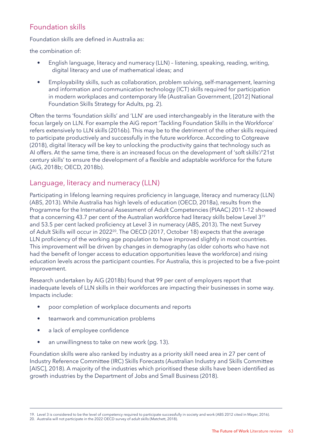# Foundation skills

Foundation skills are defined in Australia as:

the combination of:

- English language, literacy and numeracy (LLN) listening, speaking, reading, writing, digital literacy and use of mathematical ideas; and
- Employability skills, such as collaboration, problem solving, self-management, learning and information and communication technology (ICT) skills required for participation in modern workplaces and contemporary life (Australian Government, [2012] National Foundation Skills Strategy for Adults, pg. 2).

Often the terms 'foundation skills' and 'LLN' are used interchangeably in the literature with the focus largely on LLN. For example the AiG report 'Tackling Foundation Skills in the Workforce' refers extensively to LLN skills (2016b). This may be to the detriment of the other skills required to participate productively and successfully in the future workforce. According to Cotgreave (2018), digital literacy will be key to unlocking the productivity gains that technology such as AI offers. At the same time, there is an increased focus on the development of 'soft skills'/'21st century skills' to ensure the development of a flexible and adaptable workforce for the future (AiG, 2018b; OECD, 2018b).

# Language, literacy and numeracy (LLN)

Participating in lifelong learning requires proficiency in language, literacy and numeracy (LLN) (ABS, 2013). While Australia has high levels of education (OECD, 2018a), results from the Programme for the International Assessment of Adult Competencies (PIAAC) 2011–12 showed that a concerning 43.7 per cent of the Australian workforce had literacy skills below Level 3<sup>19</sup> and 53.5 per cent lacked proficiency at Level 3 in numeracy (ABS, 2013). The next Survey of Adult Skills will occur in 2022<sup>20</sup>. The OECD (2017, October 18) expects that the average LLN proficiency of the working age population to have improved slightly in most countries. This improvement will be driven by changes in demography (as older cohorts who have not had the benefit of longer access to education opportunities leave the workforce) and rising education levels across the participant counties. For Australia, this is projected to be a five-point improvement.

Research undertaken by AiG (2018b) found that 99 per cent of employers report that inadequate levels of LLN skills in their workforces are impacting their businesses in some way. Impacts include:

- poor completion of workplace documents and reports
- teamwork and communication problems
- a lack of employee confidence
- an unwillingness to take on new work (pg. 13).

Foundation skills were also ranked by industry as a priority skill need area in 27 per cent of Industry Reference Committee (IRC) Skills Forecasts (Australian Industry and Skills Committee [AISC], 2018). A majority of the industries which prioritised these skills have been identified as growth industries by the Department of Jobs and Small Business (2018).

<sup>19.</sup> Level 3 is considered to be the level of competency required to participate successfully in society and work (ABS 2012 cited in Mayer, 2016).

<sup>20.</sup> Australia will not participate in the 2022 OECD survey of adult skills (Matchett, 2018).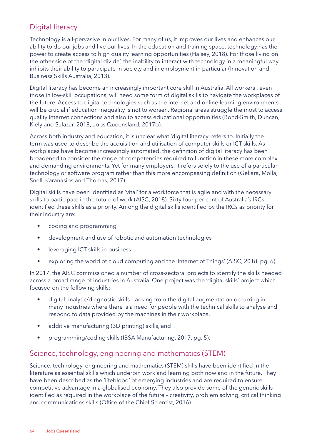# Digital literacy

Technology is all-pervasive in our lives. For many of us, it improves our lives and enhances our ability to do our jobs and live our lives. In the education and training space, technology has the power to create access to high quality learning opportunities (Halsey, 2018). For those living on the other side of the 'digital divide', the inability to interact with technology in a meaningful way inhibits their ability to participate in society and in employment in particular (Innovation and Business Skills Australia, 2013).

Digital literacy has become an increasingly important core skill in Australia. All workers , even those in low-skill occupations, will need some form of digital skills to navigate the workplaces of the future. Access to digital technologies such as the internet and online learning environments will be crucial if education inequality is not to worsen. Regional areas struggle the most to access quality internet connections and also to access educational opportunities (Bond-Smith, Duncan, Kiely and Salazar, 2018; Jobs Queensland, 2017b).

Across both industry and education, it is unclear what 'digital literacy' refers to. Initially the term was used to describe the acquisition and utilisation of computer skills or ICT skills. As workplaces have become increasingly automated, the definition of digital literacy has been broadened to consider the range of competencies required to function in these more complex and demanding environments. Yet for many employers, it refers solely to the use of a particular technology or software program rather than this more encompassing definition (Gekara, Molla, Snell, Karanasios and Thomas, 2017).

Digital skills have been identified as 'vital' for a workforce that is agile and with the necessary skills to participate in the future of work (AISC, 2018). Sixty four per cent of Australia's IRCs identified these skills as a priority. Among the digital skills identified by the IRCs as priority for their industry are:

- coding and programming
- development and use of robotic and automation technologies
- leveraging ICT skills in business
- exploring the world of cloud computing and the 'Internet of Things' (AISC, 2018, pg. 6).

In 2017, the AISC commissioned a number of cross-sectoral projects to identify the skills needed across a broad range of industries in Australia. One project was the 'digital skills' project which focused on the following skills:

- digital analytic/diagnostic skills arising from the digital augmentation occurring in many industries where there is a need for people with the technical skills to analyse and respond to data provided by the machines in their workplace,
- additive manufacturing (3D printing) skills, and
- programming/coding skills (IBSA Manufacturing, 2017, pg. 5).

### Science, technology, engineering and mathematics (STEM)

Science, technology, engineering and mathematics (STEM) skills have been identified in the literature as essential skills which underpin work and learning both now and in the future. They have been described as the 'lifeblood' of emerging industries and are required to ensure competitive advantage in a globalised economy. They also provide some of the generic skills identified as required in the workplace of the future – creativity, problem solving, critical thinking and communications skills (Office of the Chief Scientist, 2016).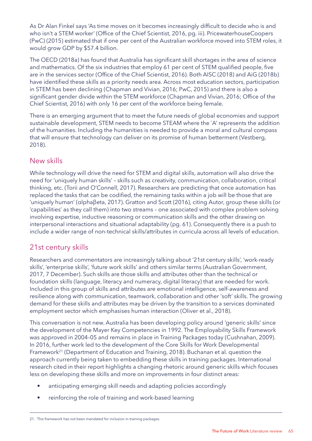As Dr Alan Finkel says 'As time moves on it becomes increasingly difficult to decide who is and who isn't a STEM worker' (Office of the Chief Scientist, 2016, pg. iii). PricewaterhouseCoopers (PwC) (2015) estimated that if one per cent of the Australian workforce moved into STEM roles, it would grow GDP by \$57.4 billion.

The OECD (2018a) has found that Australia has significant skill shortages in the area of science and mathematics. Of the six industries that employ 61 per cent of STEM qualified people, five are in the services sector (Office of the Chief Scientist, 2016). Both AISC (2018) and AiG (2018b) have identified these skills as a priority needs area. Across most education sectors, participation in STEM has been declining (Chapman and Vivian, 2016; PwC, 2015) and there is also a significant gender divide within the STEM workforce (Chapman and Vivian, 2016; Office of the Chief Scientist, 2016) with only 16 per cent of the workforce being female.

There is an emerging argument that to meet the future needs of global economies and support sustainable development, STEM needs to become STEAM where the `A' represents the addition of the humanities. Including the humanities is needed to provide a moral and cultural compass that will ensure that technology can deliver on its promise of human betterment (Vestberg, 2018).

### New skills

While technology will drive the need for STEM and digital skills, automation will also drive the need for 'uniquely human skills' – skills such as creativity, communication, collaboration, critical thinking, etc. (Torii and O'Connell, 2017). Researchers are predicting that once automation has replaced the tasks that can be codified, the remaining tasks within a job will be those that are 'uniquely human' (αlphaβeta, 2017). Gratton and Scott (2016), citing Autor, group these skills (or 'capabilities' as they call them) into two streams – one associated with complex problem solving involving expertise, inductive reasoning or communication skills and the other drawing on interpersonal interactions and situational adaptability (pg. 61). Consequently there is a push to include a wider range of non-technical skills/attributes in curricula across all levels of education.

# 21st century skills

Researchers and commentators are increasingly talking about '21st century skills', 'work-ready skills', 'enterprise skills', 'future work skills' and others similar terms (Australian Government, 2017, 7 December). Such skills are those skills and attributes other than the technical or foundation skills (language, literacy and numeracy, digital literacy) that are needed for work. Included in this group of skills and attributes are emotional intelligence, self-awareness and resilience along with communication, teamwork, collaboration and other 'soft' skills. The growing demand for these skills and attributes may be driven by the transition to a services dominated employment sector which emphasises human interaction (Oliver et al., 2018).

This conversation is not new. Australia has been developing policy around 'generic skills' since the development of the Mayer Key Competencies in 1992. The Employability Skills Framework was approved in 2004–05 and remains in place in Training Packages today (Cushnahan, 2009). In 2016, further work led to the development of the Core Skills for Work Developmental Framework<sup>21</sup> (Department of Education and Training, 2018). Buchanan et al. question the approach currently being taken to embedding these skills in training packages. International research cited in their report highlights a changing rhetoric around generic skills which focuses less on developing these skills and more on improvements in four distinct areas:

- anticipating emerging skill needs and adapting policies accordingly
- reinforcing the role of training and work-based learning

<sup>21.</sup> This framework has not been mandated for inclusion in training packages.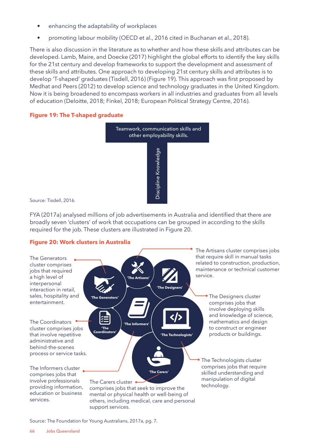- enhancing the adaptability of workplaces
- promoting labour mobility (OECD et al., 2016 cited in Buchanan et al., 2018).

There is also discussion in the literature as to whether and how these skills and attributes can be developed. Lamb, Maire, and Doecke (2017) highlight the global efforts to identify the key skills for the 21st century and develop frameworks to support the development and assessment of these skills and attributes. One approach to developing 21st century skills and attributes is to develop 'T-shaped' graduates (Tisdell, 2016) (Figure 19). This approach was first proposed by Medhat and Peers (2012) to develop science and technology graduates in the United Kingdom. Now it is being broadened to encompass workers in all industries and graduates from all levels of education (Deloitte, 2018; Finkel, 2018; European Political Strategy Centre, 2016).

### **Figure 19: The T-shaped graduate**



Source: Tisdell, 2016.

FYA (2017a) analysed millions of job advertisements in Australia and identified that there are broadly seven 'clusters' of work that occupations can be grouped in according to the skills required for the job. These clusters are illustrated in Figure 20.

### **Figure 20: Work clusters in Australia**



Source: The Foundation for Young Australians, 2017a, pg. 7.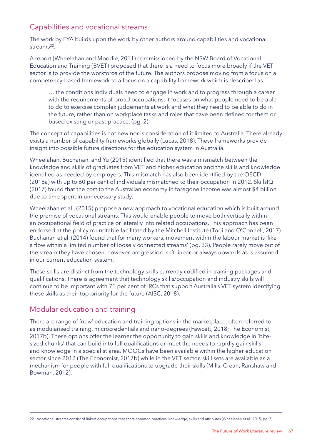# Capabilities and vocational streams

The work by FYA builds upon the work by other authors around capabilities and vocational streams<sup>22</sup>.

A report (Wheelahan and Moodie, 2011) commissioned by the NSW Board of Vocational Education and Training (BVET) proposed that there is a need to focus more broadly if the VET sector is to provide the workforce of the future. The authors propose moving from a focus on a competency-based framework to a focus on a capability framework which is described as:

 … the conditions individuals need to engage in work and to progress through a career with the requirements of broad occupations. It focuses on what people need to be able to do to exercise complex judgements at work and what they need to be able to do in the future, rather than on workplace tasks and roles that have been defined for them or based existing or past practice. (pg. 2)

The concept of capabilities is not new nor is consideration of it limited to Australia. There already exists a number of capability frameworks globally (Lucas, 2018). These frameworks provide insight into possible future directions for the education system in Australia.

Wheelahan, Buchanan, and Yu (2015) identified that there was a mismatch between the knowledge and skills of graduates from VET and higher education and the skills and knowledge identified as needed by employers. This mismatch has also been identified by the OECD (2018a) with up to 60 per cent of individuals mismatched to their occupation in 2012. SkillsIQ (2017) found that the cost to the Australian economy in foregone income was almost \$4 billion due to time spent in unnecessary study.

Wheelahan et al., (2015) propose a new approach to vocational education which is built around the premise of vocational streams. This would enable people to move both vertically within an occupational field of practice or laterally into related occupations. This approach has been endorsed at the policy roundtable facilitated by the Mitchell Institute (Torii and O'Connell, 2017). Buchanan et al. (2014) found that for many workers, movement within the labour market is 'like a flow within a limited number of loosely connected streams' (pg. 33). People rarely move out of the stream they have chosen, however progression isn't linear or always upwards as is assumed in our current education system.

These skills are distinct from the technology skills currently codified in training packages and qualifications. There is agreement that technology skills/occupation and industry skills will continue to be important with 71 per cent of IRCs that support Australia's VET system identifying these skills as their top priority for the future (AISC, 2018).

# Modular education and training

There are range of 'new' education and training options in the marketplace, often referred to as modularised training, microcredentials and nano-degrees (Fawcett, 2018; The Economist, 2017b). These options offer the learner the opportunity to gain skills and knowledge in 'bitesized chunks' that can build into full qualifications or meet the needs to rapidly gain skills and knowledge in a specialist area. MOOCs have been available within the higher education sector since 2012 (The Economist, 2017b) while in the VET sector, skill sets are available as a mechanism for people with full qualifications to upgrade their skills (Mills, Crean, Ranshaw and Bowman, 2012).

<sup>22.</sup> Vocational streams consist of linked occupations that share common practices, knowledge, skills and attributes (Wheelahan et al., 2015, pg. 7).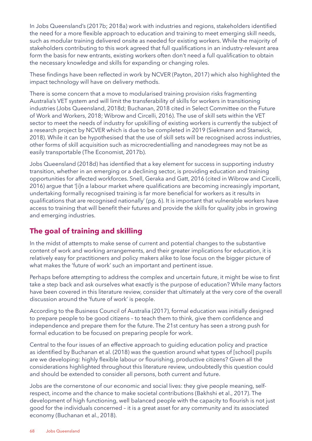In Jobs Queensland's (2017b; 2018a) work with industries and regions, stakeholders identified the need for a more flexible approach to education and training to meet emerging skill needs, such as modular training delivered onsite as needed for existing workers. While the majority of stakeholders contributing to this work agreed that full qualifications in an industry-relevant area form the basis for new entrants, existing workers often don't need a full qualification to obtain the necessary knowledge and skills for expanding or changing roles.

These findings have been reflected in work by NCVER (Payton, 2017) which also highlighted the impact technology will have on delivery methods.

There is some concern that a move to modularised training provision risks fragmenting Australia's VET system and will limit the transferability of skills for workers in transitioning industries (Jobs Queensland, 2018d; Buchanan, 2018 cited in Select Committee on the Future of Work and Workers, 2018; Wibrow and Circelli, 2016). The use of skill sets within the VET sector to meet the needs of industry for upskilling of existing workers is currently the subject of a research project by NCVER which is due to be completed in 2019 (Siekmann and Stanwick, 2018). While it can be hypothesised that the use of skill sets will be recognised across industries, other forms of skill acquisition such as microcredentialling and nanodegrees may not be as easily transportable (The Economist, 2017b).

Jobs Queensland (2018d) has identified that a key element for success in supporting industry transition, whether in an emerging or a declining sector, is providing education and training opportunities for affected workforces. Snell, Geraka and Gatt, 2016 (cited in Wibrow and Circelli, 2016) argue that '[i]n a labour market where qualifications are becoming increasingly important, undertaking formally recognised training is far more beneficial for workers as it results in qualifications that are recognised nationally' (pg. 6). It is important that vulnerable workers have access to training that will benefit their futures and provide the skills for quality jobs in growing and emerging industries.

# **The goal of training and skilling**

In the midst of attempts to make sense of current and potential changes to the substantive content of work and working arrangements, and their greater implications for education, it is relatively easy for practitioners and policy makers alike to lose focus on the bigger picture of what makes the 'future of work' such an important and pertinent issue.

Perhaps before attempting to address the complex and uncertain future, it might be wise to first take a step back and ask ourselves what exactly is the purpose of education? While many factors have been covered in this literature review, consider that ultimately at the very core of the overall discussion around the 'future of work' is people.

According to the Business Council of Australia (2017), formal education was initially designed to prepare people to be good citizens – to teach them to think, give them confidence and independence and prepare them for the future. The 21st century has seen a strong push for formal education to be focused on preparing people for work.

Central to the four issues of an effective approach to guiding education policy and practice as identified by Buchanan et al. (2018) was the question around what types of [school] pupils are we developing: highly flexible labour or flourishing, productive citizens? Given all the considerations highlighted throughout this literature review, undoubtedly this question could and should be extended to consider all persons, both current and future.

Jobs are the cornerstone of our economic and social lives: they give people meaning, selfrespect, income and the chance to make societal contributions (Bakhshi et al., 2017). The development of high functioning, well balanced people with the capacity to flourish is not just good for the individuals concerned – it is a great asset for any community and its associated economy (Buchanan et al., 2018).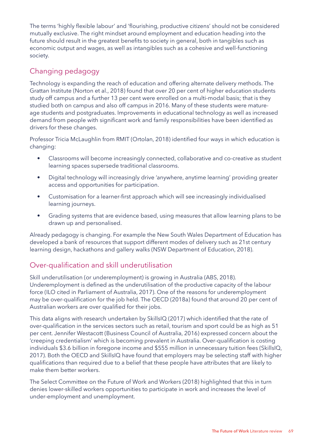The terms 'highly flexible labour' and 'flourishing, productive citizens' should not be considered mutually exclusive. The right mindset around employment and education heading into the future should result in the greatest benefits to society in general, both in tangibles such as economic output and wages, as well as intangibles such as a cohesive and well-functioning society.

# Changing pedagogy

Technology is expanding the reach of education and offering alternate delivery methods. The Grattan Institute (Norton et al., 2018) found that over 20 per cent of higher education students study off campus and a further 13 per cent were enrolled on a multi-modal basis; that is they studied both on campus and also off campus in 2016. Many of these students were matureage students and postgraduates. Improvements in educational technology as well as increased demand from people with significant work and family responsibilities have been identified as drivers for these changes.

Professor Tricia McLaughlin from RMIT (Ortolan, 2018) identified four ways in which education is changing:

- Classrooms will become increasingly connected, collaborative and co-creative as student learning spaces supersede traditional classrooms.
- Digital technology will increasingly drive 'anywhere, anytime learning' providing greater access and opportunities for participation.
- Customisation for a learner-first approach which will see increasingly individualised learning journeys.
- Grading systems that are evidence based, using measures that allow learning plans to be drawn up and personalised.

Already pedagogy is changing. For example the New South Wales Department of Education has developed a bank of resources that support different modes of delivery such as 21st century learning design, hackathons and gallery walks (NSW Department of Education, 2018).

# Over-qualification and skill underutilisation

Skill underutilisation (or underemployment) is growing in Australia (ABS, 2018). Underemployment is defined as the underutilisation of the productive capacity of the labour force (ILO cited in Parliament of Australia, 2017). One of the reasons for underemployment may be over-qualification for the job held. The OECD (2018a) found that around 20 per cent of Australian workers are over qualified for their jobs.

This data aligns with research undertaken by SkillsIQ (2017) which identified that the rate of over-qualification in the services sectors such as retail, tourism and sport could be as high as 51 per cent. Jennifer Westacott (Business Council of Australia, 2016) expressed concern about the 'creeping credentialism' which is becoming prevalent in Australia. Over-qualification is costing individuals \$3.6 billion in foregone income and \$555 million in unnecessary tuition fees (SkillsIQ, 2017). Both the OECD and SkillsIQ have found that employers may be selecting staff with higher qualifications than required due to a belief that these people have attributes that are likely to make them better workers.

The Select Committee on the Future of Work and Workers (2018) highlighted that this in turn denies lower-skilled workers opportunities to participate in work and increases the level of under-employment and unemployment.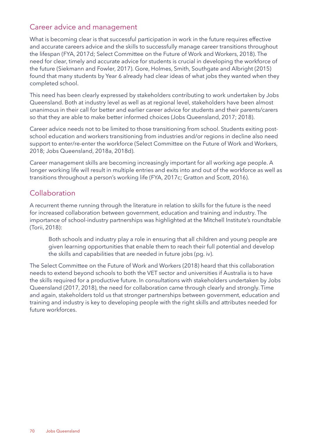### Career advice and management

What is becoming clear is that successful participation in work in the future requires effective and accurate careers advice and the skills to successfully manage career transitions throughout the lifespan (FYA, 2017d; Select Committee on the Future of Work and Workers, 2018). The need for clear, timely and accurate advice for students is crucial in developing the workforce of the future (Siekmann and Fowler, 2017). Gore, Holmes, Smith, Southgate and Albright (2015) found that many students by Year 6 already had clear ideas of what jobs they wanted when they completed school.

This need has been clearly expressed by stakeholders contributing to work undertaken by Jobs Queensland. Both at industry level as well as at regional level, stakeholders have been almost unanimous in their call for better and earlier career advice for students and their parents/carers so that they are able to make better informed choices (Jobs Queensland, 2017; 2018).

Career advice needs not to be limited to those transitioning from school. Students exiting postschool education and workers transitioning from industries and/or regions in decline also need support to enter/re-enter the workforce (Select Committee on the Future of Work and Workers, 2018; Jobs Queensland, 2018a, 2018d).

Career management skills are becoming increasingly important for all working age people. A longer working life will result in multiple entries and exits into and out of the workforce as well as transitions throughout a person's working life (FYA, 2017c; Gratton and Scott, 2016).

# **Collaboration**

A recurrent theme running through the literature in relation to skills for the future is the need for increased collaboration between government, education and training and industry. The importance of school-industry partnerships was highlighted at the Mitchell Institute's roundtable (Torii, 2018):

 Both schools and industry play a role in ensuring that all children and young people are given learning opportunities that enable them to reach their full potential and develop the skills and capabilities that are needed in future jobs (pg. iv).

The Select Committee on the Future of Work and Workers (2018) heard that this collaboration needs to extend beyond schools to both the VET sector and universities if Australia is to have the skills required for a productive future. In consultations with stakeholders undertaken by Jobs Queensland (2017, 2018), the need for collaboration came through clearly and strongly. Time and again, stakeholders told us that stronger partnerships between government, education and training and industry is key to developing people with the right skills and attributes needed for future workforces.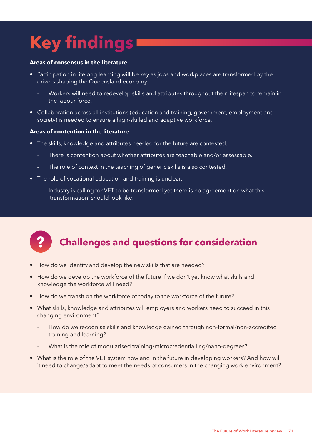# **Key findings**

#### **Areas of consensus in the literature**

- Participation in lifelong learning will be key as jobs and workplaces are transformed by the drivers shaping the Queensland economy.
	- Workers will need to redevelop skills and attributes throughout their lifespan to remain in the labour force.
- Collaboration across all institutions (education and training, government, employment and society) is needed to ensure a high-skilled and adaptive workforce.

### **Areas of contention in the literature**

- The skills, knowledge and attributes needed for the future are contested.
	- There is contention about whether attributes are teachable and/or assessable.
	- The role of context in the teaching of generic skills is also contested.
- The role of vocational education and training is unclear.
	- Industry is calling for VET to be transformed yet there is no agreement on what this 'transformation' should look like.



# **? Challenges and questions for consideration**

- How do we identify and develop the new skills that are needed?
- How do we develop the workforce of the future if we don't yet know what skills and knowledge the workforce will need?
- How do we transition the workforce of today to the workforce of the future?
- What skills, knowledge and attributes will employers and workers need to succeed in this changing environment?
	- How do we recognise skills and knowledge gained through non-formal/non-accredited training and learning?
	- What is the role of modularised training/microcredentialling/nano-degrees?
- What is the role of the VET system now and in the future in developing workers? And how will it need to change/adapt to meet the needs of consumers in the changing work environment?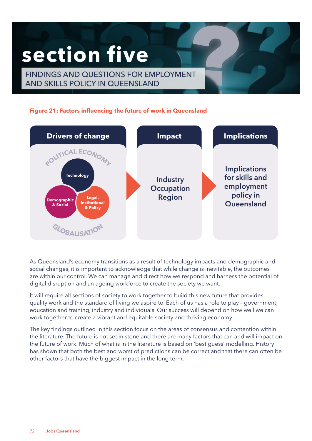# **section five**

FINDINGS AND QUESTIONS FOR EMPLOYMENT AND SKILLS POLICY IN QUEENSLAND

### **Figure 21: Factors influencing the future of work in Queensland**



As Queensland's economy transitions as a result of technology impacts and demographic and social changes, it is important to acknowledge that while change is inevitable, the outcomes are within our control. We can manage and direct how we respond and harness the potential of digital disruption and an ageing workforce to create the society we want.

It will require all sections of society to work together to build this new future that provides quality work and the standard of living we aspire to. Each of us has a role to play – government, education and training, industry and individuals. Our success will depend on how well we can work together to create a vibrant and equitable society and thriving economy.

The key findings outlined in this section focus on the areas of consensus and contention within the literature. The future is not set in stone and there are many factors that can and will impact on the future of work. Much of what is in the literature is based on 'best guess' modelling. History has shown that both the best and worst of predictions can be correct and that there can often be other factors that have the biggest impact in the long term.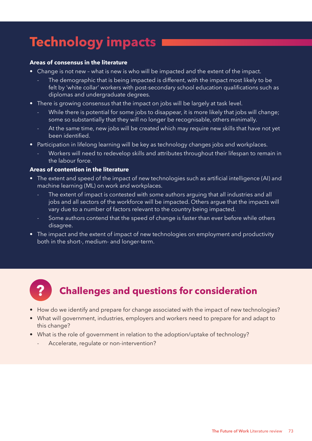# **Technology impacts**

### **Areas of consensus in the literature**

- Change is not new what is new is who will be impacted and the extent of the impact.
	- The demographic that is being impacted is different, with the impact most likely to be felt by 'white collar' workers with post-secondary school education qualifications such as diplomas and undergraduate degrees.
- There is growing consensus that the impact on jobs will be largely at task level.
	- While there is potential for some jobs to disappear, it is more likely that jobs will change; some so substantially that they will no longer be recognisable, others minimally.
	- At the same time, new jobs will be created which may require new skills that have not yet been identified.
- Participation in lifelong learning will be key as technology changes jobs and workplaces.
	- Workers will need to redevelop skills and attributes throughout their lifespan to remain in the labour force.

#### **Areas of contention in the literature**

- The extent and speed of the impact of new technologies such as artificial intelligence (AI) and machine learning (ML) on work and workplaces.
	- The extent of impact is contested with some authors arguing that all industries and all jobs and all sectors of the workforce will be impacted. Others argue that the impacts will vary due to a number of factors relevant to the country being impacted.
	- Some authors contend that the speed of change is faster than ever before while others disagree.
- The impact and the extent of impact of new technologies on employment and productivity both in the short-, medium- and longer-term.



- How do we identify and prepare for change associated with the impact of new technologies?
- What will government, industries, employers and workers need to prepare for and adapt to this change?
- What is the role of government in relation to the adoption/uptake of technology?
	- Accelerate, regulate or non-intervention?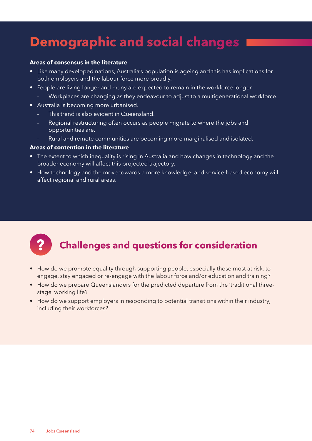# **Demographic and social changes**

#### **Areas of consensus in the literature**

- Like many developed nations, Australia's population is ageing and this has implications for both employers and the labour force more broadly.
- People are living longer and many are expected to remain in the workforce longer.
	- Workplaces are changing as they endeavour to adjust to a multigenerational workforce.
- Australia is becoming more urbanised.
	- This trend is also evident in Queensland.
	- Regional restructuring often occurs as people migrate to where the jobs and opportunities are.
	- Rural and remote communities are becoming more marginalised and isolated.

### **Areas of contention in the literature**

- The extent to which inequality is rising in Australia and how changes in technology and the broader economy will affect this projected trajectory.
- How technology and the move towards a more knowledge- and service-based economy will affect regional and rural areas.

- How do we promote equality through supporting people, especially those most at risk, to engage, stay engaged or re-engage with the labour force and/or education and training?
- How do we prepare Queenslanders for the predicted departure from the 'traditional threestage' working life?
- How do we support employers in responding to potential transitions within their industry, including their workforces?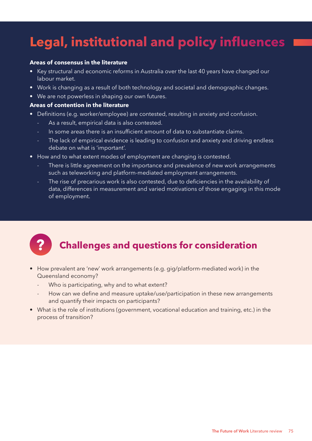# **Legal, institutional and policy influences**

#### **Areas of consensus in the literature**

- Key structural and economic reforms in Australia over the last 40 years have changed our labour market.
- Work is changing as a result of both technology and societal and demographic changes.
- We are not powerless in shaping our own futures.

### **Areas of contention in the literature**

- Definitions (e.g. worker/employee) are contested, resulting in anxiety and confusion.
	- As a result, empirical data is also contested.
	- In some areas there is an insufficient amount of data to substantiate claims.
	- The lack of empirical evidence is leading to confusion and anxiety and driving endless debate on what is 'important'.
- How and to what extent modes of employment are changing is contested.
	- There is little agreement on the importance and prevalence of new work arrangements such as teleworking and platform-mediated employment arrangements.
	- The rise of precarious work is also contested, due to deficiencies in the availability of data, differences in measurement and varied motivations of those engaging in this mode of employment.

- How prevalent are 'new' work arrangements (e.g. gig/platform-mediated work) in the Queensland economy?
	- Who is participating, why and to what extent?
	- How can we define and measure uptake/use/participation in these new arrangements and quantify their impacts on participants?
- What is the role of institutions (government, vocational education and training, etc.) in the process of transition?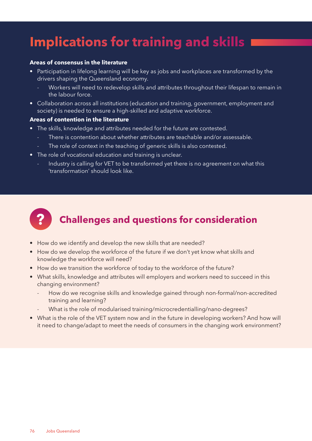# **Implications for training and skills**

#### **Areas of consensus in the literature**

- Participation in lifelong learning will be key as jobs and workplaces are transformed by the drivers shaping the Queensland economy.
	- Workers will need to redevelop skills and attributes throughout their lifespan to remain in the labour force.
- Collaboration across all institutions (education and training, government, employment and society) is needed to ensure a high-skilled and adaptive workforce.

### **Areas of contention in the literature**

- The skills, knowledge and attributes needed for the future are contested.
	- There is contention about whether attributes are teachable and/or assessable.
	- The role of context in the teaching of generic skills is also contested.
- The role of vocational education and training is unclear.
	- Industry is calling for VET to be transformed yet there is no agreement on what this 'transformation' should look like.



- How do we identify and develop the new skills that are needed?
- How do we develop the workforce of the future if we don't yet know what skills and knowledge the workforce will need?
- How do we transition the workforce of today to the workforce of the future?
- What skills, knowledge and attributes will employers and workers need to succeed in this changing environment?
	- How do we recognise skills and knowledge gained through non-formal/non-accredited training and learning?
	- What is the role of modularised training/microcredentialling/nano-degrees?
- What is the role of the VET system now and in the future in developing workers? And how will it need to change/adapt to meet the needs of consumers in the changing work environment?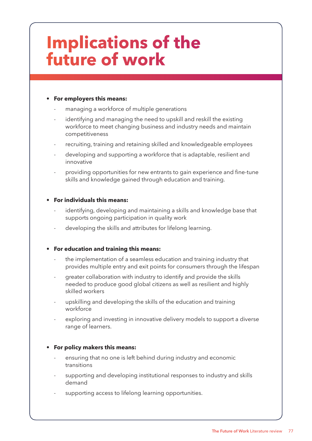# **Implications of the future of work**

### **• For employers this means:**

- managing a workforce of multiple generations
- identifying and managing the need to upskill and reskill the existing workforce to meet changing business and industry needs and maintain competitiveness
- recruiting, training and retaining skilled and knowledgeable employees
- developing and supporting a workforce that is adaptable, resilient and innovative
- providing opportunities for new entrants to gain experience and fine-tune skills and knowledge gained through education and training.

### **• For individuals this means:**

- identifying, developing and maintaining a skills and knowledge base that supports ongoing participation in quality work
- developing the skills and attributes for lifelong learning.

### **• For education and training this means:**

- the implementation of a seamless education and training industry that provides multiple entry and exit points for consumers through the lifespan
- greater collaboration with industry to identify and provide the skills needed to produce good global citizens as well as resilient and highly skilled workers
- upskilling and developing the skills of the education and training workforce
- exploring and investing in innovative delivery models to support a diverse range of learners.

### **• For policy makers this means:**

- ensuring that no one is left behind during industry and economic transitions
- supporting and developing institutional responses to industry and skills demand
- supporting access to lifelong learning opportunities.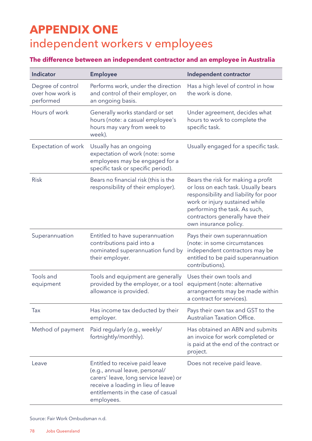# **APPENDIX ONE** independent workers v employees

### **The difference between an independent contractor and an employee in Australia**

| Indicator                                          | <b>Employee</b>                                                                                                                                                                                     | Independent contractor                                                                                                                                                                                                                             |
|----------------------------------------------------|-----------------------------------------------------------------------------------------------------------------------------------------------------------------------------------------------------|----------------------------------------------------------------------------------------------------------------------------------------------------------------------------------------------------------------------------------------------------|
| Degree of control<br>over how work is<br>performed | Performs work, under the direction<br>and control of their employer, on<br>an ongoing basis.                                                                                                        | Has a high level of control in how<br>the work is done.                                                                                                                                                                                            |
| Hours of work                                      | Generally works standard or set<br>hours (note: a casual employee's<br>hours may vary from week to<br>week).                                                                                        | Under agreement, decides what<br>hours to work to complete the<br>specific task.                                                                                                                                                                   |
| Expectation of work                                | Usually has an ongoing<br>expectation of work (note: some<br>employees may be engaged for a<br>specific task or specific period).                                                                   | Usually engaged for a specific task.                                                                                                                                                                                                               |
| <b>Risk</b>                                        | Bears no financial risk (this is the<br>responsibility of their employer).                                                                                                                          | Bears the risk for making a profit<br>or loss on each task. Usually bears<br>responsibility and liability for poor<br>work or injury sustained while<br>performing the task. As such,<br>contractors generally have their<br>own insurance policy. |
| Superannuation                                     | Entitled to have superannuation<br>contributions paid into a<br>nominated superannuation fund by<br>their employer.                                                                                 | Pays their own superannuation<br>(note: in some circumstances<br>independent contractors may be<br>entitled to be paid superannuation<br>contributions).                                                                                           |
| Tools and<br>equipment                             | Tools and equipment are generally<br>provided by the employer, or a tool<br>allowance is provided.                                                                                                  | Uses their own tools and<br>equipment (note: alternative<br>arrangements may be made within<br>a contract for services).                                                                                                                           |
| Tax                                                | Has income tax deducted by their<br>employer.                                                                                                                                                       | Pays their own tax and GST to the<br>Australian Taxation Office.                                                                                                                                                                                   |
| Method of payment                                  | Paid regularly (e.g., weekly/<br>fortnightly/monthly).                                                                                                                                              | Has obtained an ABN and submits<br>an invoice for work completed or<br>is paid at the end of the contract or<br>project.                                                                                                                           |
| Leave                                              | Entitled to receive paid leave<br>(e.g., annual leave, personal/<br>carers' leave, long service leave) or<br>receive a loading in lieu of leave<br>entitlements in the case of casual<br>employees. | Does not receive paid leave.                                                                                                                                                                                                                       |

Source: Fair Work Ombudsman n.d.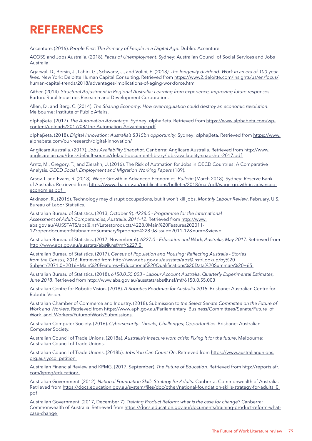### **REFERENCES**

Accenture. (2016). *People First: The Primacy of People in a Digital Age*. Dublin: Accenture.

ACOSS and Jobs Australia. (2018). *Faces of Unemployment*. Sydney: Australian Council of Social Services and Jobs Australia.

Agarwal, D., Bersin, J., Lahiri, G., Schwartz, J., and Volini, E. (2018*). The longevity dividend: Work in an era of 100-year lives*. New York: Deloitte Human Capital Consulting. Retrieved from [https://www2.deloitte.com/insights/us/en/focus/](https://www2.deloitte.com/insights/us/en/focus/human-capital-trends/2018/advantages-implications-of-aging-workforce.html) [human-capital-trends/2018/advantages-implications-of-aging-workforce.html](https://www2.deloitte.com/insights/us/en/focus/human-capital-trends/2018/advantages-implications-of-aging-workforce.html)

Aither. (2014). *Structural Adjustment in Regional Australia: Learning from experience, improving future responses*. Barton: Rural Industries Research and Development Corporation.

Allen, D., and Berg, C. (2014). *The Sharing Economy: How over-regulation could destroy an economic revolution*. Melbourne: Institute of Public Affairs.

αlphaβeta. (2017). *The Automation Advantage*. Sydney: αlphaβeta. Retrieved from [https://www.alphabeta.com/wp](https://www.alphabeta.com/wp-content/uploads/2017/08/The-Automation-Advantage.pdf)[content/uploads/2017/08/The-Automation-Advantage.pdf](https://www.alphabeta.com/wp-content/uploads/2017/08/The-Automation-Advantage.pdf)

αlphaβeta. (2018). *Digital Innovation: Australia's \$315bn opportunity*. Sydney: αlphaβeta. Retrieved from [https://www.](https://www.alphabeta.com/our-research/digital-innovation/) [alphabeta.com/our-research/digital-innovation/](https://www.alphabeta.com/our-research/digital-innovation/)

Anglicare Australia. (2017). *Jobs Availability Snapshot*. Canberra: Anglicare Australia. Retrieved from [http://www.](http://www.anglicare.asn.au/docs/default-source/default-document-library/jobs-availability-snapshot-2017.pdf) [anglicare.asn.au/docs/default-source/default-document-library/jobs-availability-snapshot-2017.pdf](http://www.anglicare.asn.au/docs/default-source/default-document-library/jobs-availability-snapshot-2017.pdf)

Arntz, M., Gregory, T., and Zierahn, U. (2016). The Risk of Autmation for Jobs in OECD Countries: A Comparative Analysis. *OECD Social, Employment and Migration Working Papers* (189).

Arsov, I. and Evans, R. (2018). Wage Growth in Advanced Economies. *Bulletin* (March 2018). Sydney: Reserve Bank of Australia. Retrieved from [https://www.rba.gov.au/publications/bulletin/2018/mar/pdf/wage-growth-in-advanced](https://www.rba.gov.au/publications/bulletin/2018/mar/pdf/wage-growth-in-advanced-economies.pdf)[economies.pdf](https://www.rba.gov.au/publications/bulletin/2018/mar/pdf/wage-growth-in-advanced-economies.pdf) 

Atkinson, R., (2016). Technology may disrupt occupations, but it won't kill jobs. *Monthly Labour Review*, February. U.S. Bureau of Labor Statistics.

Australian Bureau of Statistics. (2013, October 9). *4228.0 - Programme for the International Assessment of Adult Competencies, Australia, 2011-12*. Retrieved from [http://www.](http://www.abs.gov.au/AUSSTATS/abs@.nsf/Latestproducts/4228.0Main Features202011-12?opendocument&tabname=Summary&prodno=4228.0&issue=2011-12&num=&view) [abs.gov.au/AUSSTATS/abs@.nsf/Latestproducts/4228.0Main%20Features202011-](http://www.abs.gov.au/AUSSTATS/abs@.nsf/Latestproducts/4228.0Main Features202011-12?opendocument&tabname=Summary&prodno=4228.0&issue=2011-12&num=&view) [12?opendocument&tabname=Summary&prodno=4228.0&issue=2011-12&num=&view=](http://www.abs.gov.au/AUSSTATS/abs@.nsf/Latestproducts/4228.0Main Features202011-12?opendocument&tabname=Summary&prodno=4228.0&issue=2011-12&num=&view)

Australian Bureau of Statistics. (2017, November 6). *6227.0 - Education and Work, Australia, May 2017*. Retrieved from <http://www.abs.gov.au/ausstats/abs@.nsf/mf/6227.0>

Australian Bureau of Statistics. (2017). *Census of Population and Housing: Reflecting Australia - Stories from the Census, 2016*. Retrieved from [http://www.abs.gov.au/ausstats/abs@.nsf/Lookup/by%20](http://www.abs.gov.au/ausstats/abs@.nsf/Lookup/by Subject/2071.0~2016~Main Features~Educational Qualifications Data Summary ~65) [Subject/2071.0~2016~Main%20Features~Educational%20Qualifications%20Data%20Summary%20~65](http://www.abs.gov.au/ausstats/abs@.nsf/Lookup/by Subject/2071.0~2016~Main Features~Educational Qualifications Data Summary ~65)

Australian Bureau of Statistics. (2018). *6150.0.55.003 – Labour Account Australia, Quarterly Experimental Estimates, June 2018*. Retrieved from <http://www.abs.gov.au/ausstats/abs@.nsf/mf/6150.0.55.003>

Australian Centre for Robotic Vision. (2018). *A Robotics Roadmap for Australia 2018*. Brisbane: Australian Centre for Robotic Vision.

Australian Chamber of Commerce and Industry. (2018). Submission to *the Select Senate Committee on the Future of*  Work and Workers. Retrieved from [https://www.aph.gov.au/Parliamentary\\_Business/Committees/Senate/Future\\_of\\_](https://www.aph.gov.au/Parliamentary_Business/Committees/Senate/Future_of_Work_and_Workers/FutureofWork/Submissions) Work and Workers/FutureofWork/Submissions

Australian Computer Society. (2016). *Cybersecurity: Threats; Challenges; Opportunities*. Brisbane: Australian Computer Society.

Australian Council of Trade Unions. (2018a). *Australia's insecure work crisis: Fixing it for the future*. Melbourne: Australian Council of Trade Unions.

Australian Council of Trade Unions. (2018b). *Jobs You Can Count On*. Retrieved from [https://www.australianunions.](https://www.australianunions.org.au/jycco_petition) [org.au/jycco\\_petition](https://www.australianunions.org.au/jycco_petition)

Australian Financial Review and KPMG. (2017, September). *The Future of Education*. Retrieved from [http://reports.afr.](http://reports.afr.com/kpmg/education/) [com/kpmg/education/](http://reports.afr.com/kpmg/education/)

Australian Government. (2012). *National Foundation Skills Strategy for Adults*. Canberra: Commonwealth of Australia. Retrieved from [https://docs.education.gov.au/system/files/doc/other/national-foundation-skills-strategy-for-adults\\_0.](https://docs.education.gov.au/system/files/doc/other/national-foundation-skills-strategy-for-adults_0.pdf) [pdf](https://docs.education.gov.au/system/files/doc/other/national-foundation-skills-strategy-for-adults_0.pdf)

Australian Government. (2017, December 7). *Training Product Reform: what is the case for change?* Canberra: Commonwealth of Australia. Retrieved from [https://docs.education.gov.au/documents/training-product-reform-what](https://docs.education.gov.au/documents/training-product-reform-what-case-change)[case-change](https://docs.education.gov.au/documents/training-product-reform-what-case-change)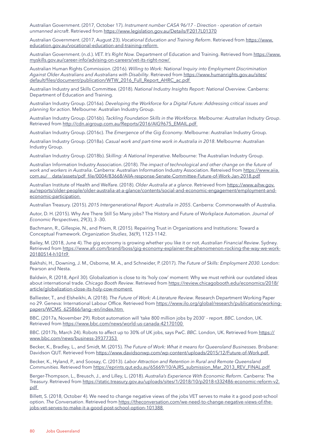Australian Government. (2017, October 17). *Instrument number CASA 96/17 - Direction - operation of certain unmanned aircraft*. Retrieved from <https://www.legislation.gov.au/Details/F2017L01370>

Australian Government. (2017, August 23). *Vocational Education and Training Reform*. Retrieved from [https://www.](https://www.education.gov.au/vocational-education-and-training-reform) [education.gov.au/vocational-education-and-training-reform](https://www.education.gov.au/vocational-education-and-training-reform)

Australian Government. (n.d.). *VET. It's Right Now.* Department of Education and Training. Retrieved from [https://www.](https://www.myskills.gov.au/career-info/advising-on-careers/vet-its-right-now/) [myskills.gov.au/career-info/advising-on-careers/vet-its-right-now/](https://www.myskills.gov.au/career-info/advising-on-careers/vet-its-right-now/)

Australian Human Rights Commission. (2016). *Willing to Work: National Inquiry into Employment Discrimination Against Older Australians and Australians with Disability*. Retrieved from [https://www.humanrights.gov.au/sites/](https://www.humanrights.gov.au/sites/default/files/document/publication/WTW_2016_Full_Report_AHRC_ac.pdf) [default/files/document/publication/WTW\\_2016\\_Full\\_Report\\_AHRC\\_ac.pdf](https://www.humanrights.gov.au/sites/default/files/document/publication/WTW_2016_Full_Report_AHRC_ac.pdf)

Australian Industry and Skills Committee. (2018). *National Industry Insights Report: National Overview*. Canberra: Department of Education and Training.

Australian Industry Group. (2016a). *Developing the Workforce for a Digital Future: Addressing critical issues and planning for action*. Melbourne: Australian Industry Group.

Australian Industry Group. (2016b). *Tackling Foundation Skills in the Workforce. Melbourne: Australian Indsutry Group*. Retrieved from [http://cdn.aigroup.com.au/Reports/2016/AIG9675\\_EMAIL.pdf](http://cdn.aigroup.com.au/Reports/2016/AIG9675_EMAIL.pdf)

Australian Industry Group. (2016c). *The Emergence of the Gig Economy*. Melbourne: Australian Industry Group.

Australian Industry Group. (2018a). *Casual work and part-time work in Australia in 2018*. Melbourne: Australian Industry Group.

Australian Industry Group. (2018b). *Skilling: A National Imperative*. Melbourne: The Australian Industry Group.

Australian Information Industry Association. (2018). *The impact of technological and other change on the future of work and workers in Australia*. Canberra: Australian Information Industry Association. Retreived from [https://www.aiia.](https://www.aiia.com.au/__data/assets/pdf_file/0004/83668/AIIA-response-Senate-Committee-Future-of-Work-Jan-2018.pdf) [com.au/\\_\\_data/assets/pdf\\_file/0004/83668/AIIA-response-Senate-Committee-Future-of-Work-Jan-2018.pdf](https://www.aiia.com.au/__data/assets/pdf_file/0004/83668/AIIA-response-Senate-Committee-Future-of-Work-Jan-2018.pdf)

Australian Institute of Health and Welfare. (2018). *Older Australia at a glance*. Retrieved from [https://www.aihw.gov.](https://www.aihw.gov.au/reports/older-people/older-australia-at-a-glance/contents/social-and-economic-engagement/employment-and-economic-participation) [au/reports/older-people/older-australia-at-a-glance/contents/social-and-economic-engagement/employment-and](https://www.aihw.gov.au/reports/older-people/older-australia-at-a-glance/contents/social-and-economic-engagement/employment-and-economic-participation)[economic-participation](https://www.aihw.gov.au/reports/older-people/older-australia-at-a-glance/contents/social-and-economic-engagement/employment-and-economic-participation)

Australian Treasury. (2015). *2015 Intergenerational Report: Australia in 2055*. Canberra: Commonwealth of Australia.

Autor, D. H. (2015). Why Are There Still So Many jobs? The History and Future of Workplace Automation. *Journal of Economic Perspectives*, 29(3), 3 -30.

Bachmann, R., Gillespie, N., and Priem, R. (2015). Repairing Trust in Organizations and Institutions: Toward a Conceptual Framework. *Organization Studies*, 36(9), 1123-1142.

Bailey, M. (2018, June 4). The gig economy is growing whether you like it or not. *Australian Financial Review*. Sydney. Retrieved from [https://www.afr.com/brand/boss/gig-economy-explainer-the-phenomenon-rocking-the-way-we-work-](https://www.afr.com/brand/boss/gig-economy-explainer-the-phenomenon-rocking-the-way-we-work-20180514-h101t9)[20180514-h101t9](https://www.afr.com/brand/boss/gig-economy-explainer-the-phenomenon-rocking-the-way-we-work-20180514-h101t9)

Bakhshi, H., Downing, J. M., Osborne, M. A., and Schneider, P. (2017). *The Future of Skills: Employment 2030*. London: Pearson and Nesta.

Baldwin, R. (2018, April 30). Globalization is close to its 'holy cow' moment: Why we must rethink our outdated ideas about international trade. *Chicago Booth Review*. Retrieved from [https://review.chicagobooth.edu/economics/2018/](https://review.chicagobooth.edu/economics/2018/article/globalization-close-its-holy-cow-moment) [article/globalization-close-its-holy-cow-moment](https://review.chicagobooth.edu/economics/2018/article/globalization-close-its-holy-cow-moment)

Balliester, T., and Elsheikhi, A. (2018). *The Future of Work: A Literature Review*. Research Department Working Paper no 29. Geneva: International Labour Office. Retrieved from [https://www.ilo.org/global/research/publications/working](https://www.ilo.org/global/research/publications/working-papers/WCMS_625866/lang--en/index.htm)[papers/WCMS\\_625866/lang--en/index.htm](https://www.ilo.org/global/research/publications/working-papers/WCMS_625866/lang--en/index.htm)

BBC. (2017a, November 29). Robot automation will 'take 800 million jobs by 2030' - report. *BBC*. London, UK. Retrieved from <https://www.bbc.com/news/world-us-canada-42170100>

BBC. (2017b, March 24). Robots to affect up to 30% of UK jobs, says PwC. BBC. London, UK. Retrieved from [https://](https://www.bbc.com/news/business-39377353) [www.bbc.com/news/business-39377353](https://www.bbc.com/news/business-39377353)

Becker, K., Bradley, L., and Smidt, M. (2015). *The Future of Work: What it means for Queensland Businesses*. Brisbane: Davidson QUT. Retrieved from<https://www.davidsonwp.com/wp-content/uploads/2015/12/Future-of-Work.pdf>

Becker, K., Hyland, P., and Soosay, C. (2013). *Labor Attraction and Retention in Rural and Remote Queensland Communities*. Retrieved from [https://eprints.qut.edu.au/65669/10/AJRS\\_submission\\_Mar\\_2013\\_REV\\_FINAL.pdf](https://eprints.qut.edu.au/65669/10/AJRS_submission_Mar_2013_REV_FINAL.pdf)

Berger-Thompson, L., Breusch, J., and Lilley, L. (2018). *Australia's Experience With Economic Reform*. Canberra: The Treasury. Retrieved from [https://static.treasury.gov.au/uploads/sites/1/2018/10/p2018-t332486-economic-reform-v2.](https://static.treasury.gov.au/uploads/sites/1/2018/10/p2018-t332486-economic-reform-v2.pdf) [pdf](https://static.treasury.gov.au/uploads/sites/1/2018/10/p2018-t332486-economic-reform-v2.pdf)

Billett, S. (2018, October 4). We need to change negative views of the jobs VET serves to make it a good post-school option. *The Conversation*. Retrieved from [https://theconversation.com/we-need-to-change-negative-views-of-the](https://theconversation.com/we-need-to-change-negative-views-of-the-jobs-vet-serves-to-make-it-a-good-post-school-option-101388)[jobs-vet-serves-to-make-it-a-good-post-school-option-101388](https://theconversation.com/we-need-to-change-negative-views-of-the-jobs-vet-serves-to-make-it-a-good-post-school-option-101388)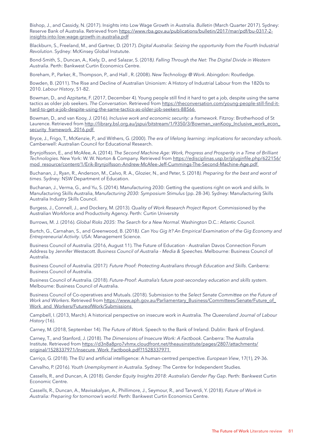Bishop, J., and Cassidy, N. (2017). Insights into Low Wage Growth in Australia. *Bulletin* (March Quarter 2017). Sydney: Reserve Bank of Australia. Retrieved from [https://www.rba.gov.au/publications/bulletin/2017/mar/pdf/bu-0317-2](https://www.rba.gov.au/publications/bulletin/2017/mar/pdf/bu-0317-2-insights-into-low-wage-growth-in-australia.pdf) [insights-into-low-wage-growth-in-australia.pdf](https://www.rba.gov.au/publications/bulletin/2017/mar/pdf/bu-0317-2-insights-into-low-wage-growth-in-australia.pdf)

Blackburn, S., Freeland, M., and Gartner, D. (2017). *Digital Australia: Seizing the opportunity from the Fourth Industrial Revolution*. Sydney: McKinsey Global Instutute.

Bond-Smith, S., Duncan, A., Kiely, D., and Salazar, S. (2018*). Falling Through the Net: The Digital Divide in Western Australia*. Perth: Bankwest Curtin Economics Centre.

Boreham, P., Parker, R., Thompson, P., and Hall , R. (2008). *New Technology @ Work*. Abingdon: Routledge.

Bowden, B. (2011). The Rise and Decline of Australian Unionism: A History of Industrial Labour from the 1820s to 2010. *Labour History*, 51-82.

Bowman, D., and Azpitarte, F. (2017, December 4). Young people still find it hard to get a job, despite using the same tactics as older job seekers. *The Conversation*. Retrieved from [https://theconversation.com/young-people-still-find-it](https://theconversation.com/young-people-still-find-it-hard-to-get-a-job-despite-using-the-same-tactics-as-older-job-seekers-88566)[hard-to-get-a-job-despite-using-the-same-tactics-as-older-job-seekers-88566](https://theconversation.com/young-people-still-find-it-hard-to-get-a-job-despite-using-the-same-tactics-as-older-job-seekers-88566)

Bowman, D., and van Kooy, J. (2016). *Inclusive work and economic security: a framework*. Fitzroy: Brotherhood of St Laurence. Retrieved from [http://library.bsl.org.au/jspui/bitstream/1/9350/3/Bowman\\_vanKooy\\_Inclusive\\_work\\_econ\\_](http://library.bsl.org.au/jspui/bitstream/1/9350/3/Bowman_vanKooy_Inclusive_work_econ_security_framework_2016.pdf) [security\\_framework\\_2016.pdf](http://library.bsl.org.au/jspui/bitstream/1/9350/3/Bowman_vanKooy_Inclusive_work_econ_security_framework_2016.pdf)

Bryce, J., Frigo, T., McKenzie, P., and Withers, G. (2000). *The era of lifelong learning: implications for secondary schools*. Camberwell: Australian Council for Educational Research.

Brynjolfsson, E., and McAfee, A. (2014). *The Second Machine Age: Work, Progress and Prosperity in a Time of Brilliant Technologies*. New York: W. W. Norton & Company. Retrieved from [https://edisciplinas.usp.br/pluginfile.php/622156/](https://edisciplinas.usp.br/pluginfile.php/622156/mod_resource/content/1/Erik-Brynjolfsson-Andrew-McAfee-Jeff-Cummings-The-Second-Machine-Age.pdf) [mod\\_resource/content/1/Erik-Brynjolfsson-Andrew-McAfee-Jeff-Cummings-The-Second-Machine-Age.pdf](https://edisciplinas.usp.br/pluginfile.php/622156/mod_resource/content/1/Erik-Brynjolfsson-Andrew-McAfee-Jeff-Cummings-The-Second-Machine-Age.pdf)

Buchanan, J., Ryan, R., Anderson, M., Calvo, R. A., Glozier, N., and Peter, S. (2018*). Preparing for the best and worst of times*. Sydney: NSW Department of Education.

Buchanan, J., Verma, G., and Yu, S. (2014). Manufacturing 2030: Getting the questions right on work and skills. In Manufacturing Skills Australia, *Manufacturing 2030: Symposium Stimulus* (pp. 28-34). Sydney: Manufacturing Skills Australia Industry Skills Council.

Burgess, J., Connell, J., and Dockery, M. (2013). *Quality of Work Research Project Report*. Commissioned by the Australian Workforce and Productivity Agency. Perth: Curtin University

Burrows, M. J. (2016). *Global Risks 2035: The Search for a New Normal*. Washington D.C.: Atlantic Council.

Burtch, G., Carnahan, S., and Greenwood, B. (2018*). Can You Gig It? An Empirical Examination of the Gig Economy and Entrepreneurial Activity*. USA: Management Science.

Business Council of Australia. (2016, August 11). The Future of Education - Australian Davos Connection Forum Address by Jennifer Westacott. *Business Council of Australia - Media & Speeches*. Melbourne: Business Council of Australia.

Business Council of Australia. (2017*). Future Proof: Protecting Australians through Education and Skills*. Canberra: Business Council of Australia.

Business Council of Australia. (2018). *Future-Proof: Australia's future post-secondary education and skills system*. Melbourne: Business Council of Australia.

Business Council of Co-operatives and Mutuals. (2018). Submission to the *Select Senate Committee on the Future of Work and Workers*. Retrieved from [https://www.aph.gov.au/Parliamentary\\_Business/Committees/Senate/Future\\_of\\_](https://www.aph.gov.au/Parliamentary_Business/Committees/Senate/Future_of_Work_and_Workers/FutureofWork/Submissions) [Work\\_and\\_Workers/FutureofWork/Submissions](https://www.aph.gov.au/Parliamentary_Business/Committees/Senate/Future_of_Work_and_Workers/FutureofWork/Submissions)

Campbell, I. (2013, March). A historical perspective on insecure work in Australia. *The Queensland Journal of Labour History* (16).

Carney, M. (2018, September 14). *The Future of Work*. Speech to the Bank of Ireland. Dublin: Bank of England.

Carney, T., and Stanford, J. (2018). *The Dimensions of Insecure Work: A Factbook*. Canberra: The Australia Institute. Retrieved from [https://d3n8a8pro7vhmx.cloudfront.net/theausinstitute/pages/2807/attachments/](https://d3n8a8pro7vhmx.cloudfront.net/theausinstitute/pages/2807/attachments/original/1528337971/Insecure_Work_Factbook.pdf?1528337971) [original/1528337971/Insecure\\_Work\\_Factbook.pdf?1528337971](https://d3n8a8pro7vhmx.cloudfront.net/theausinstitute/pages/2807/attachments/original/1528337971/Insecure_Work_Factbook.pdf?1528337971)

Carriço, G. (2018). The EU and artificial intelligence: A human-centred perspective*. European View*, 17(1), 29-36.

Carvalho, P. (2016). *Youth Unemployment in Australia*. Sydney: The Centre for Independent Studies.

Cassells, R., and Duncan, A. (2018). *Gender Equity Insights 2018: Australia's Gender Pay Gap*. Perth: Bankwest Curtin Economic Centre.

Cassells, R., Duncan, A., Mavisakalyan, A., Phillimore, J., Seymour, R., and Tarverdi, Y. (2018). *Future of Work in Australia: Preparing for tomorrow's world*. Perth: Bankwest Curtin Economics Centre.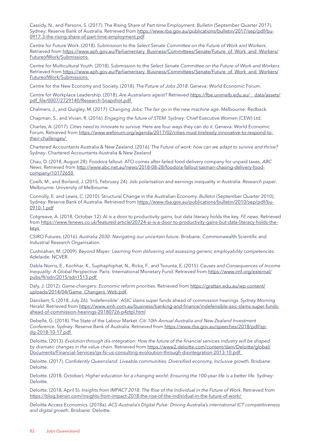Cassidy, N., and Parsons, S. (2017). The Rising Share of Part-time Employment. *Bulletin* (September Quarter 2017). Sydney: Reserve Bank of Australia. Retrieved from [https://www.rba.gov.au/publications/bulletin/2017/sep/pdf/bu-](https://www.rba.gov.au/publications/bulletin/2017/sep/pdf/bu-0917-3-the-rising-share-of-part-time-employment.pdf)[0917-3-the-rising-share-of-part-time-employment.pdf](https://www.rba.gov.au/publications/bulletin/2017/sep/pdf/bu-0917-3-the-rising-share-of-part-time-employment.pdf)

Centre for Future Work. (2018). Submission to the *Select Senate Committee on the Future of Work and Workers*. Retrieved from [https://www.aph.gov.au/Parliamentary\\_Business/Committees/Senate/Future\\_of\\_Work\\_and\\_Workers/](https://www.aph.gov.au/Parliamentary_Business/Committees/Senate/Future_of_Work_and_Workers/FutureofWork/Submissions) [FutureofWork/Submissions](https://www.aph.gov.au/Parliamentary_Business/Committees/Senate/Future_of_Work_and_Workers/FutureofWork/Submissions)

Centre for Multicultural Youth. (2018). Submission to the *Select Senate Committee on the Future of Work and Workers*. Retrieved from [https://www.aph.gov.au/Parliamentary\\_Business/Committees/Senate/Future\\_of\\_Work\\_and\\_Workers/](https://www.aph.gov.au/Parliamentary_Business/Committees/Senate/Future_of_Work_and_Workers/FutureofWork/Submissions) [FutureofWork/Submissions](https://www.aph.gov.au/Parliamentary_Business/Committees/Senate/Future_of_Work_and_Workers/FutureofWork/Submissions)

Centre for the New Economy and Society. (2018). *The Future of Jobs 2018*. Geneva: World Economic Forum.

Centre for Workplace Leadership. (2018). *Are Australians ageist*? Retrieved [https://fbe.unimelb.edu.au/\\_\\_data/assets/](https://fbe.unimelb.edu.au/__data/assets/pdf_file/0007/2729140/Research-Snapshot.pdf) [pdf\\_file/0007/2729140/Research-Snapshot.pdf](https://fbe.unimelb.edu.au/__data/assets/pdf_file/0007/2729140/Research-Snapshot.pdf)

Chalmers, J., and Quigley, M. (2017). *Changing Jobs: The fair go in the new machine age*. Melbourne: Redback.

Chapman, S., and Vivian, R. (2016). *Engaging the future of STEM*. Sydney: Chief Executive Women (CEW) Ltd.

Charles, A. (2017). *Cities need to innovate to survive*. Here are four ways they can do it. Geneva: World Economic Forum. Retrieved from [https://www.weforum.org/agenda/2017/02/cities-must-tirelessly-innovative-to-respond-to](https://www.weforum.org/agenda/2017/02/cities-must-tirelessly-innovative-to-respond-to-their-challenges/)[their-challenges/](https://www.weforum.org/agenda/2017/02/cities-must-tirelessly-innovative-to-respond-to-their-challenges/)

Chartered Accountants Australia & New Zealand. (2016). *The Future of work: how can we adapt to survive and thrive?* Sydney: Chartered Accountants Australia & New Zealand

Chau, D. (2018, August 28). Foodora fallout: ATO comes after failed food delivery company for unpaid taxes. *ABC News*. Retrieved from [http://www.abc.net.au/news/2018-08-28/foodora-fallout-taxman-chasing-delivery-food](http://www.abc.net.au/news/2018-08-28/foodora-fallout-taxman-chasing-delivery-food-company/10172650)[company/10172650](http://www.abc.net.au/news/2018-08-28/foodora-fallout-taxman-chasing-delivery-food-company/10172650)

Coelli, M., and Borland, J. (2015, February 24). Job polarisation and earnings inequality in Australia. *Research paper*. Melbourne: University of Melbourne.

Connolly, E. and Lewis, C. (2010). Structural Change in the Australian Economy. *Bulletin* (September Quarter 2010). Sydney: Reserve Bank of Australia. Retrieved from [https://www.rba.gov.au/publications/bulletin/2010/sep/pdf/bu-](https://www.rba.gov.au/publications/bulletin/2010/sep/pdf/bu-0910-1.pdf)[0910-1.pdf](https://www.rba.gov.au/publications/bulletin/2010/sep/pdf/bu-0910-1.pdf)

Cotgreave, A. (2018, October 12). AI is a door to productivity gains, but data literacy holds the key. *FE news*. Retrieved from [https://www.fenews.co.uk/featured-article/20724-ai-is-a-door-to-productivity-gains-but-data-literacy-holds-the](https://www.fenews.co.uk/featured-article/20724-ai-is-a-door-to-productivity-gains-but-data-literacy-holds-the-keys)[keys](https://www.fenews.co.uk/featured-article/20724-ai-is-a-door-to-productivity-gains-but-data-literacy-holds-the-keys)

CSIRO Futures. (2016). *Australia 2030: Navigating our uncertain future*. Brisbane: Commonwealth Scientific and Industrial Research Organisation.

Cushnahan, M. (2009). *Beyond Mayer: Learning from delivering and assessing generic employability competencies*. Adelaide: NCVER.

Dabla-Norris, E., Kochhar, K., Suphaphiphat, N., Ricka, F., and Tsounta, E. (2015). *Causes and Consequences of Income Inequality: A Global Perspective*. Paris: International Monetary Fund. Retrieved from [https://www.imf.org/external/](https://www.imf.org/external/pubs/ft/sdn/2015/sdn1513.pdf) [pubs/ft/sdn/2015/sdn1513.pdf](https://www.imf.org/external/pubs/ft/sdn/2015/sdn1513.pdf)

Daly, J. (2012). *Game-changers: Economic reform priorities*. Retrieved from [https://grattan.edu.au/wp-content/](https://grattan.edu.au/wp-content/uploads/2014/04/Game_Changers_Web.pdf) [uploads/2014/04/Game\\_Changers\\_Web.pdf](https://grattan.edu.au/wp-content/uploads/2014/04/Game_Changers_Web.pdf)

Danckert, S. (2018, July 26). 'Indefensible': ASIC slams super funds ahead of commission hearings. *Sydney Morning Herald*. Retrieved from [https://www.smh.com.au/business/banking-and-finance/indefensible-asic-slams-super-funds](https://www.smh.com.au/business/banking-and-finance/indefensible-asic-slams-super-funds-ahead-of-commission-hearings-20180726-p4ztpl.html)[ahead-of-commission-hearings-20180726-p4ztpl.html](https://www.smh.com.au/business/banking-and-finance/indefensible-asic-slams-super-funds-ahead-of-commission-hearings-20180726-p4ztpl.html)

Debelle, G. (2018). The State of the Labour Market. *Citi 10th Annual Australia and New Zealand Investment Conference*. Sydney: Reserve Bank of Australia. Retrieved from [https://www.rba.gov.au/speeches/2018/pdf/sp](https://www.rba.gov.au/speeches/2018/pdf/sp-dg-2018-10-17.pdf)[dg-2018-10-17.pdf](https://www.rba.gov.au/speeches/2018/pdf/sp-dg-2018-10-17.pdf)

Deloitte. (2013). *Evolution through dis-integration: How the future of the financial services industry will be shaped by dramatic changes in the value chain*. Retrieved from [https://www2.deloitte.com/content/dam/Deloitte/global/](https://www2.deloitte.com/content/dam/Deloitte/global/Documents/Financial-Services/gx-fsi-us-consulting-evoloution-through-disintegration-2013-10.pdf) [Documents/Financial-Services/gx-fsi-us-consulting-evoloution-through-disintegration-2013-10.pdf](https://www2.deloitte.com/content/dam/Deloitte/global/Documents/Financial-Services/gx-fsi-us-consulting-evoloution-through-disintegration-2013-10.pdf) 

Deloitte. (2017). *Confidently Queensland: Liveable communities, Diversified economy, Inclusive growth.* Brisbane: Deloitte.

Deloitte. (2018, October). *Higher education for a changing world: Ensuring the 100-year life is a better life.* Sydney: Deloitte.

Deloitte. (2018, April 5). *Insights from IMPACT 2018: The Rise of the Individual in the Future of Work*. Retrieved from <https://blog.bersin.com/insights-from-impact-2018-the-rise-of-the-individual-in-the-future-of-work/>

Deloitte Access Economics. (2018a). *ACS Australia's Digital Pulse: Driving Australia's international ICT competitiveness and digital growth*. Brisbane: Deloitte.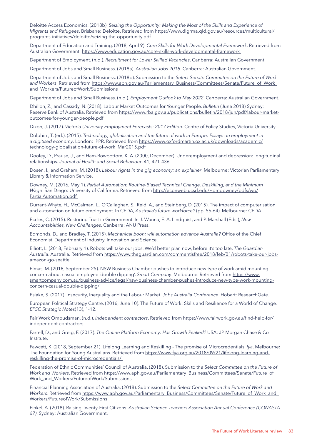Deloitte Access Economics. (2018b). *Seizing the Opportunity: Making the Most of the Skills and Experience of Migrants and Refugees*. Brisbane: Deloitte. Retrieved from [https://www.dlgrma.qld.gov.au/resources/multicultural/](https://www.dlgrma.qld.gov.au/resources/multicultural/programs-initiatives/deloitte/seizing-the-opportunity.pdf) [programs-initiatives/deloitte/seizing-the-opportunity.pdf](https://www.dlgrma.qld.gov.au/resources/multicultural/programs-initiatives/deloitte/seizing-the-opportunity.pdf)

Department of Education and Training. (2018, April 9). *Core Skills for Work Developmental Framework*. Retrieved from Australian Government:<https://www.education.gov.au/core-skills-work-developmental-framework>

Department of Employment. (n.d.). *Recruitment for Lower Skilled Vacancies*. Canberra: Australian Government.

Department of Jobs and Small Business. (2018a). *Australian Jobs 2018*. Canberra: Australian Government.

Department of Jobs and Small Business. (2018b). Submission to the *Select Senate Committee on the Future of Work*  and Workers. Retrieved from [https://www.aph.gov.au/Parliamentary\\_Business/Committees/Senate/Future\\_of\\_Work\\_](https://www.aph.gov.au/Parliamentary_Business/Committees/Senate/Future_of_Work_and_Workers/FutureofWork/Submissions) [and\\_Workers/FutureofWork/Submissions](https://www.aph.gov.au/Parliamentary_Business/Committees/Senate/Future_of_Work_and_Workers/FutureofWork/Submissions)

Department of Jobs and Small Business. (n.d.). *Employment Outlook to May 2022*. Canberra: Australian Government.

Dhillon, Z., and Cassidy, N. (2018). Labour Market Outcomes for Younger People. *Bulletin* (June 2018) Sydney: Reserve Bank of Australia. Retrieved from [https://www.rba.gov.au/publications/bulletin/2018/jun/pdf/labour-market](https://www.rba.gov.au/publications/bulletin/2018/jun/pdf/labour-market-outcomes-for-younger-people.pdf)[outcomes-for-younger-people.pdf](https://www.rba.gov.au/publications/bulletin/2018/jun/pdf/labour-market-outcomes-for-younger-people.pdf)

Dixon, J. (2017). *Victoria University Employment Forecasts: 2017 Edition*. Centre of Policy Studies, Victoria University.

Dolphin , T. (ed.). (2015). *Technology, globalisation and the future of work in Europe: Essays on employment in a digitised economy*. London: IPPR. Retrieved from [https://www.oxfordmartin.ox.ac.uk/downloads/academic/](https://www.oxfordmartin.ox.ac.uk/downloads/academic/technology-globalisation-future-of-work_Mar2015.pdf) [technology-globalisation-future-of-work\\_Mar2015.pdf](https://www.oxfordmartin.ox.ac.uk/downloads/academic/technology-globalisation-future-of-work_Mar2015.pdf)

Dooley, D., Prause, J., and Ham-Rowbottom, K. A. (2000, December). Underemployment and depression: longitudinal relationships. *Journal of Health and Social Behaviour*, 41, 421-436.

Dosen, I., and Graham, M. (2018). *Labour rights in the gig economy: an explainer*. Melbourne: Victorian Parliamentary Library & Information Service.

Downey, M. (2016, May 1). *Partial Automation: Routine-Biased Technical Change, Deskilling, and the Minimum*  Wage. San Diego: University of California. Retrieved from [http://econweb.ucsd.edu/~pmdowney/pdfs/wp/](http://econweb.ucsd.edu/~pmdowney/pdfs/wp/PartialAutomation.pdf) [PartialAutomation.pdf](http://econweb.ucsd.edu/~pmdowney/pdfs/wp/PartialAutomation.pdf)

Durrant-Whyte, H., McCalman, L., O'Callaghan, S., Reid, A., and Steinberg, D. (2015). The impact of computerisation and automation on future employment. In CEDA, *Australia's future workforce?* (pp. 56-64). Melbourne: CEDA.

Eccles, C. (2015). Restoring Trust in Government. In J. Wanna, E. A. Lindquist, and P. Marshall (Eds.), *New Accountabilities, New Challenges*. Canberra: ANU Press.

Edmonds, D., and Bradley, T. (2015). *Mechanical boon: will automation advance Australia?* Office of the Chief Economist. Department of Industry, Innovation and Science.

Elliott, L. (2018, February 1). Robots will take our jobs. We'd better plan now, before it's too late. *The Guardian Australia*. Australia. Retrieved from [https://www.theguardian.com/commentisfree/2018/feb/01/robots-take-our-jobs](https://www.theguardian.com/commentisfree/2018/feb/01/robots-take-our-jobs-amazon-go-seattle)[amazon-go-seattle](https://www.theguardian.com/commentisfree/2018/feb/01/robots-take-our-jobs-amazon-go-seattle)

Elmas, M. (2018, September 25). NSW Business Chamber pushes to introduce new type of work amid mounting concern about casual employee 'double dipping'. *Smart Company*. Melbourne. Retrieved from [https://www.](https://www.smartcompany.com.au/business-advice/legal/nsw-business-chamber-pushes-introduce-new-type-work-mounting-concern-casual-double-dipping/) [smartcompany.com.au/business-advice/legal/nsw-business-chamber-pushes-introduce-new-type-work-mounting](https://www.smartcompany.com.au/business-advice/legal/nsw-business-chamber-pushes-introduce-new-type-work-mounting-concern-casual-double-dipping/)[concern-casual-double-dipping/](https://www.smartcompany.com.au/business-advice/legal/nsw-business-chamber-pushes-introduce-new-type-work-mounting-concern-casual-double-dipping/)

Eslake, S. (2017). Insecurity, Inequality and the Labour Market. *Jobs Australia Conference*. Hobart: ResearchGate.

European Political Strategy Centre. (2016, June 10). The Future of Work: Skills and Resilience for a World of Change*. EPSC Strategic Notes*(13), 1-12.

Fair Work Ombudsman. (n.d.). *Independent contractors*. Retrieved from [https://www.fairwork.gov.au/find-help-for/](https://www.fairwork.gov.au/find-help-for/independent-contractors) [independent-contractors](https://www.fairwork.gov.au/find-help-for/independent-contractors)

Farrell, D., and Greig, F. (2017). *The Online Platform Economy: Has Growth Peaked?* USA: JP Morgan Chase & Co Institute.

Fawcett, K. (2018, September 21). Lifelong Learning and Reskilling - The promise of Microcredentials. *fya*. Melbourne: The Foundation for Young Australians. Retrieved from [https://www.fya.org.au/2018/09/21/lifelong-learning-and](https://www.fya.org.au/2018/09/21/lifelong-learning-and-reskilling-the-promise-of-microcredentials/)[reskilling-the-promise-of-microcredentials/](https://www.fya.org.au/2018/09/21/lifelong-learning-and-reskilling-the-promise-of-microcredentials/)

Federation of Ethnic Communities' Council of Australia. (2018). Submission to *the Select Committee on the Future of*  Work and Workers. Retrieved from [https://www.aph.gov.au/Parliamentary\\_Business/Committees/Senate/Future\\_of\\_](https://www.aph.gov.au/Parliamentary_Business/Committees/Senate/Future_of_Work_and_Workers/FutureofWork/Submissions) Work and Workers/FutureofWork/Submissions

Financial Planning Association of Australia. (2018). Submission to the *Select Committee on the Future of Work and*  Workers. Retrieved from [https://www.aph.gov.au/Parliamentary\\_Business/Committees/Senate/Future\\_of\\_Work\\_and\\_](https://www.aph.gov.au/Parliamentary_Business/Committees/Senate/Future_of_Work_and_Workers/FutureofWork/Submissions) [Workers/FutureofWork/Submissions](https://www.aph.gov.au/Parliamentary_Business/Committees/Senate/Future_of_Work_and_Workers/FutureofWork/Submissions)

Finkel, A. (2018). Raising Twenty-First Citizens. *Australian Science Teachers Association Annual Conference (CONASTA 67)*. Sydney: Australian Government.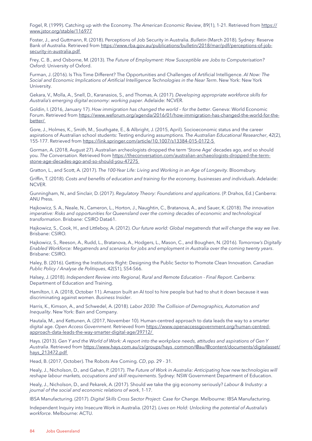Fogel, R. (1999). Catching up with the Economy. *The American Economic Review*, 89(1), 1-21. Retrieved from [https://](https://www.jstor.org/stable/116977) [www.jstor.org/stable/116977](https://www.jstor.org/stable/116977) 

Foster, J., and Guttmann, R. (2018). Perceptions of Job Security in Australia. *Bulletin* (March 2018). Sydney: Reserve Bank of Australia. Retrieved from [https://www.rba.gov.au/publications/bulletin/2018/mar/pdf/perceptions-of-job](https://www.rba.gov.au/publications/bulletin/2018/mar/pdf/perceptions-of-job-security-in-australia.pdf)[security-in-australia.pdf](https://www.rba.gov.au/publications/bulletin/2018/mar/pdf/perceptions-of-job-security-in-australia.pdf)

Frey, C. B., and Osborne, M. (2013). *The Future of Employment: How Susceptible are Jobs to Computerisation?* Oxford: University of Oxford.

Furman, J. (2016). Is This Time Different? The Opportunities and Challenges of Artificial Intelligence. *AI Now: The Social and Economic Implications of Artificial Intelligence Technologies in the Near Term*. New York: New York University.

Gekara, V., Molla, A., Snell, D., Karanasios, S., and Thomas, A. (2017). *Developing appropriate workforce skills for Australia's emerging digital economy: working paper*. Adelaide: NCVER.

Goldin, I. (2016, January 17). *How immigration has changed the world – for the better*. Geneva: World Economic Forum. Retrieved from [https://www.weforum.org/agenda/2016/01/how-immigration-has-changed-the-world-for-the](https://www.weforum.org/agenda/2016/01/how-immigration-has-changed-the-world-for-the-better/)[better/](https://www.weforum.org/agenda/2016/01/how-immigration-has-changed-the-world-for-the-better/)

Gore, J., Holmes, K., Smith, M., Southgate, E., & Albright, J. (2015, April). Socioeconomic status and the career aspirations of Australian school students: Testing enduring assumptions. *The Australian Educational Researcher*, 42(2), 155-177. Retrieved from<https://link.springer.com/article/10.1007/s13384-015-0172-5>

Gorman, A. (2018, August 27). Australian archeologists dropped the term 'Stone Age' decades ago, and so should you. *The Conversation*. Retrieved from [https://theconversation.com/australian-archaeologists-dropped-the-term](https://theconversation.com/australian-archaeologists-dropped-the-term-stone-age-decades-ago-and-so-should-you-47275)[stone-age-decades-ago-and-so-should-you-47275](https://theconversation.com/australian-archaeologists-dropped-the-term-stone-age-decades-ago-and-so-should-you-47275)

Gratton, L., and Scott, A. (2017). *The 100-Year Life: Living and Working in an Age of Longevity*. Bloomsbury.

Griffin, T. (2018). *Costs and benefits of education and training for the economy, businesses and individuals*. Adelaide: NCVER.

Gunningham, N., and Sinclair, D. (2017). *Regulatory Theory: Foundations and applications*. (P. Drahos, Ed.) Canberra: ANU Press.

Hajkowicz, S. A., Neale, N., Cameron, L., Horton, J., Naughtin, C., Bratanova, A., and Sauer, K. (2018). *The innovation imperative: Risks and opportunities for Queensland over the coming decades of economic and technological transformation*. Brisbane: CSIRO Data61.

Hajkowicz, S., Cook, H., and Littleboy, A. (2012). *Our future world: Global megatrends that will change the way we live*. Brisbane: CSIRO.

Hajkowicz, S., Reeson, A., Rudd, L., Bratanova, A., Hodgers, L., Mason, C., and Boughen, N. (2016). *Tomorrow's Digitally Enabled Workforce: Megatrends and scenarios for jobs and employment in Australia over the coming twenty years*. Brisbane: CSIRO.

Haley, B. (2016). Getting the Institutions Right: Designing the Public Sector to Promote Clean Innovation. *Canadian Public Policy / Analyse de Politiques*, 42(S1), S54-S66.

Halsey, J. (2018). *Independent Review into Regional, Rural and Remote Education - Final Report*. Canberra: Department of Education and Training.

Hamilton, I. A. (2018, October 11). Amazon built an AI tool to hire people but had to shut it down because it was discriminating against women. *Business Insider*.

Harris, K., Kimson, A., and Schwedel, A. (2018). *Labor 2030: The Collision of Demographics, Automation and Inequality*. New York: Bain and Company.

Hautala, M., and Kettunen, A. (2017, November 10). Human-centred approach to data leads the way to a smarter digital age. *Open Access Government*. Retrieved from [https://www.openaccessgovernment.org/human-centred](https://www.openaccessgovernment.org/human-centred-approach-data-leads-the-way-smarter-digital-age/39712/)[approach-data-leads-the-way-smarter-digital-age/39712/](https://www.openaccessgovernment.org/human-centred-approach-data-leads-the-way-smarter-digital-age/39712/)

Hays. (2013). *Gen Y and the World of Work: A report into the workplace needs, attitudes and aspirations of Gen Y Australia*. Retrieved from [https://www.hays.com.au/cs/groups/hays\\_common/@au/@content/documents/digitalasset/](https://www.hays.com.au/cs/groups/hays_common/@au/@content/documents/digitalasset/hays_213472.pdf) [hays\\_213472.pdf](https://www.hays.com.au/cs/groups/hays_common/@au/@content/documents/digitalasset/hays_213472.pdf)

Head, B. (2017, October). The Robots Are Coming. *CD*, pp. 29 - 31.

Healy, J., Nicholson, D., and Gahan, P. (2017). *The Future of Work in Australia: Anticipating how new technologies will reshape labour markets, occupations and skill requirements*. Sydney: NSW Government Department of Education.

Healy, J., Nicholson, D., and Pekarek, A. (2017). Should we take the gig economy seriously? *Labour & Industry: a journal of the social and economic relations of work*, 1-17.

IBSA Manufacturing. (2017). *Digital Skills Cross Sector Project: Case for Change*. Melbourne: IBSA Manufacturing.

Independent Inquiry into Insecure Work in Australia. (2012). *Lives on Hold: Unlocking the potential of Australia's workforce*. Melbourne: ACTU.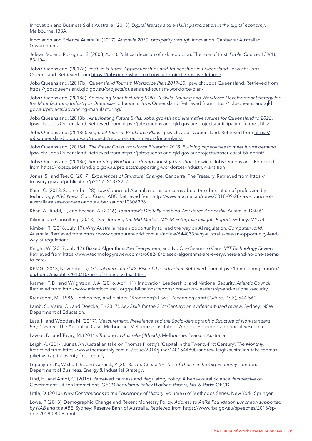Innovation and Business Skills Australia. (2013). *Digital literacy and e-skills: participation in the digital economy*. Melbourne: IBSA.

Innovation and Science Australia. (2017). *Australia 2030: prosperity through innovation*. Canberra: Australian Government.

Jeleva, M., and Rossignol, S. (2008, April). Political decision of risk reduction: The role of trust. *Public Choice*, 139(1), 83-104.

Jobs Queensland. (2017a). *Positive Futures: Apprenticeships and Traineeships in Queensland.* Ipswich: Jobs Queensland. Retrieved from<https://jobsqueensland.qld.gov.au/projects/positive-futures/>

Jobs Queensland. (2017b*). Queensland Tourism Workforce Plan 2017-20.* Ipswich: Jobs Queensland. Retrieved from <https://jobsqueensland.qld.gov.au/projects/queensland-tourism-workforce-plan/>

Jobs Queensland. (2018a). *Advancing Manufacturing Skills: A Skills, Training and Workforce Development Strategy for the Manufacturing Industry in Queensland.* Ipswich: Jobs Queensland. Retrieved from [https://jobsqueensland.qld.](https://jobsqueensland.qld.gov.au/projects/advancing-manufacturing/) [gov.au/projects/advancing-manufacturing/](https://jobsqueensland.qld.gov.au/projects/advancing-manufacturing/)

Jobs Queensland. (2018b). *Anticipating Future Skills: Jobs, growth and alternative futures for Queensland to 2022*. Ipswich: Jobs Queensland. Retrieved from <https://jobsqueensland.qld.gov.au/projects/anticipating-future-skills/>

Jobs Queensland. (2018c). *Regional Tourism Workforce Plans*. Ipswich: Jobs Queensland. Retrieved from [https://](https://jobsqueensland.qld.gov.au/projects/regional-tourism-workforce-plans/) [jobsqueensland.qld.gov.au/projects/regional-tourism-workforce-plans/](https://jobsqueensland.qld.gov.au/projects/regional-tourism-workforce-plans/)

Jobs Queensland. (2018d). *The Fraser Coast Workforce Blueprint 2018: Building capabilities to meet future demand*. Ipswich: Jobs Queensland. Retrieved from <https://jobsqueensland.qld.gov.au/projects/fraser-coast-blueprint/>

Jobs Queensland. (2018e). *Supporting Workforces during Industry Transition*. Ipswich: Jobs Queensland. Retrieved from<https://jobsqueensland.qld.gov.au/projects/supporting-workforces-industry-transition>

Jones, S., and Tee, C. (2017). *Experiences of Structural Change*. Canberra: The Treasury. Retrieved from [https://](https://treasury.gov.au/publication/p2017-t213722b/) [treasury.gov.au/publication/p2017-t213722b/](https://treasury.gov.au/publication/p2017-t213722b/)

Kane, C. (2018, September 28). Law Council of Australia raises concerns about the uberisation of profession by technology. *ABC News*. Gold Coast: ABC. Retrieved from [http://www.abc.net.au/news/2018-09-28/law-council-of](http://www.abc.net.au/news/2018-09-28/law-council-of-australia-raises-concerns-about-uberisation/10306298)[australia-raises-concerns-about-uberisation/10306298](http://www.abc.net.au/news/2018-09-28/law-council-of-australia-raises-concerns-about-uberisation/10306298)

Khan, A., Rudd, L., and Reeson, A. (2016). *Tomorrow's Digitally Enabled Workforce Appendix*. Australia: Data61.

Kilimanjaro Consulting. (2018). *Transforming the Mid Market: MYOB Enterprise Insights Report*. Sydney: MYOB.

Kimber, R. (2018, July 19). Why Australia has an opportunity to lead the way on AI regulation. *Computerworld*. Australia. Retrieved from [https://www.computerworld.com.au/article/644033/why-australia-has-an-opportunity-lead](https://www.computerworld.com.au/article/644033/why-australia-has-an-opportunity-lead-way-ai-regulation/)[way-ai-regulation/](https://www.computerworld.com.au/article/644033/why-australia-has-an-opportunity-lead-way-ai-regulation/)

Knight, W. (2017, July 12). Biased Algorithms Are Everywhere, and No One Seems to Care. *MIT Technology Review*. Retrieved from [https://www.technologyreview.com/s/608248/biased-algorithms-are-everywhere-and-no-one-seems](https://www.technologyreview.com/s/608248/biased-algorithms-are-everywhere-and-no-one-seems-to-care/)[to-care/](https://www.technologyreview.com/s/608248/biased-algorithms-are-everywhere-and-no-one-seems-to-care/)

KPMG. (2013, November 5). *Global megatrend #2: Rise of the individual*. Retrieved from [https://home.kpmg.com/xx/](https://home.kpmg.com/xx/en/home/insights/2013/10/rise-of-the-individual.html) [en/home/insights/2013/10/rise-of-the-individual.html](https://home.kpmg.com/xx/en/home/insights/2013/10/rise-of-the-individual.html)

Kramer, F. D., and Wrightson, J. A. (2016, April 11). Innovation, Leadership, and National Security. *Atlantic Council*. Retrieved from <http://www.atlanticcouncil.org/publications/reports/innovation-leadership-and-national-security>

Kranzberg, M. (1986). Technology and History: "Kranzberg's Laws". *Technology and Culture*, 27(3), 544-560.

Lamb, S., Maire, Q., and Doecke, E. (2017). *Key Skills for the 21st Century: an evidence-based review*. Sydney: NSW Department of Education.

Lass, I., and Wooden, M. (2017). *Measurement, Prevalence and the Socio-demographic Structure of Non-standard Employment:* The Australian Case. Melbourne: Melbourne Institute of Applied Economic and Social Research.

Lawlor, D., and Tovey, M. (2011). *Training in Australia (4th ed.)*. Melbourne: Pearson Australia.

Leigh, A. (2014, June). An Australian take on Thomas Piketty's 'Capital in the Twenty-first Century'. *The Monthly*. Retrieved from [https://www.themonthly.com.au/issue/2014/june/1401544800/andrew-leigh/australian-take-thomas](https://www.themonthly.com.au/issue/2014/june/1401544800/andrew-leigh/australian-take-thomas-pikettys-capital-twenty-first-century)[pikettys-capital-twenty-first-century](https://www.themonthly.com.au/issue/2014/june/1401544800/andrew-leigh/australian-take-thomas-pikettys-capital-twenty-first-century)

Lepanjuuri, K., Wishart, R., and Cornick, P. (2018*). The Characteristics of Those in the Gig Economy*. London: Department of Business, Energy & Industrial Strategy.

Lind, E., and Arndt, C. (2016). Perceived Fairness and Regulatory Policy: A Behavioural Science Perspective on Government-Citizen Interactions. *OECD Regulatory Policy Working Papers, No. 6*. Paris: OECD.

Little, D. (2010). *New Contributions to the Philosophy of History*, Volume 6 of Methodos Series. New York: Springer.

Lowe, P. (2018). Demographic Change and Recent Monetary Policy. *Address to Anika Foundation Luncheon supported by NAB and the ABE*. Sydney: Reserve Bank of Australia. Retrieved from [https://www.rba.gov.au/speeches/2018/sp](https://www.rba.gov.au/speeches/2018/sp-gov-2018-08-08.html)[gov-2018-08-08.html](https://www.rba.gov.au/speeches/2018/sp-gov-2018-08-08.html)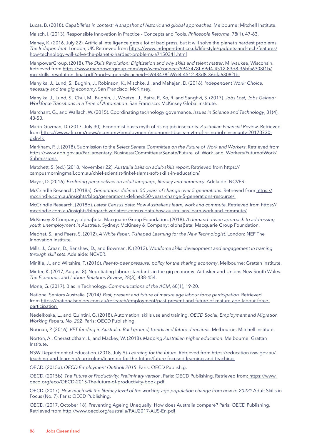Lucas, B. (2018). *Capabilities in context: A snapshot of historic and global approaches*. Melbourne: Mitchell Institute.

Malsch, I. (2013). Responsible Innovation in Practice - Concepts and Tools*. Philosopia Reforma*, 78(1), 47-63.

Maney, K. (2016, July 22). Artificial Intelligence gets a lot of bad press, but it will solve the planet's hardest problems. *The Independent*. London, UK. Retrieved from [https://www.independent.co.uk/life-style/gadgets-and-tech/features/](https://www.independent.co.uk/life-style/gadgets-and-tech/features/how-technology-will-solve-the-planet-s-hardest-problems-a7150341.html) [how-technology-will-solve-the-planet-s-hardest-problems-a7150341.html](https://www.independent.co.uk/life-style/gadgets-and-tech/features/how-technology-will-solve-the-planet-s-hardest-problems-a7150341.html)

ManpowerGroup. (2018). *The Skills Revolution: Digitization and why skills and talent matter*. Milwaukee, Wisconsin. Retrieved from [https://www.manpowergroup.com/wps/wcm/connect/5943478f-69d4-4512-83d8-36bfa6308f1b/](https://www.manpowergroup.com/wps/wcm/connect/5943478f-69d4-4512-83d8-36bfa6308f1b/mg_skills_revolution_final.pdf?mod=ajperes&cacheid=5943478f-69d4-4512-83d8-36bfa6308f1b) [mg\\_skills\\_revolution\\_final.pdf?mod=ajperes&cacheid=5943478f-69d4-4512-83d8-36bfa6308f1b](https://www.manpowergroup.com/wps/wcm/connect/5943478f-69d4-4512-83d8-36bfa6308f1b/mg_skills_revolution_final.pdf?mod=ajperes&cacheid=5943478f-69d4-4512-83d8-36bfa6308f1b)

Manyika, J., Lund, S., Bughin, J., Robinson, K., Mischke, J., and Mahajan, D. (2016). *Independent Work: Choice, necessity and the gig economy*. San Francisco: McKinsey.

Manyika, J., Lund, S., Chui, M., Bughin, J., Woetzel, J., Batra, P., Ko, R. and Sanghvi, S. (2017). *Jobs Lost, Jobs Gained: Workforce Transitions in a Time of Automation*. San Francisco: McKinsey Global institute.

Marchant, G., and Wallach, W. (2015). Coordinating technology governance. *Issues in Science and Technology*, 31(4), 43-50.

Marin-Guzman, D. (2017, July 30). Economist busts myth of rising job insecurity. *Australian Financial Review*. Retrieved from [https://www.afr.com/news/economy/employment/economist-busts-myth-of-rising-job-insecurity-20170730](https://www.afr.com/news/economy/employment/economist-busts-myth-of-rising-job-insecurity-20170730-gxln4k) [gxln4k](https://www.afr.com/news/economy/employment/economist-busts-myth-of-rising-job-insecurity-20170730-gxln4k)

Markham, P. J. (2018). Submission to the *Select Senate Committee on the Future of Work and Workers*. Retrieved from [https://www.aph.gov.au/Parliamentary\\_Business/Committees/Senate/Future\\_of\\_Work\\_and\\_Workers/FutureofWork/](https://www.aph.gov.au/Parliamentary_Business/Committees/Senate/Future_of_Work_and_Workers/FutureofWork/Submissions) [Submissions](https://www.aph.gov.au/Parliamentary_Business/Committees/Senate/Future_of_Work_and_Workers/FutureofWork/Submissions)

Matchett, S. (ed.) (2018, November 22). *Australia bails on adult-skills report*. Retrieved from https:// campusmorningmail.com.au/chief-scientist-finkel-slams-soft-skills-in-education/

Mayer, D. (2016). *Exploring perspectives on adult language, literacy and numeracy*. Adelaide: NCVER.

McCrindle Research. (2018a). *Generations defined: 50 years of change over 5 generations*. Retrieved from [https://](https://mccrindle.com.au/insights/blog/generations-defined-50-years-change-5-generations-resource/) [mccrindle.com.au/insights/blog/generations-defined-50-years-change-5-generations-resource/](https://mccrindle.com.au/insights/blog/generations-defined-50-years-change-5-generations-resource/)

McCrindle Research. (2018b). *Latest Census data: How Australians learn, work and commute*. Retrieved from [https://](https://mccrindle.com.au/insights/blogarchive/latest-census-data-how-australians-learn-work-and-commute/) [mccrindle.com.au/insights/blogarchive/latest-census-data-how-australians-learn-work-and-commute/](https://mccrindle.com.au/insights/blogarchive/latest-census-data-how-australians-learn-work-and-commute/)

McKinsey & Company; αlphaβeta; Macquarie Group Foundation. (2018). *A demand driven approach to addressing youth unemployment in Australia*. Sydney: McKinsey & Company; αlphaβeta; Macquarie Group Foundation.

Medhat, S., and Peers, S. (2012). *A White Paper: T-shaped Learning for the New Technologist*. London: NEF The Innovation Institute.

Mills, J., Crean, D., Ranshaw, D., and Bowman, K. (2012). *Workforce skills development and engagement in training through skill sets*. Adelaide: NCVER.

Minifie, J., and Wiltshire, T. (2016). *Peer-to-peer pressure: policy for the sharing economy*. Melbourne: Grattan Institute.

Minter, K. (2017, August 8). Negotiating labour standards in the gig economy: Airtasker and Unions New South Wales. *The Economic and Labour Relations Review*, 28(3), 438-454.

Mone, G. (2017). Bias in Technology. *Communications of the ACM*, 60(1), 19-20.

National Seniors Australia. (2014*). Past, present and future of mature age labour force participation*. Retrieved from [https://nationalseniors.com.au/research/employment/past-present-and-future-of-mature-age-labour-force](https://nationalseniors.com.au/research/employment/past-present-and-future-of-mature-age-labour-force-participation)[participation](https://nationalseniors.com.au/research/employment/past-present-and-future-of-mature-age-labour-force-participation)

Nedelkoska, L., and Quintini, G. (2018). Automation, skills use and training. *OECD Social, Employment and Migration Working Papers, No. 202*. Paris: OECD Publishing.

Noonan, P. (2016). *VET funding in Australia: Background, trends and future directions*. Melbourne: Mitchell Institute.

Norton, A., Cherastidtham, I., and Mackey, W. (2018). *Mapping Australian higher education*. Melbourne: Grattan Institute.

NSW Department of Education. (2018, July 9). *Learning for the future*. Retrieved from [https://education.nsw.gov.au/](https://education.nsw.gov.au/teaching-and-learning/curriculum/learning-for-the-future/future-focused-learning-and-teaching) [teaching-and-learning/curriculum/learning-for-the-future/future-focused-learning-and-teaching](https://education.nsw.gov.au/teaching-and-learning/curriculum/learning-for-the-future/future-focused-learning-and-teaching)

OECD. (2015a). *OECD Employment Outlook 2015*. Paris: OECD Publishig.

OECD. (2015b). *The Future of Productivity. Preliminary version*. Paris: OECD Publishing. Retrieved from: [https://www.](https://www.oecd.org/eco/OECD-2015-The-future-of-productivity-book.pdf) [oecd.org/eco/OECD-2015-The-future-of-productivity-book.pdf](https://www.oecd.org/eco/OECD-2015-The-future-of-productivity-book.pdf)

OECD. (2017). *How much will the literacy level of the working-age population change from now to 2022?* Adult Skills in Focus (No. 7). Paris: OECD Publishing.

OECD. (2017, October 18). Preventing Ageing Unequally: How does Australia compare? Paris: OECD Publishing. Retrieved from <http://www.oecd.org/australia/PAU2017-AUS-En.pdf>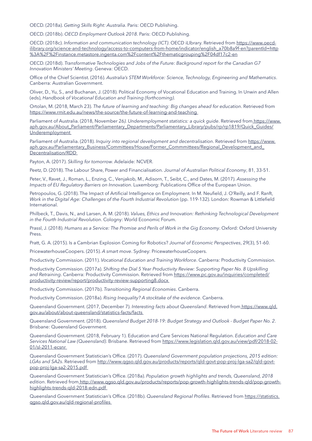OECD. (2018a). *Getting Skills Right: Australia*. Paris: OECD Publishing.

OECD. (2018b). *OECD Employment Outlook 2018*. Paris: OECD Publishing.

OECD. (2018c). *Information and communication technology (ICT)*. OECD iLIbrary. Retrieved from [https://www.oecd](https://www.oecd-ilibrary.org/science-and-technology/access-to-computers-from-home/indicator/english_a70b8a9f-en?parentId=http%3A%2F%2Finstance.metastore.ingenta.com%2Fcontent%2Fthematicgrouping%2F04df17c2-en)[ilibrary.org/science-and-technology/access-to-computers-from-home/indicator/english\\_a70b8a9f-en?parentId=http](https://www.oecd-ilibrary.org/science-and-technology/access-to-computers-from-home/indicator/english_a70b8a9f-en?parentId=http%3A%2F%2Finstance.metastore.ingenta.com%2Fcontent%2Fthematicgrouping%2F04df17c2-en) [%3A%2F%2Finstance.metastore.ingenta.com%2Fcontent%2Fthematicgrouping%2F04df17c2-en](https://www.oecd-ilibrary.org/science-and-technology/access-to-computers-from-home/indicator/english_a70b8a9f-en?parentId=http%3A%2F%2Finstance.metastore.ingenta.com%2Fcontent%2Fthematicgrouping%2F04df17c2-en)

OECD. (2018d). *Transformative Technologies and Jobs of the Future: Background report for the Canadian G7 Innovation Ministers' Meeting*. Geneva: OECD.

Office of the Chief Scientist. (2016). *Australia's STEM Workforce: Science, Technology, Engineering and Mathematics*. Canberra: Australian Government.

Oliver, D., Yu, S., and Buchanan, J. (2018). Political Economy of Vocational Education and Training. In Unwin and Allen (eds), *Handbook of Vocational Education and Training (forthcoming)*.

Ortolan, M. (2018, March 23). *The future of learning and teaching: Big changes ahead for education*. Retrieved from <https://www.rmit.edu.au/news/the-source/the-future-of-learning-and-teaching>

Parliament of Australia. (2018, November 26*). Underemployment statistics: a quick guide*. Retrieved from [https://www.](https://www.aph.gov.au/About_Parliament/Parliamentary_Departments/Parliamentary_Library/pubs/rp/rp1819/Quick_Guides/Underemployment) [aph.gov.au/About\\_Parliament/Parliamentary\\_Departments/Parliamentary\\_Library/pubs/rp/rp1819/Quick\\_Guides/](https://www.aph.gov.au/About_Parliament/Parliamentary_Departments/Parliamentary_Library/pubs/rp/rp1819/Quick_Guides/Underemployment) [Underemployment](https://www.aph.gov.au/About_Parliament/Parliamentary_Departments/Parliamentary_Library/pubs/rp/rp1819/Quick_Guides/Underemployment)

Parliament of Australia. (2018). *Inquiry into regional development and decentralisation*. Retrieved from [https://www.](https://www.aph.gov.au/Parliamentary_Business/Committees/House/Former_Commmittees/Regional_Development_and_Decentralisation/RDD) [aph.gov.au/Parliamentary\\_Business/Committees/House/Former\\_Commmittees/Regional\\_Development\\_and\\_](https://www.aph.gov.au/Parliamentary_Business/Committees/House/Former_Commmittees/Regional_Development_and_Decentralisation/RDD) [Decentralisation/RDD](https://www.aph.gov.au/Parliamentary_Business/Committees/House/Former_Commmittees/Regional_Development_and_Decentralisation/RDD)

Payton, A. (2017). *Skilling for tomorrow*. Adelaide: NCVER.

Peetz, D. (2018). The Labour Share, Power and Financialisation. *Journal of Australian Political Economy*, 81, 33-51.

Peter, V., Ravet, J., Roman, L., Enzing, C., Venjakob, M., Adisorn, T., Seibt, C., and Dates, M. (2017). *Assessing the Impacts of EU Regulatory Barriers on Innovation*. Luxemborg: Publications Office of the European Union.

Petropoulos, G. (2018). The Impact of Artificial Intelligence on Employment. In M. Neufield, J. O'Reilly, and F. Ranft, *Work in the Digital Age: Challenges of the Fourth Industrial Revolution* (pp. 119-132). London: Rowman & Littlefield International.

Philbeck, T., Davis, N., and Larsen, A. M. (2018). *Values, Ethics and Innovation: Rethinking Technological Development in the Fourth Industrial Revolution*. Cologny: World Economic Forum.

Prassl, J. (2018). *Humans as a Service: The Promise and Perils of Work in the Gig Economy*. Oxford: Oxford University Press.

Pratt, G. A. (2015). Is a Cambrian Explosion Coming for Robotics? *Journal of Economic Perspectives*, 29(3), 51-60.

PricewaterhouseCoopers. (2015). *A smart move*. Sydney: PricewaterhouseCoopers.

Productivity Commission. (2011). *Vocational Education and Training Workforce*. Canberra: Productivity Commission.

Productivity Commission. (2017a). *Shifting the Dial 5 Year Productivity Review: Supporting Paper No. 8 Upskilling*  and Retraining. Canberra: Productivity Commission. Retrieved from [https://www.pc.gov.au/inquiries/completed/](https://www.pc.gov.au/inquiries/completed/productivity-review/report/productivity-review-supporting8.docx) [productivity-review/report/productivity-review-supporting8.docx](https://www.pc.gov.au/inquiries/completed/productivity-review/report/productivity-review-supporting8.docx)

Productivity Commission. (2017b). *Transitioning Regional Economies*. Canberra.

Productivity Commission. (2018a). *Rising Inequality? A stocktake of the evidence*. Canberra.

Queensland Government. (2017, December 7). *Interesting facts about Queensland*. Retrieved from [https://www.qld.](https://www.qld.gov.au/about/about-queensland/statistics-facts/facts) [gov.au/about/about-queensland/statistics-facts/facts](https://www.qld.gov.au/about/about-queensland/statistics-facts/facts)

Queensland Government. (2018). *Queensland Budget 2018-19: Budget Strategy and Outlook - Budget Paper No. 2*. Brisbane: Queensland Government.

Queensland Government. (2018, February 1). Education and Care Services National Regulation. *Education and Care Services National Law (Queensland)*. Brisbane. Retrieved from [https://www.legislation.qld.gov.au/view/pdf/2018-02-](https://www.legislation.qld.gov.au/view/pdf/2018-02-01/sl-2011-ecsnr) [01/sl-2011-ecsnr](https://www.legislation.qld.gov.au/view/pdf/2018-02-01/sl-2011-ecsnr)

Queensland Government Statistician's Office. (2017). *Queensland Government population projections, 2015 edition: LGAs and SA2s*. Retrieved from [http://www.qgso.qld.gov.au/products/reports/qld-govt-pop-proj-lga-sa2/qld-govt](http://www.qgso.qld.gov.au/products/reports/qld-govt-pop-proj-lga-sa2/qld-govt-pop-proj-lga-sa2-2015.pdf)[pop-proj-lga-sa2-2015.pdf](http://www.qgso.qld.gov.au/products/reports/qld-govt-pop-proj-lga-sa2/qld-govt-pop-proj-lga-sa2-2015.pdf)

Queensland Government Statistician's Office. (2018a). *Population growth highlights and trends, Queensland, 2018 edition*. Retrieved from [http://www.qgso.qld.gov.au/products/reports/pop-growth-highlights-trends-qld/pop-growth](http://www.qgso.qld.gov.au/products/reports/pop-growth-highlights-trends-qld/pop-growth-highlights-trends-qld-2018-edn.pdf)[highlights-trends-qld-2018-edn.pdf](http://www.qgso.qld.gov.au/products/reports/pop-growth-highlights-trends-qld/pop-growth-highlights-trends-qld-2018-edn.pdf)

Queensland Government Statistician's Office. (2018b). *Queensland Regional Profiles*. Retrieved from [https://statistics.](https://statistics.qgso.qld.gov.au/qld-regional-profiles) [qgso.qld.gov.au/qld-regional-profiles](https://statistics.qgso.qld.gov.au/qld-regional-profiles)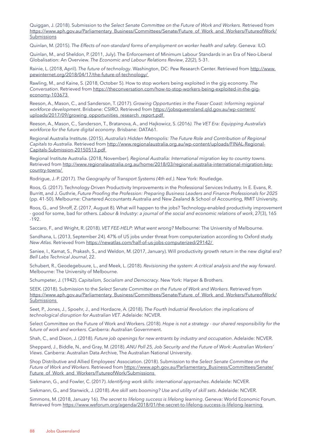Quiggan, J. (2018). Submission to *the Select Senate Committee on the Future of Work and Workers*. Retrieved from [https://www.aph.gov.au/Parliamentary\\_Business/Committees/Senate/Future\\_of\\_Work\\_and\\_Workers/FutureofWork/](https://www.aph.gov.au/Parliamentary_Business/Committees/Senate/Future_of_Work_and_Workers/FutureofWork/Submissions) [Submissions](https://www.aph.gov.au/Parliamentary_Business/Committees/Senate/Future_of_Work_and_Workers/FutureofWork/Submissions)

Quinlan, M. (2015). *The Effects of non-standard forms of employment on worker health and safety*. Geneva: ILO.

Quinlan, M., and Sheldon, P. (2011, July). The Enforcement of Minimum Labour Standards in an Era of Neo-Liberal Globalisation: An Overview. *The Economic and Labour Relations Review*, 22(2), 5-31.

Rainie, L. (2018, April). *The future of technology*. Washington, DC: Pew Research Center. Retrieved from [http://www.](http://www.pewinternet.org/2018/04/17/the-future-of-technology/) [pewinternet.org/2018/04/17/the-future-of-technology/](http://www.pewinternet.org/2018/04/17/the-future-of-technology/)

Rawling, M., and Kaine, S. (2018, October 5). How to stop workers being exploited in the gig economy. *The Conversation*. Retrieved from [https://theconversation.com/how-to-stop-workers-being-exploited-in-the-gig](https://theconversation.com/how-to-stop-workers-being-exploited-in-the-gig-economy-103673)[economy-103673](https://theconversation.com/how-to-stop-workers-being-exploited-in-the-gig-economy-103673)

Reeson, A., Mason, C., and Sanderson, T. (2017). *Growing Opportunties in the Fraser Coast: Informing regional workforce development*. Brisbane: CSIRO. Retrieved from [https://jobsqueensland.qld.gov.au/wp-content/](https://jobsqueensland.qld.gov.au/wp-content/uploads/2017/09/growing_opportunities_research_report.pdf) [uploads/2017/09/growing\\_opportunities\\_research\\_report.pdf](https://jobsqueensland.qld.gov.au/wp-content/uploads/2017/09/growing_opportunities_research_report.pdf)

Reeson, A., Mason, C., Sanderson, T., Bratanova, A., and Hajkowicz, S. (2016*). The VET Era: Equipping Australia's workforce for the future digital economy*. Brisbane: DATA61.

Regional Australia Institute. (2015). *Australia's Hidden Metropolis: The Future Role and Contribution of Regional Capitals to Australia*. Retrieved from [http://www.regionalaustralia.org.au/wp-content/uploads/FINAL-Regional-](http://www.regionalaustralia.org.au/wp-content/uploads/FINAL-Regional-Capitals-Submission-20150513.pdf)[Capitals-Submission-20150513.pdf](http://www.regionalaustralia.org.au/wp-content/uploads/FINAL-Regional-Capitals-Submission-20150513.pdf)

Regional Institute Australia. (2018, November). *Regional Australia: International migration key to country towns*. Retrieved from [http://www.regionalaustralia.org.au/home/2018/03/regional-australia-international-migration-key](http://www.regionalaustralia.org.au/home/2018/03/regional-australia-international-migration-key-country-towns/)[country-towns/](http://www.regionalaustralia.org.au/home/2018/03/regional-australia-international-migration-key-country-towns/)

Rodrigue, J.-P. (2017). *The Geography of Transport Systems (4th ed.)*. New York: Routledge.

Roos, G. (2017). Technology-Driven Productivity Improvements in the Professional Services Industry. In E. Evans, R. Burritt, and J. Guthrie, *Future Proofing the Profession: Preparing Business Leaders and Finance Professionals for 2025* (pp. 41-50). Melbourne: Chartered Accountants Australia and New Zealand & School of Accounting, RMIT University.

Roos, G., and Shroff, Z. (2017, August 8). What will happen to the jobs? Technology-enabled productivity improvement - good for some, bad for others. *Labour & Industry: a journal of the social and economic relations of work*, 27(3), 165 -192.

Saccaro, F., and Wright, R. (2018). *VET FEE-HELP: What went wrong?* Melbourne: The University of Melbourne.

Sandhana, L. (2013, September 24). 47% of US jobs under threat from computerization according to Oxford study*. New Atlas*. Retrieved from <https://newatlas.com/half-of-us-jobs-computerized/29142/>

Saniee, I., Kamat, S., Prakash, S., and Weldon, M. (2017, January). Will productivity growth return in the new digital era? *Bell Labs Technical Journal*, 22.

Schubert, R., Geodegebuure, L., and Meek, L. (2018). *Revisioning the system: A critical analysis and the way forward*. Melbourne: The University of Melbourne.

Schumpeter, J. (1942). *Capitalism, Socialism and Democracy*. New York: Harper & Brothers.

SEEK. (2018). Submission to the *Select Senate Committee on the Future of Work and Workers*. Retrieved from [https://www.aph.gov.au/Parliamentary\\_Business/Committees/Senate/Future\\_of\\_Work\\_and\\_Workers/FutureofWork/](https://www.aph.gov.au/Parliamentary_Business/Committees/Senate/Future_of_Work_and_Workers/FutureofWork/Submissions) [Submissions](https://www.aph.gov.au/Parliamentary_Business/Committees/Senate/Future_of_Work_and_Workers/FutureofWork/Submissions)

Seet, P., Jones, J., Spoehr, J., and Hordacre, A. (2018). *The Fourth Industrial Revolution: the implications of technological disruption for Australian VET*. Adelaide: NCVER.

Select Committee on the Future of Work and Workers. (2018). *Hope is not a strategy - our shared responsibility for the future of work and workers*. Canberra: Australian Government.

Shah, C., and Dixon, J. (2018). *Future job openings for new entrants by industry and occupation*. Adelaide: NCVER.

Sheppard, J., Biddle, N., and Gray, M. (2018). *ANU Poll 25, Job Security and the Future of Work: Australian Workers' Views*. Canberra: Australian Data Archive, The Australian National University.

Shop Distributive and Allied Employees' Association. (2018). Submission to the *Select Senate Committee on the Future of Work and Workers*. Retrieved from [https://www.aph.gov.au/Parliamentary\\_Business/Committees/Senate/](https://www.aph.gov.au/Parliamentary_Business/Committees/Senate/Future_of_Work_and_Workers/FutureofWork/Submissions) [Future\\_of\\_Work\\_and\\_Workers/FutureofWork/Submissions](https://www.aph.gov.au/Parliamentary_Business/Committees/Senate/Future_of_Work_and_Workers/FutureofWork/Submissions)

Siekmann, G., and Fowler, C. (2017). *Identifying work skills: international approaches*. Adelaide: NCVER.

Siekmann, G., and Stanwick, J. (2018). *Are skill sets booming? Use and utility of skill sets*. Adelaide: NCVER.

Simmons, M. (2018, January 16). *The secret to lifelong success is lifelong learning*. Geneva: World Economic Forum. Retrieved from <https://www.weforum.org/agenda/2018/01/the-secret-to-lifelong-success-is-lifelong-learning>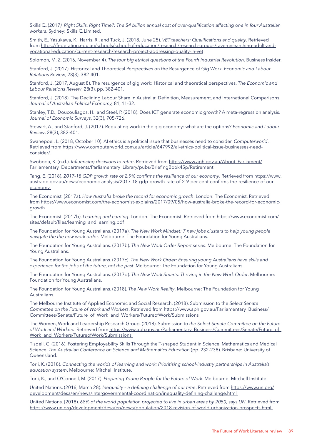SkillsIQ. (2017*). Right Skills. Right Time?: The \$4 billion annual cost of over-qualification affecting one in four Australian workers*. Sydney: SkillsIQ Limited.

Smith, E., Yasukawa, K., Harris, R., and Tuck, J. (2018, June 25). *VET teachers: Qualifications and quality*. Retrieved from [https://federation.edu.au/schools/school-of-education/research/research-groups/rave-researching-adult-and](https://federation.edu.au/schools/school-of-education/research/research-groups/rave-researching-adult-and-vocational-education/current-research/research-project-addressing-quality-in-vet)[vocational-education/current-research/research-project-addressing-quality-in-vet](https://federation.edu.au/schools/school-of-education/research/research-groups/rave-researching-adult-and-vocational-education/current-research/research-project-addressing-quality-in-vet)

Solomon, M. Z. (2016, November 4). *The four big ethical questions of the Fourth Industrial Revolution*. Business Insider.

Stanford, J. (2017). Historical and Theoretical Perspectives on the Resurgence of Gig Work. *Economic and Labour Relations Review*, 28(3), 382-401.

Stanford, J. (2017, August 8). The resurgence of gig work: Historical and theoretical perspectives. *The Economic and Labour Relations Review*, 28(3), pp. 382-401.

Stanford, J. (2018). The Declining Labour Share in Australia: Definition, Measurement, and International Comparisons. *Journal of Australian Political Economy,* 81, 11-32.

Stanley, T.D., Doucouliagos, H., and Steel, P. (2018). Does ICT generate economic growth? A meta-regression analysis. *Journal of Economic Surveys*, 32(3), 705-726.

Stewart, A., and Stanford, J. (2017). Regulating work in the gig economy: what are the options? *Economic and Labour Review*, 28(3), 382-401.

Swanepoel, L. (2018, October 10). AI ethics is a political issue that businesses need to consider. *Computerworld*. Retrieved from [https://www.computerworld.com.au/article/647992/ai-ethics-political-issue-businesses-need](https://www.computerworld.com.au/article/647992/ai-ethics-political-issue-businesses-need-consider/)[consider/](https://www.computerworld.com.au/article/647992/ai-ethics-political-issue-businesses-need-consider/)

Swoboda, K. (n.d.). *Influencing decisions to retire*. Retrieved from [https://www.aph.gov.au/About\\_Parliament/](https://www.aph.gov.au/About_Parliament/Parliamentary_Departments/Parliamentary_Library/pubs/BriefingBook45p/Retirement) [Parliamentary\\_Departments/Parliamentary\\_Library/pubs/BriefingBook45p/Retirement](https://www.aph.gov.au/About_Parliament/Parliamentary_Departments/Parliamentary_Library/pubs/BriefingBook45p/Retirement)

Tang, E. (2018). *2017-18 GDP growth rate of 2.9% confirms the resilience of our economy*. Retrieved from [https://www.](https://www.austrade.gov.au/news/economic-analysis/2017-18-gdp-growth-rate-of-2-9-per-cent-confirms-the-resilience-of-our-economy) [austrade.gov.au/news/economic-analysis/2017-18-gdp-growth-rate-of-2-9-per-cent-confirms-the-resilience-of-our](https://www.austrade.gov.au/news/economic-analysis/2017-18-gdp-growth-rate-of-2-9-per-cent-confirms-the-resilience-of-our-economy)[economy](https://www.austrade.gov.au/news/economic-analysis/2017-18-gdp-growth-rate-of-2-9-per-cent-confirms-the-resilience-of-our-economy)

The Economist. (2017a). *How Australia broke the record for economic growth*. London: The Economist. Retrieved from [https://www.economist.com/the-economist-explains/2017/09/05/how-australia-broke-the-record-for-economic](https://www.economist.com/the-economist-explains/2017/09/05/how-australia-broke-the-record-for-economic-growth)[growth](https://www.economist.com/the-economist-explains/2017/09/05/how-australia-broke-the-record-for-economic-growth)

The Economist. (2017b). *Learning and earning*. London: The Economist. Retrieved from [https://www.economist.com/](https://www.economist.com/sites/default/files/learning_and_earning.pdf) [sites/default/files/learning\\_and\\_earning.pdf](https://www.economist.com/sites/default/files/learning_and_earning.pdf)

The Foundation for Young Australians. (2017a). *The New Work Mindset: 7 new jobs clusters to help young people navigate the the new work order*. Melbourne: The Foundation for Young Australians.

The Foundation for Young Australians. (2017b). *The New Work Order Report series*. Melbourne: The Foundation for Young Australians.

The Foundation for Young Australians. (2017c). *The New Work Order: Ensuring young Australians have skills and experience for the jobs of the future, not the past*. Melbourne: The Foundation for Young Australians.

The Foundation for Young Australians. (2017d). *The New Work Smarts: Thriving in the New Work Order*. Melbourne: Foundation for Young Australians.

The Foundation for Young Australians. (2018). *The New Work Reality*. Melbourne: The Foundation for Young Australians.

The Melbourne Institute of Applied Economic and Social Research. (2018). Submission to the *Select Senate Committee on the Future of Work and Workers*. Retrieved from [https://www.aph.gov.au/Parliamentary\\_Business/](https://www.aph.gov.au/Parliamentary_Business/Committees/Senate/Future_of_Work_and_Workers/FutureofWork/Submissions) [Committees/Senate/Future\\_of\\_Work\\_and\\_Workers/FutureofWork/Submissions](https://www.aph.gov.au/Parliamentary_Business/Committees/Senate/Future_of_Work_and_Workers/FutureofWork/Submissions)

The Women, Work and Leadership Research Group. (2018). Submission to *the Select Senate Committee on the Future of Work and Workers*. Retrieved from [https://www.aph.gov.au/Parliamentary\\_Business/Committees/Senate/Future\\_of\\_](https://www.aph.gov.au/Parliamentary_Business/Committees/Senate/Future_of_Work_and_Workers/FutureofWork/Submissions) [Work\\_and\\_Workers/FutureofWork/Submissions](https://www.aph.gov.au/Parliamentary_Business/Committees/Senate/Future_of_Work_and_Workers/FutureofWork/Submissions)

Tisdell, C. (2016). Fostering Employability Skills Through the T-shaped Student in Science, Mathematics and Medical Science. *The Australian Conference on Science and Mathematics Education* (pp. 232-238). Brisbane: University of Queensland.

Torii, K. (2018). *Connecting the worlds of learning and work: Prioritising school-industry partnerships in Australia's education system*. Melbourne: Mitchell Institute.

Torii, K., and O'Connell, M. (2017). *Preparing Young People for the Future of Work*. Melbourne: Mitchell Institute.

United Nations. (2016, March 28). *Inequality – a defining challenge of our time*. Retrieved from [https://www.un.org/](https://www.un.org/development/desa/en/news/intergovernmental-coordination/inequality-defining-challenge.html) [development/desa/en/news/intergovernmental-coordination/inequality-defining-challenge.html](https://www.un.org/development/desa/en/news/intergovernmental-coordination/inequality-defining-challenge.html)

United Nations. (2018). *68% of the world population projected to live in urban areas by 2050, says UN*. Retrieved from <https://www.un.org/development/desa/en/news/population/2018-revision-of-world-urbanization-prospects.html>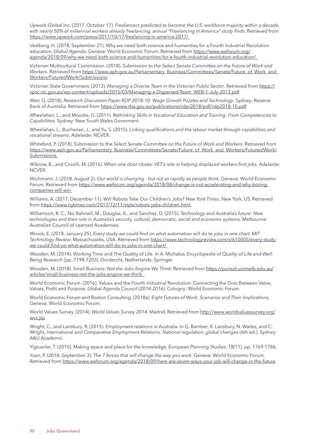Upwork Global Inc. (2017, October 17). *Freelancers predicted to become the U.S. workforce majority within a decade, with nearly 50% of millennial workers already freelancing, annual "Freelancing in America" study finds*. Retrieved from <https://www.upwork.com/press/2017/10/17/freelancing-in-america-2017/>

Vestberg, H. (2018, September 21). Why we need both science and humanities for a Fourth Industrial Revolution education. *Global Agenda*. Geneva: World Economic Forum. Retrieved from [https://www.weforum.org/](https://www.weforum.org/agenda/2018/09/why-we-need-both-science-and-humanities-for-a-fourth-industrial-revolution-education/) [agenda/2018/09/why-we-need-both-science-and-humanities-for-a-fourth-industrial-revolution-education/](https://www.weforum.org/agenda/2018/09/why-we-need-both-science-and-humanities-for-a-fourth-industrial-revolution-education/)

Victorian Multicultural Commission. (2018). Submission to *the Select Senate Committee on the Future of Work and Workers*. Retrieved from [https://www.aph.gov.au/Parliamentary\\_Business/Committees/Senate/Future\\_of\\_Work\\_and\\_](https://www.aph.gov.au/Parliamentary_Business/Committees/Senate/Future_of_Work_and_Workers/FutureofWork/Submissions) [Workers/FutureofWork/Submissions](https://www.aph.gov.au/Parliamentary_Business/Committees/Senate/Future_of_Work_and_Workers/FutureofWork/Submissions)

Victorian State Government. (2013). *Managing a Diverse Team in the Victorian Public Sector*. Retrieved from [https://](https://vpsc.vic.gov.au/wp-content/uploads/2015/03/Managing-a-Dispersed-Team_WEB-1-July-2013.pdf) [vpsc.vic.gov.au/wp-content/uploads/2015/03/Managing-a-Dispersed-Team\\_WEB-1-July-2013.pdf](https://vpsc.vic.gov.au/wp-content/uploads/2015/03/Managing-a-Dispersed-Team_WEB-1-July-2013.pdf)

Weir, G. (2018). *Research Discussion Paper RDP 2018-10: Wage Growth Puzzles and Technology*. Sydney: Reserve Bank of Australia. Retrieved from <https://www.rba.gov.au/publications/rdp/2018/pdf/rdp2018-10.pdf>

Wheelahan, L., and Moodie, G. (2011). *Rethinking Skills in Vocational Education and Training: From Competencies to Capabilities*. Sydney: New South Wales Goverment.

Wheelahan, L., Buchanan, J., and Yu, S. (2015). *Linking qualifications and the labour market through capabilities and vocational streams*. Adelaide: NCVER.

Whiteford, P. (2018). Submission to the *Select Senate Committee on the Future of Work and Workers*. Retrieved from [https://www.aph.gov.au/Parliamentary\\_Business/Committees/Senate/Future\\_of\\_Work\\_and\\_Workers/FutureofWork/](https://www.aph.gov.au/Parliamentary_Business/Committees/Senate/Future_of_Work_and_Workers/FutureofWork/Submissions) **[Submissions](https://www.aph.gov.au/Parliamentary_Business/Committees/Senate/Future_of_Work_and_Workers/FutureofWork/Submissions)** 

Wibrow, B., and Circelli, M. (2016). *When one door closes: VET's role in helping displaced workers find jobs*. Adelaide: NCVER.

Wichmann, J. (2018, August 2). *Our world is changing - but not as rapidly as people think*. Geneva: World Economic Forum. Retrieved from [https://www.weforum.org/agenda/2018/08/change-is-not-accelerating-and-why-boring](https://www.weforum.org/agenda/2018/08/change-is-not-accelerating-and-why-boring-companies-will-win)[companies-will-win](https://www.weforum.org/agenda/2018/08/change-is-not-accelerating-and-why-boring-companies-will-win)

Williams, A. (2017, December 11). Will Robots Take Our Children's Jobs? *New York Times*. New York, US. Retrieved from<https://www.nytimes.com/2017/12/11/style/robots-jobs-children.html>

Williamson, R. C., Nic Rahnaill, M., Douglas, K., and Sanchez, D. (2015). *Technology and Australia's future: New technologies and their role in Australia's security, cultural, democratic, social and economic systems*. Melbourne: Australian Council of Learned Academies.

Winick, E. (2018, January 25). Every study we could find on what automation will do to jobs in one chart. *MIT Technology Review*. Massachusetts, USA. Retrieved from [https://www.technologyreview.com/s/610005/every-study](https://www.technologyreview.com/s/610005/every-study-we-could-find-on-what-automation-will-do-to-jobs-in-one-chart/)[we-could-find-on-what-automation-will-do-to-jobs-in-one-chart/](https://www.technologyreview.com/s/610005/every-study-we-could-find-on-what-automation-will-do-to-jobs-in-one-chart/)

Wooden, M. (2014). Working Time and The Quality of Life. In A. Michalos*, Encyclopedia of Quality of Life and Well-Being Research* (pp. 7198-7203). Dordercht, Netherlands: Springer.

Wooden, M. (2018). *Small Business: Not the Jobs Engine We Think*. Retrieved from [https://pursuit.unimelb.edu.au/](https://pursuit.unimelb.edu.au/articles/small-business-not-the-jobs-engine-we-think) [articles/small-business-not-the-jobs-engine-we-think](https://pursuit.unimelb.edu.au/articles/small-business-not-the-jobs-engine-we-think)

World Economic Forum. (2016). Values and the Fourth Industrial Revolution: Connecting the Dots Between Value, Values, Profit and Purpose. *Global Agenda Council (2014-2016)*. Cologny: World Economic Forum.

World Economic Forum and Boston Consulting. (2018a). *Eight Futures of Work: Scenarios and Their Implications*. Geneva: World Economic Forum.

World Values Survey. (2014). *World Values Survey 2014*. Madrid. Retrieved from [http://www.worldvaluessurvey.org/](http://www.worldvaluessurvey.org/wvs.jsp) [wvs.jsp](http://www.worldvaluessurvey.org/wvs.jsp)

Wright, C., and Lansbury, R. (2015). Employment relations in Australia. In G. Bamber, R. Lansbury, N. Wailes, and C. Wright*, International and Comparative Employment Relations: National regulation, global changes* (6th ed.). Sydney: A&U Academic.

Yigicanlar, T. (2010). Making space and place for the knowledge. *European Planning Studies*, 18(11). pp. 1769-1786.

Yuen, P. (2018, September 3). *The 7 forces that will change the way you work*. Geneva: World Economic Forum. Retrieved from <https://www.weforum.org/agenda/2018/09/here-are-seven-ways-your-job-will-change-in-the-future>